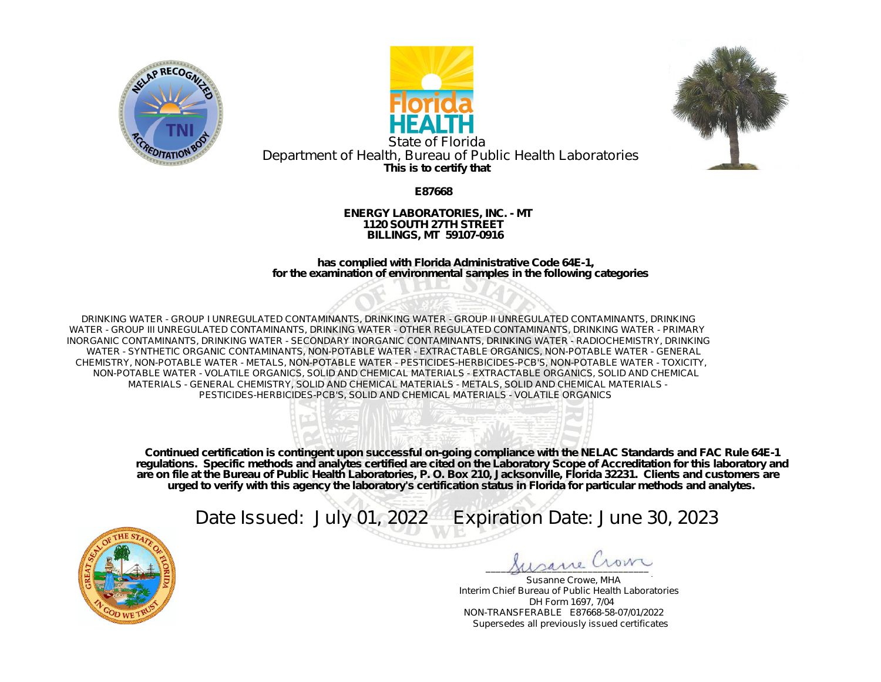





**This is to certify that** State of Florida Department of Health, Bureau of Public Health Laboratories

**E87668**

**ENERGY LABORATORIES, INC. - MT 1120 SOUTH 27TH STREET BILLINGS, MT 59107-0916**

**has complied with Florida Administrative Code 64E-1, for the examination of environmental samples in the following categories**

DRINKING WATER - GROUP I UNREGULATED CONTAMINANTS, DRINKING WATER - GROUP II UNREGULATED CONTAMINANTS, DRINKING WATER - GROUP III UNREGULATED CONTAMINANTS, DRINKING WATER - OTHER REGULATED CONTAMINANTS, DRINKING WATER - PRIMARY INORGANIC CONTAMINANTS, DRINKING WATER - SECONDARY INORGANIC CONTAMINANTS, DRINKING WATER - RADIOCHEMISTRY, DRINKING WATER - SYNTHETIC ORGANIC CONTAMINANTS, NON-POTABLE WATER - EXTRACTABLE ORGANICS, NON-POTABLE WATER - GENERAL CHEMISTRY, NON-POTABLE WATER - METALS, NON-POTABLE WATER - PESTICIDES-HERBICIDES-PCB'S, NON-POTABLE WATER - TOXICITY, NON-POTABLE WATER - VOLATILE ORGANICS, SOLID AND CHEMICAL MATERIALS - EXTRACTABLE ORGANICS, SOLID AND CHEMICAL MATERIALS - GENERAL CHEMISTRY, SOLID AND CHEMICAL MATERIALS - METALS, SOLID AND CHEMICAL MATERIALS - PESTICIDES-HERBICIDES-PCB'S, SOLID AND CHEMICAL MATERIALS - VOLATILE ORGANICS



**Continued certification is contingent upon successful on-going compliance with the NELAC Standards and FAC Rule 64E-1 regulations. Specific methods and analytes certified are cited on the Laboratory Scope of Accreditation for this laboratory and are on file at the Bureau of Public Health Laboratories, P. O. Box 210, Jacksonville, Florida 32231. Clients and customers are urged to verify with this agency the laboratory's certification status in Florida for particular methods and analytes.**

Date Issued: July 01, 2022 Expiration Date: June 30, 2023



\_\_\_\_\_\_\_\_\_\_\_\_\_\_\_\_\_\_\_\_\_\_\_\_\_\_\_\_\_\_\_\_

Susanne Crowe, MHA Interim Chief Bureau of Public Health Laboratories DH Form 1697, 7/04 NON-TRANSFERABLE E87668-58-07/01/2022 Supersedes all previously issued certificates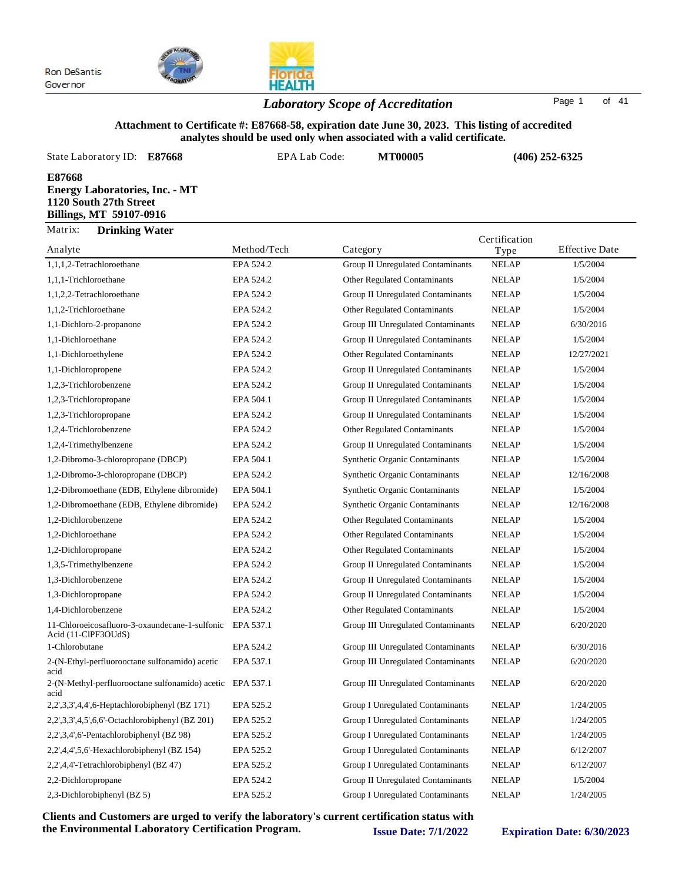

## **HEALTH** *Laboratory Scope of Accreditation* Page <sup>1</sup> of <sup>41</sup>

#### **Attachment to Certificate #: E87668-58, expiration date June 30, 2023. This listing of accredited analytes should be used only when associated with a valid certificate.**

| State Laboratory ID:<br>E87668                                                                       | EPA Lab Code: | <b>MT00005</b>                    |               | $(406)$ 252-6325      |
|------------------------------------------------------------------------------------------------------|---------------|-----------------------------------|---------------|-----------------------|
| E87668<br><b>Energy Laboratories, Inc. - MT</b><br>1120 South 27th Street<br>Billings, MT 59107-0916 |               |                                   |               |                       |
| Matrix:<br><b>Drinking Water</b>                                                                     |               |                                   | Certification |                       |
| Analyte                                                                                              | Method/Tech   | Category                          | Type          | <b>Effective Date</b> |
| 1,1,1,2-Tetrachloroethane                                                                            | EPA 524.2     | Group II Unregulated Contaminants | <b>NELAP</b>  | 1/5/2004              |

| 1,1,1,2-Tetrachloroethane                                             | EPA 524.2 | Group II Unregulated Contaminants     | <b>NELAP</b> | 1/5/2004   |
|-----------------------------------------------------------------------|-----------|---------------------------------------|--------------|------------|
| 1,1,1-Trichloroethane                                                 | EPA 524.2 | Other Regulated Contaminants          | <b>NELAP</b> | 1/5/2004   |
| 1,1,2,2-Tetrachloroethane                                             | EPA 524.2 | Group II Unregulated Contaminants     | <b>NELAP</b> | 1/5/2004   |
| 1,1,2-Trichloroethane                                                 | EPA 524.2 | <b>Other Regulated Contaminants</b>   | <b>NELAP</b> | 1/5/2004   |
| 1,1-Dichloro-2-propanone                                              | EPA 524.2 | Group III Unregulated Contaminants    | NELAP        | 6/30/2016  |
| 1,1-Dichloroethane                                                    | EPA 524.2 | Group II Unregulated Contaminants     | <b>NELAP</b> | 1/5/2004   |
| 1,1-Dichloroethylene                                                  | EPA 524.2 | Other Regulated Contaminants          | <b>NELAP</b> | 12/27/2021 |
| 1,1-Dichloropropene                                                   | EPA 524.2 | Group II Unregulated Contaminants     | <b>NELAP</b> | 1/5/2004   |
| 1,2,3-Trichlorobenzene                                                | EPA 524.2 | Group II Unregulated Contaminants     | <b>NELAP</b> | 1/5/2004   |
| 1,2,3-Trichloropropane                                                | EPA 504.1 | Group II Unregulated Contaminants     | <b>NELAP</b> | 1/5/2004   |
| 1,2,3-Trichloropropane                                                | EPA 524.2 | Group II Unregulated Contaminants     | <b>NELAP</b> | 1/5/2004   |
| 1,2,4-Trichlorobenzene                                                | EPA 524.2 | Other Regulated Contaminants          | <b>NELAP</b> | 1/5/2004   |
| 1,2,4-Trimethylbenzene                                                | EPA 524.2 | Group II Unregulated Contaminants     | <b>NELAP</b> | 1/5/2004   |
| 1,2-Dibromo-3-chloropropane (DBCP)                                    | EPA 504.1 | <b>Synthetic Organic Contaminants</b> | <b>NELAP</b> | 1/5/2004   |
| 1,2-Dibromo-3-chloropropane (DBCP)                                    | EPA 524.2 | <b>Synthetic Organic Contaminants</b> | <b>NELAP</b> | 12/16/2008 |
| 1,2-Dibromoethane (EDB, Ethylene dibromide)                           | EPA 504.1 | <b>Synthetic Organic Contaminants</b> | <b>NELAP</b> | 1/5/2004   |
| 1,2-Dibromoethane (EDB, Ethylene dibromide)                           | EPA 524.2 | <b>Synthetic Organic Contaminants</b> | <b>NELAP</b> | 12/16/2008 |
| 1,2-Dichlorobenzene                                                   | EPA 524.2 | Other Regulated Contaminants          | <b>NELAP</b> | 1/5/2004   |
| 1,2-Dichloroethane                                                    | EPA 524.2 | Other Regulated Contaminants          | <b>NELAP</b> | 1/5/2004   |
| 1,2-Dichloropropane                                                   | EPA 524.2 | Other Regulated Contaminants          | <b>NELAP</b> | 1/5/2004   |
| 1,3,5-Trimethylbenzene                                                | EPA 524.2 | Group II Unregulated Contaminants     | <b>NELAP</b> | 1/5/2004   |
| 1,3-Dichlorobenzene                                                   | EPA 524.2 | Group II Unregulated Contaminants     | <b>NELAP</b> | 1/5/2004   |
| 1,3-Dichloropropane                                                   | EPA 524.2 | Group II Unregulated Contaminants     | <b>NELAP</b> | 1/5/2004   |
| 1,4-Dichlorobenzene                                                   | EPA 524.2 | Other Regulated Contaminants          | <b>NELAP</b> | 1/5/2004   |
| 11-Chloroeicosafluoro-3-oxaundecane-1-sulfonic<br>Acid (11-ClPF3OUdS) | EPA 537.1 | Group III Unregulated Contaminants    | <b>NELAP</b> | 6/20/2020  |
| 1-Chlorobutane                                                        | EPA 524.2 | Group III Unregulated Contaminants    | <b>NELAP</b> | 6/30/2016  |
| 2-(N-Ethyl-perfluorooctane sulfonamido) acetic<br>acid                | EPA 537.1 | Group III Unregulated Contaminants    | <b>NELAP</b> | 6/20/2020  |
| 2-(N-Methyl-perfluorooctane sulfonamido) acetic EPA 537.1<br>acid     |           | Group III Unregulated Contaminants    | <b>NELAP</b> | 6/20/2020  |
| 2,2',3,3',4,4',6-Heptachlorobiphenyl (BZ 171)                         | EPA 525.2 | Group I Unregulated Contaminants      | <b>NELAP</b> | 1/24/2005  |
| 2,2',3,3',4,5',6,6'-Octachlorobiphenyl (BZ 201)                       | EPA 525.2 | Group I Unregulated Contaminants      | <b>NELAP</b> | 1/24/2005  |
| 2,2',3,4',6'-Pentachlorobiphenyl (BZ 98)                              | EPA 525.2 | Group I Unregulated Contaminants      | <b>NELAP</b> | 1/24/2005  |
| $2,2',4,4',5,6'-Hexachlorobiphenyl (BZ 154)$                          | EPA 525.2 | Group I Unregulated Contaminants      | NELAP        | 6/12/2007  |
| 2,2',4,4'-Tetrachlorobiphenyl (BZ 47)                                 | EPA 525.2 | Group I Unregulated Contaminants      | <b>NELAP</b> | 6/12/2007  |
| 2,2-Dichloropropane                                                   | EPA 524.2 | Group II Unregulated Contaminants     | <b>NELAP</b> | 1/5/2004   |
| 2,3-Dichlorobiphenyl (BZ 5)                                           | EPA 525.2 | Group I Unregulated Contaminants      | <b>NELAP</b> | 1/24/2005  |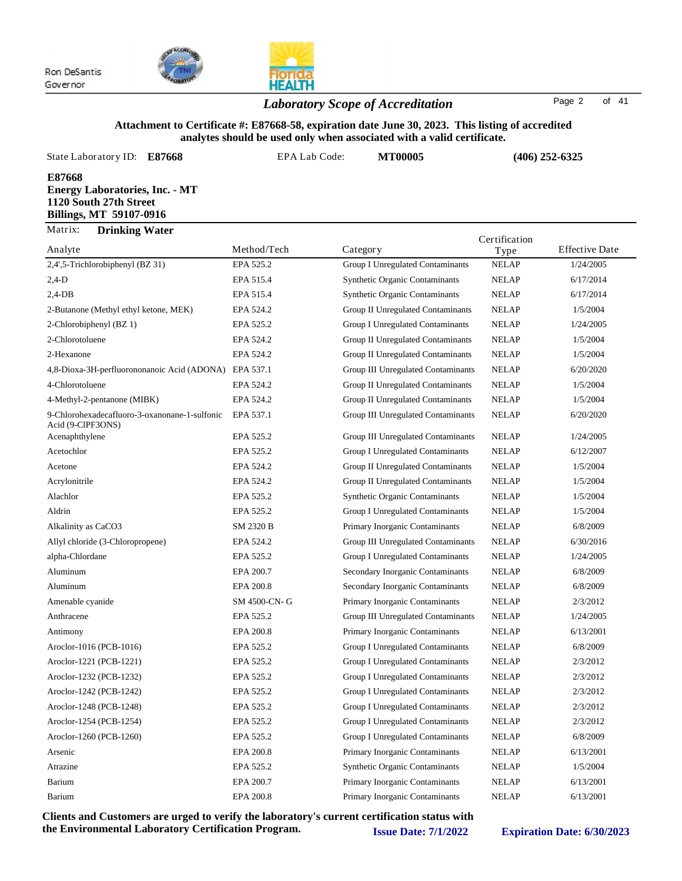

## *Laboratory Scope of Accreditation* Page <sup>2</sup> of <sup>41</sup>

#### **Attachment to Certificate #: E87668-58, expiration date June 30, 2023. This listing of accredited analytes should be used only when associated with a valid certificate.**

**HEALTH** 

| anaryics should be used only when associated with a vand certificate.                                |                      |                                                                                                                                                                                                                                                                                                                     |                |                       |  |  |
|------------------------------------------------------------------------------------------------------|----------------------|---------------------------------------------------------------------------------------------------------------------------------------------------------------------------------------------------------------------------------------------------------------------------------------------------------------------|----------------|-----------------------|--|--|
| State Laboratory ID:<br>E87668                                                                       | <b>EPA Lab Code:</b> | <b>MT00005</b>                                                                                                                                                                                                                                                                                                      |                | $(406)$ 252-6325      |  |  |
| E87668<br><b>Energy Laboratories, Inc. - MT</b><br>1120 South 27th Street<br>Billings, MT 59107-0916 |                      |                                                                                                                                                                                                                                                                                                                     |                |                       |  |  |
| Matrix:<br><b>Drinking Water</b>                                                                     |                      |                                                                                                                                                                                                                                                                                                                     | Certification  |                       |  |  |
| Analyte                                                                                              | Method/Tech          | Category                                                                                                                                                                                                                                                                                                            | Type           | <b>Effective Date</b> |  |  |
| 2,4',5-Trichlorobiphenyl (BZ 31)                                                                     | EPA 525.2            | Group I Unregulated Contaminants                                                                                                                                                                                                                                                                                    | <b>NELAP</b>   | 1/24/2005             |  |  |
| $2,4-D$                                                                                              | EPA 515.4            | <b>Synthetic Organic Contaminants</b>                                                                                                                                                                                                                                                                               | <b>NELAP</b>   | 6/17/2014             |  |  |
| $2,4$ -DB                                                                                            | EPA 515.4            | <b>Synthetic Organic Contaminants</b>                                                                                                                                                                                                                                                                               | <b>NELAP</b>   | 6/17/2014             |  |  |
| 2-Butanone (Methyl ethyl ketone, MEK)                                                                | EPA 524.2            | Group II Unregulated Contaminants                                                                                                                                                                                                                                                                                   | <b>NELAP</b>   | 1/5/2004              |  |  |
| 2-Chlorobiphenyl (BZ 1)                                                                              | EPA 525.2            | Group I Unregulated Contaminants                                                                                                                                                                                                                                                                                    | <b>NELAP</b>   | 1/24/2005             |  |  |
| 2-Chlorotoluene                                                                                      | EPA 524.2            | Group II Unregulated Contaminants                                                                                                                                                                                                                                                                                   | <b>NELAP</b>   | 1/5/2004              |  |  |
| 2-Hexanone                                                                                           | EPA 524.2            | Group II Unregulated Contaminants                                                                                                                                                                                                                                                                                   | <b>NELAP</b>   | 1/5/2004              |  |  |
| 4,8-Dioxa-3H-perfluorononanoic Acid (ADONA)                                                          | EPA 537.1            | Group III Unregulated Contaminants                                                                                                                                                                                                                                                                                  | <b>NELAP</b>   | 6/20/2020             |  |  |
| 4-Chlorotoluene                                                                                      | EPA 524.2            | Group II Unregulated Contaminants                                                                                                                                                                                                                                                                                   | <b>NELAP</b>   | 1/5/2004              |  |  |
| 4-Methyl-2-pentanone (MIBK)                                                                          | EPA 524.2            | Group II Unregulated Contaminants                                                                                                                                                                                                                                                                                   | <b>NELAP</b>   | 1/5/2004              |  |  |
| 9-Chlorohexadecafluoro-3-oxanonane-1-sulfonic<br>Acid (9-ClPF3ONS)                                   | EPA 537.1            | Group III Unregulated Contaminants                                                                                                                                                                                                                                                                                  | <b>NELAP</b>   | 6/20/2020             |  |  |
|                                                                                                      | $\cdots$ $\cdots$    | $\frac{1}{2}$ $\frac{1}{2}$ $\frac{1}{2}$ $\frac{1}{2}$ $\frac{1}{2}$ $\frac{1}{2}$ $\frac{1}{2}$ $\frac{1}{2}$ $\frac{1}{2}$ $\frac{1}{2}$ $\frac{1}{2}$ $\frac{1}{2}$ $\frac{1}{2}$ $\frac{1}{2}$ $\frac{1}{2}$ $\frac{1}{2}$ $\frac{1}{2}$ $\frac{1}{2}$ $\frac{1}{2}$ $\frac{1}{2}$ $\frac{1}{2}$ $\frac{1}{2}$ | $\overline{a}$ | 10110000              |  |  |

| 4-Chlorotoluene                                                    | EPA 524.2    | Group II Unregulated Contaminants        | <b>NELAP</b> | 1/5/2004  |
|--------------------------------------------------------------------|--------------|------------------------------------------|--------------|-----------|
| 4-Methyl-2-pentanone (MIBK)                                        | EPA 524.2    | Group II Unregulated Contaminants        | <b>NELAP</b> | 1/5/2004  |
| 9-Chlorohexadecafluoro-3-oxanonane-1-sulfonic<br>Acid (9-ClPF3ONS) | EPA 537.1    | Group III Unregulated Contaminants       | <b>NELAP</b> | 6/20/2020 |
| Acenaphthylene                                                     | EPA 525.2    | Group III Unregulated Contaminants       | <b>NELAP</b> | 1/24/2005 |
| Acetochlor                                                         | EPA 525.2    | <b>Group I Unregulated Contaminants</b>  | <b>NELAP</b> | 6/12/2007 |
| Acetone                                                            | EPA 524.2    | Group II Unregulated Contaminants        | <b>NELAP</b> | 1/5/2004  |
| Acrylonitrile                                                      | EPA 524.2    | <b>Group II Unregulated Contaminants</b> | <b>NELAP</b> | 1/5/2004  |
| Alachlor                                                           | EPA 525.2    | <b>Synthetic Organic Contaminants</b>    | <b>NELAP</b> | 1/5/2004  |
| Aldrin                                                             | EPA 525.2    | <b>Group I Unregulated Contaminants</b>  | <b>NELAP</b> | 1/5/2004  |
| Alkalinity as CaCO3                                                | SM 2320 B    | Primary Inorganic Contaminants           | <b>NELAP</b> | 6/8/2009  |
| Allyl chloride (3-Chloropropene)                                   | EPA 524.2    | Group III Unregulated Contaminants       | <b>NELAP</b> | 6/30/2016 |
| alpha-Chlordane                                                    | EPA 525.2    | <b>Group I Unregulated Contaminants</b>  | <b>NELAP</b> | 1/24/2005 |
| Aluminum                                                           | EPA 200.7    | Secondary Inorganic Contaminants         | <b>NELAP</b> | 6/8/2009  |
| Aluminum                                                           | EPA 200.8    | Secondary Inorganic Contaminants         | <b>NELAP</b> | 6/8/2009  |
| Amenable cyanide                                                   | SM 4500-CN-G | Primary Inorganic Contaminants           | <b>NELAP</b> | 2/3/2012  |
| Anthracene                                                         | EPA 525.2    | Group III Unregulated Contaminants       | <b>NELAP</b> | 1/24/2005 |
| Antimony                                                           | EPA 200.8    | Primary Inorganic Contaminants           | <b>NELAP</b> | 6/13/2001 |
| Aroclor-1016 (PCB-1016)                                            | EPA 525.2    | <b>Group I Unregulated Contaminants</b>  | <b>NELAP</b> | 6/8/2009  |
| Aroclor-1221 (PCB-1221)                                            | EPA 525.2    | <b>Group I Unregulated Contaminants</b>  | <b>NELAP</b> | 2/3/2012  |
| Aroclor-1232 (PCB-1232)                                            | EPA 525.2    | <b>Group I Unregulated Contaminants</b>  | <b>NELAP</b> | 2/3/2012  |
| Aroclor-1242 (PCB-1242)                                            | EPA 525.2    | <b>Group I Unregulated Contaminants</b>  | <b>NELAP</b> | 2/3/2012  |
| Aroclor-1248 (PCB-1248)                                            | EPA 525.2    | <b>Group I Unregulated Contaminants</b>  | <b>NELAP</b> | 2/3/2012  |
| Aroclor-1254 (PCB-1254)                                            | EPA 525.2    | <b>Group I Unregulated Contaminants</b>  | <b>NELAP</b> | 2/3/2012  |
| Aroclor-1260 (PCB-1260)                                            | EPA 525.2    | <b>Group I Unregulated Contaminants</b>  | <b>NELAP</b> | 6/8/2009  |
| Arsenic                                                            | EPA 200.8    | Primary Inorganic Contaminants           | <b>NELAP</b> | 6/13/2001 |
| Atrazine                                                           | EPA 525.2    | <b>Synthetic Organic Contaminants</b>    | <b>NELAP</b> | 1/5/2004  |
| Barium                                                             | EPA 200.7    | Primary Inorganic Contaminants           | <b>NELAP</b> | 6/13/2001 |
| Barium                                                             | EPA 200.8    | Primary Inorganic Contaminants           | <b>NELAP</b> | 6/13/2001 |
|                                                                    |              |                                          |              |           |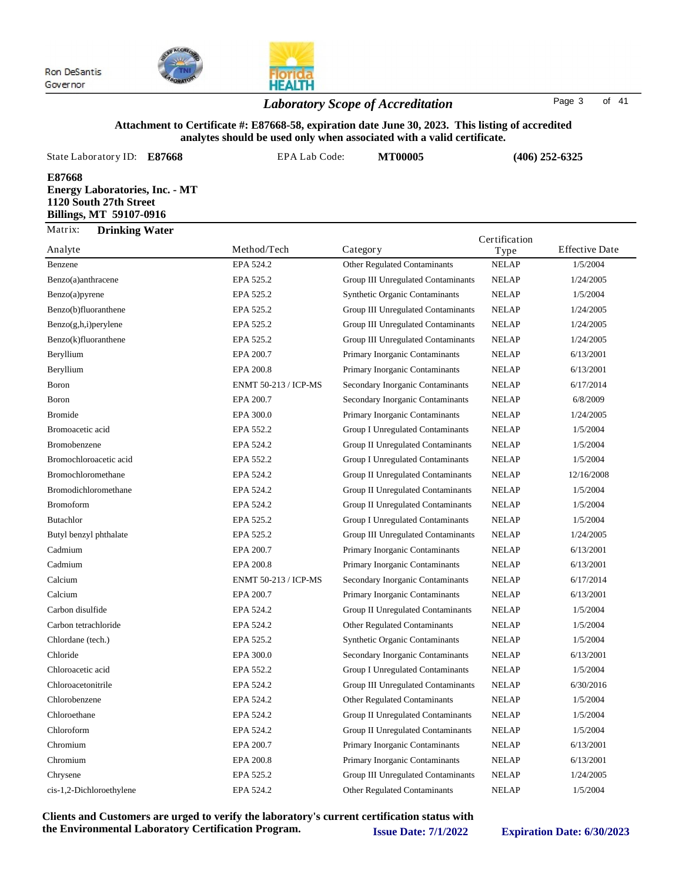

## *Laboratory Scope of Accreditation* Page <sup>3</sup> of <sup>41</sup>

#### **Attachment to Certificate #: E87668-58, expiration date June 30, 2023. This listing of accredited analytes should be used only when associated with a valid certificate.**

| State Laboratory ID:<br>E87668                                                                       | EPA Lab Code: | <b>MT00005</b>                        |                       | $(406)$ 252-6325      |
|------------------------------------------------------------------------------------------------------|---------------|---------------------------------------|-----------------------|-----------------------|
| E87668<br><b>Energy Laboratories, Inc. - MT</b><br>1120 South 27th Street<br>Billings, MT 59107-0916 |               |                                       |                       |                       |
| Matrix:<br><b>Drinking Water</b><br>Analyte                                                          | Method/Tech   | Category                              | Certification<br>Type | <b>Effective Date</b> |
| Benzene                                                                                              | EPA 524.2     | <b>Other Regulated Contaminants</b>   | <b>NELAP</b>          | 1/5/2004              |
| Benzo(a)anthracene                                                                                   | EPA 525.2     | Group III Unregulated Contaminants    | <b>NELAP</b>          | 1/24/2005             |
| Benzo(a)pyrene                                                                                       | EPA 525.2     | <b>Synthetic Organic Contaminants</b> | <b>NELAP</b>          | 1/5/2004              |
| Benzo(b)fluoranthene                                                                                 | EPA 525.2     | Group III Unregulated Contaminants    | <b>NELAP</b>          | 1/24/2005             |
| $Benzo(g,h,i)$ per ylene                                                                             | EPA 525.2     | Group III Unregulated Contaminants    | <b>NELAP</b>          | 1/24/2005             |
| Benzo(k)fluoranthene                                                                                 | EPA 525.2     | Group III Unregulated Contaminants    | <b>NELAP</b>          | 1/24/2005             |
| Beryllium                                                                                            | EPA 200.7     | Primary Inorganic Contaminants        | <b>NELAP</b>          | 6/13/2001             |
| Beryllium                                                                                            | EPA 200.8     | Primary Inorganic Contaminants        | <b>NELAP</b>          | 6/13/2001             |

| Benzo(a)anthracene       | EPA 525.2                   | Group III Unregulated Contaminants    | <b>NELAP</b> | 1/24/2005  |
|--------------------------|-----------------------------|---------------------------------------|--------------|------------|
| Benzo(a)pyrene           | EPA 525.2                   | <b>Synthetic Organic Contaminants</b> | <b>NELAP</b> | 1/5/2004   |
| Benzo(b)fluoranthene     | EPA 525.2                   | Group III Unregulated Contaminants    | <b>NELAP</b> | 1/24/2005  |
| $Benzo(g,h,i)$ per ylene | EPA 525.2                   | Group III Unregulated Contaminants    | <b>NELAP</b> | 1/24/2005  |
| Benzo(k)fluoranthene     | EPA 525.2                   | Group III Unregulated Contaminants    | <b>NELAP</b> | 1/24/2005  |
| Beryllium                | EPA 200.7                   | Primary Inorganic Contaminants        | <b>NELAP</b> | 6/13/2001  |
| Beryllium                | EPA 200.8                   | Primary Inorganic Contaminants        | <b>NELAP</b> | 6/13/2001  |
| Boron                    | <b>ENMT 50-213 / ICP-MS</b> | Secondary Inorganic Contaminants      | <b>NELAP</b> | 6/17/2014  |
| Boron                    | EPA 200.7                   | Secondary Inorganic Contaminants      | <b>NELAP</b> | 6/8/2009   |
| <b>Bromide</b>           | EPA 300.0                   | Primary Inorganic Contaminants        | <b>NELAP</b> | 1/24/2005  |
| Bromoacetic acid         | EPA 552.2                   | Group I Unregulated Contaminants      | <b>NELAP</b> | 1/5/2004   |
| Bromobenzene             | EPA 524.2                   | Group II Unregulated Contaminants     | <b>NELAP</b> | 1/5/2004   |
| Bromochloroacetic acid   | EPA 552.2                   | Group I Unregulated Contaminants      | <b>NELAP</b> | 1/5/2004   |
| Bromochloromethane       | EPA 524.2                   | Group II Unregulated Contaminants     | <b>NELAP</b> | 12/16/2008 |
| Bromodichloromethane     | EPA 524.2                   | Group II Unregulated Contaminants     | <b>NELAP</b> | 1/5/2004   |
| <b>Bromoform</b>         | EPA 524.2                   | Group II Unregulated Contaminants     | <b>NELAP</b> | 1/5/2004   |
| <b>Butachlor</b>         | EPA 525.2                   | Group I Unregulated Contaminants      | <b>NELAP</b> | 1/5/2004   |
| Butyl benzyl phthalate   | EPA 525.2                   | Group III Unregulated Contaminants    | <b>NELAP</b> | 1/24/2005  |
| Cadmium                  | EPA 200.7                   | Primary Inorganic Contaminants        | <b>NELAP</b> | 6/13/2001  |
| Cadmium                  | EPA 200.8                   | Primary Inorganic Contaminants        | <b>NELAP</b> | 6/13/2001  |
| Calcium                  | ENMT 50-213 / ICP-MS        | Secondary Inorganic Contaminants      | <b>NELAP</b> | 6/17/2014  |
| Calcium                  | EPA 200.7                   | Primary Inorganic Contaminants        | <b>NELAP</b> | 6/13/2001  |
| Carbon disulfide         | EPA 524.2                   | Group II Unregulated Contaminants     | <b>NELAP</b> | 1/5/2004   |
| Carbon tetrachloride     | EPA 524.2                   | Other Regulated Contaminants          | <b>NELAP</b> | 1/5/2004   |
| Chlordane (tech.)        | EPA 525.2                   | Synthetic Organic Contaminants        | <b>NELAP</b> | 1/5/2004   |
| Chloride                 | EPA 300.0                   | Secondary Inorganic Contaminants      | <b>NELAP</b> | 6/13/2001  |
| Chloroacetic acid        | EPA 552.2                   | Group I Unregulated Contaminants      | <b>NELAP</b> | 1/5/2004   |
| Chloroacetonitrile       | EPA 524.2                   | Group III Unregulated Contaminants    | <b>NELAP</b> | 6/30/2016  |
| Chlorobenzene            | EPA 524.2                   | Other Regulated Contaminants          | <b>NELAP</b> | 1/5/2004   |
| Chloroethane             | EPA 524.2                   | Group II Unregulated Contaminants     | <b>NELAP</b> | 1/5/2004   |
| Chloroform               | EPA 524.2                   | Group II Unregulated Contaminants     | <b>NELAP</b> | 1/5/2004   |
| Chromium                 | EPA 200.7                   | Primary Inorganic Contaminants        | <b>NELAP</b> | 6/13/2001  |
| Chromium                 | EPA 200.8                   | Primary Inorganic Contaminants        | <b>NELAP</b> | 6/13/2001  |
| Chrysene                 | EPA 525.2                   | Group III Unregulated Contaminants    | <b>NELAP</b> | 1/24/2005  |
| cis-1,2-Dichloroethylene | EPA 524.2                   | <b>Other Regulated Contaminants</b>   | <b>NELAP</b> | 1/5/2004   |
|                          |                             |                                       |              |            |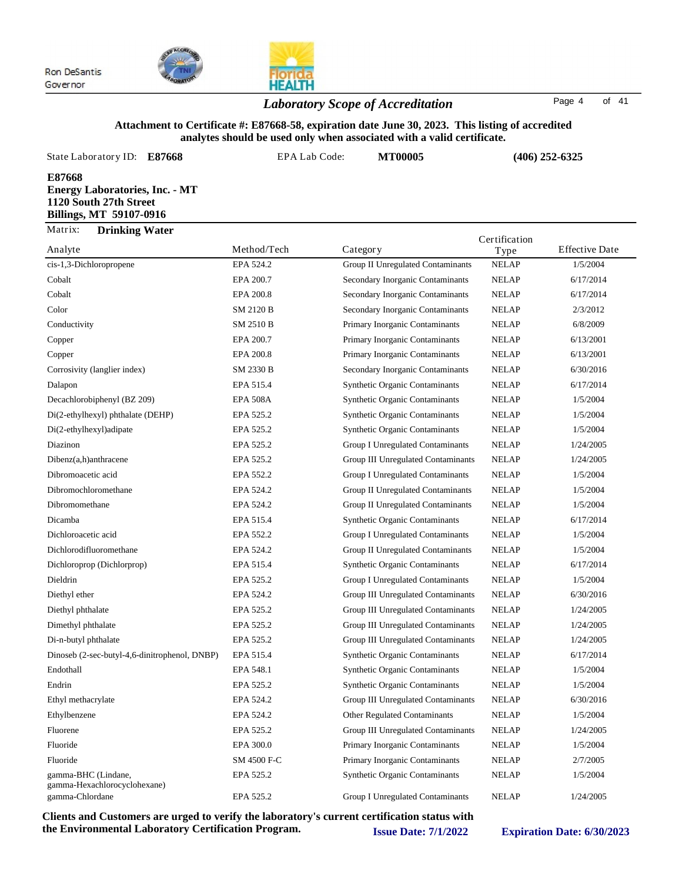

## *Laboratory Scope of Accreditation* Page <sup>4</sup> of <sup>41</sup>

#### **Attachment to Certificate #: E87668-58, expiration date June 30, 2023. This listing of accredited analytes should be used only when associated with a valid certificate.**

| State Laboratory ID:<br>E87668                                                                       | EPA Lab Code:                      | <b>MT00005</b>                    |                  | $(406)$ 252-6325      |
|------------------------------------------------------------------------------------------------------|------------------------------------|-----------------------------------|------------------|-----------------------|
| E87668<br><b>Energy Laboratories, Inc. - MT</b><br>1120 South 27th Street<br>Billings, MT 59107-0916 |                                    |                                   |                  |                       |
| Matrix:<br><b>Drinking Water</b>                                                                     |                                    |                                   | Certification    |                       |
| Analyte                                                                                              | Method/Tech                        | Category                          | Type             | <b>Effective Date</b> |
| cis-1,3-Dichloropropene                                                                              | EPA 524.2                          | Group II Unregulated Contaminants | <b>NELAP</b>     | 1/5/2004              |
| Cobalt                                                                                               | EPA 200.7                          | Secondary Inorganic Contaminants  | <b>NELAP</b>     | 6/17/2014             |
| Cobalt                                                                                               | EPA 200.8                          | Secondary Inorganic Contaminants  | <b>NELAP</b>     | 6/17/2014             |
| Color                                                                                                | <b>SM 2120 B</b>                   | Secondary Inorganic Contaminants  | <b>NELAP</b>     | 2/3/2012              |
| $-1$ $-1$ $-1$                                                                                       | $\sim$ $\sim$ $\sim$ $\sim$ $\sim$ | .                                 | <b>ATTY 1 TH</b> | 2000000               |

| Covan                                               | EFA 200.7       | Secondary morganic Comanimants          | INDLAI       | 0/11/2014 |
|-----------------------------------------------------|-----------------|-----------------------------------------|--------------|-----------|
| Cobalt                                              | EPA 200.8       | Secondary Inorganic Contaminants        | <b>NELAP</b> | 6/17/2014 |
| Color                                               | SM 2120 B       | Secondary Inorganic Contaminants        | <b>NELAP</b> | 2/3/2012  |
| Conductivity                                        | SM 2510 B       | Primary Inorganic Contaminants          | <b>NELAP</b> | 6/8/2009  |
| Copper                                              | EPA 200.7       | Primary Inorganic Contaminants          | <b>NELAP</b> | 6/13/2001 |
| Copper                                              | EPA 200.8       | Primary Inorganic Contaminants          | <b>NELAP</b> | 6/13/2001 |
| Corrosivity (langlier index)                        | SM 2330 B       | Secondary Inorganic Contaminants        | <b>NELAP</b> | 6/30/2016 |
| Dalapon                                             | EPA 515.4       | Synthetic Organic Contaminants          | <b>NELAP</b> | 6/17/2014 |
| Decachlorobiphenyl (BZ 209)                         | <b>EPA 508A</b> | Synthetic Organic Contaminants          | <b>NELAP</b> | 1/5/2004  |
| Di(2-ethylhexyl) phthalate (DEHP)                   | EPA 525.2       | <b>Synthetic Organic Contaminants</b>   | <b>NELAP</b> | 1/5/2004  |
| Di(2-ethylhexyl)adipate                             | EPA 525.2       | <b>Synthetic Organic Contaminants</b>   | <b>NELAP</b> | 1/5/2004  |
| Diazinon                                            | EPA 525.2       | <b>Group I Unregulated Contaminants</b> | <b>NELAP</b> | 1/24/2005 |
| Dibenz(a,h)anthracene                               | EPA 525.2       | Group III Unregulated Contaminants      | <b>NELAP</b> | 1/24/2005 |
| Dibromoacetic acid                                  | EPA 552.2       | Group I Unregulated Contaminants        | NELAP        | 1/5/2004  |
| Dibromochloromethane                                | EPA 524.2       | Group II Unregulated Contaminants       | <b>NELAP</b> | 1/5/2004  |
| Dibromomethane                                      | EPA 524.2       | Group II Unregulated Contaminants       | <b>NELAP</b> | 1/5/2004  |
| Dicamba                                             | EPA 515.4       | Synthetic Organic Contaminants          | <b>NELAP</b> | 6/17/2014 |
| Dichloroacetic acid                                 | EPA 552.2       | Group I Unregulated Contaminants        | <b>NELAP</b> | 1/5/2004  |
| Dichlorodifluoromethane                             | EPA 524.2       | Group II Unregulated Contaminants       | <b>NELAP</b> | 1/5/2004  |
| Dichloroprop (Dichlorprop)                          | EPA 515.4       | <b>Synthetic Organic Contaminants</b>   | <b>NELAP</b> | 6/17/2014 |
| Dieldrin                                            | EPA 525.2       | <b>Group I Unregulated Contaminants</b> | <b>NELAP</b> | 1/5/2004  |
| Diethyl ether                                       | EPA 524.2       | Group III Unregulated Contaminants      | <b>NELAP</b> | 6/30/2016 |
| Diethyl phthalate                                   | EPA 525.2       | Group III Unregulated Contaminants      | <b>NELAP</b> | 1/24/2005 |
| Dimethyl phthalate                                  | EPA 525.2       | Group III Unregulated Contaminants      | <b>NELAP</b> | 1/24/2005 |
| Di-n-butyl phthalate                                | EPA 525.2       | Group III Unregulated Contaminants      | <b>NELAP</b> | 1/24/2005 |
| Dinoseb (2-sec-butyl-4,6-dinitrophenol, DNBP)       | EPA 515.4       | Synthetic Organic Contaminants          | <b>NELAP</b> | 6/17/2014 |
| Endothall                                           | EPA 548.1       | Synthetic Organic Contaminants          | <b>NELAP</b> | 1/5/2004  |
| Endrin                                              | EPA 525.2       | <b>Synthetic Organic Contaminants</b>   | <b>NELAP</b> | 1/5/2004  |
| Ethyl methacrylate                                  | EPA 524.2       | Group III Unregulated Contaminants      | <b>NELAP</b> | 6/30/2016 |
| Ethylbenzene                                        | EPA 524.2       | Other Regulated Contaminants            | <b>NELAP</b> | 1/5/2004  |
| Fluorene                                            | EPA 525.2       | Group III Unregulated Contaminants      | <b>NELAP</b> | 1/24/2005 |
| Fluoride                                            | EPA 300.0       | Primary Inorganic Contaminants          | <b>NELAP</b> | 1/5/2004  |
| Fluoride                                            | SM 4500 F-C     | Primary Inorganic Contaminants          | <b>NELAP</b> | 2/7/2005  |
| gamma-BHC (Lindane,<br>gamma-Hexachlorocyclohexane) | EPA 525.2       | Synthetic Organic Contaminants          | <b>NELAP</b> | 1/5/2004  |
| gamma-Chlordane                                     | EPA 525.2       | <b>Group I Unregulated Contaminants</b> | <b>NELAP</b> | 1/24/2005 |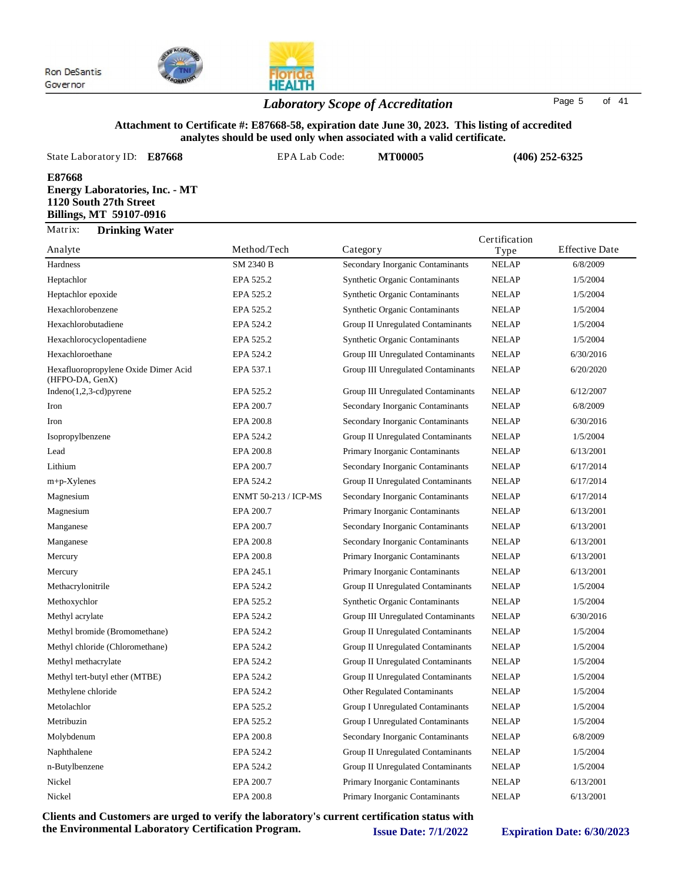(HFPO-DA, GenX)



### *Laboratory Scope of Accreditation* Page <sup>5</sup> of <sup>41</sup>

#### **Attachment to Certificate #: E87668-58, expiration date June 30, 2023. This listing of accredited analytes should be used only when associated with a valid certificate.**

| State Laboratory ID:<br>E87668                                                                       | EPA Lab Code: | <b>MT00005</b>                        |               | $(406)$ 252-6325      |
|------------------------------------------------------------------------------------------------------|---------------|---------------------------------------|---------------|-----------------------|
| E87668<br><b>Energy Laboratories, Inc. - MT</b><br>1120 South 27th Street<br>Billings, MT 59107-0916 |               |                                       |               |                       |
| Matrix:<br><b>Drinking Water</b>                                                                     |               |                                       | Certification |                       |
| Analyte                                                                                              | Method/Tech   | Category                              | Type          | <b>Effective Date</b> |
| Hardness                                                                                             | SM 2340 B     | Secondary Inorganic Contaminants      | <b>NELAP</b>  | 6/8/2009              |
| Heptachlor                                                                                           | EPA 525.2     | <b>Synthetic Organic Contaminants</b> | <b>NELAP</b>  | 1/5/2004              |
| Heptachlor epoxide                                                                                   | EPA 525.2     | <b>Synthetic Organic Contaminants</b> | <b>NELAP</b>  | 1/5/2004              |
| Hexachlorobenzene                                                                                    | EPA 525.2     | <b>Synthetic Organic Contaminants</b> | <b>NELAP</b>  | 1/5/2004              |
| Hexachlorobutadiene                                                                                  | EPA 524.2     | Group II Unregulated Contaminants     | <b>NELAP</b>  | 1/5/2004              |
| Hexachlorocyclopentadiene                                                                            | EPA 525.2     | <b>Synthetic Organic Contaminants</b> | <b>NELAP</b>  | 1/5/2004              |
| Hexachloroethane                                                                                     | EPA 524.2     | Group III Unregulated Contaminants    | <b>NELAP</b>  | 6/30/2016             |

Hexafluoropropylene Oxide Dimer Acid EPA 537.1 Group III Unregulated Contaminants NELAP 6/20/2020

Indeno(1,2,3-cd)pyrene EPA 525.2 Group III Unregulated Contaminants NELAP 6/12/2007 Iron EPA 200.7 Secondary Inorganic Contaminants NELAP 6/8/2009 Iron EPA 200.8 Secondary Inorganic Contaminants NELAP 6/30/2016 Isopropylbenzene EPA 524.2 Group II Unregulated Contaminants NELAP 1/5/2004 Lead EPA 200.8 Primary Inorganic Contaminants NELAP 6/13/2001 Lithium EPA 200.7 Secondary Inorganic Contaminants NELAP 6/17/2014 m+p-Xylenes EPA 524.2 Group II Unregulated Contaminants NELAP 6/17/2014 Magnesium ENMT 50-213 / ICP-MS Secondary Inorganic Contaminants NELAP 6/17/2014 Magnesium EPA 200.7 Primary Inorganic Contaminants NELAP 6/13/2001 Manganese EPA 200.7 Secondary Inorganic Contaminants NELAP 6/13/2001 Manganese EPA 200.8 Secondary Inorganic Contaminants NELAP 6/13/2001 Mercury EPA 200.8 Primary Inorganic Contaminants NELAP 6/13/2001 Mercury EPA 245.1 Primary Inorganic Contaminants NELAP 6/13/2001 Methacrylonitrile **EPA 524.2** Group II Unregulated Contaminants NELAP 1/5/2004 Methoxychlor **EPA 525.2** Synthetic Organic Contaminants NELAP 1/5/2004 Methyl acrylate EPA 524.2 Group III Unregulated Contaminants NELAP 6/30/2016 Methyl bromide (Bromomethane) EPA 524.2 Group II Unregulated Contaminants NELAP 1/5/2004 Methyl chloride (Chloromethane) EPA 524.2 Group II Unregulated Contaminants NELAP 1/5/2004 Methyl methacrylate **EPA 524.2** Group II Unregulated Contaminants NELAP 1/5/2004 Methyl tert-butyl ether (MTBE) EPA 524.2 Group II Unregulated Contaminants NELAP 1/5/2004 Methylene chloride **EPA 524.2** Other Regulated Contaminants NELAP 1/5/2004 Metolachlor EPA 525.2 Group I Unregulated Contaminants NELAP 1/5/2004 Metribuzin EPA 525.2 Group I Unregulated Contaminants NELAP 1/5/2004 Molybdenum EPA 200.8 Secondary Inorganic Contaminants NELAP 6/8/2009 Naphthalene **EPA 524.2** Group II Unregulated Contaminants NELAP 1/5/2004 n-Butylbenzene **EPA 524.2** Group II Unregulated Contaminants NELAP 1/5/2004 Nickel EPA 200.7 Primary Inorganic Contaminants NELAP 6/13/2001 Nickel EPA 200.8 Primary Inorganic Contaminants NELAP 6/13/2001

Group III Unregulated Contaminants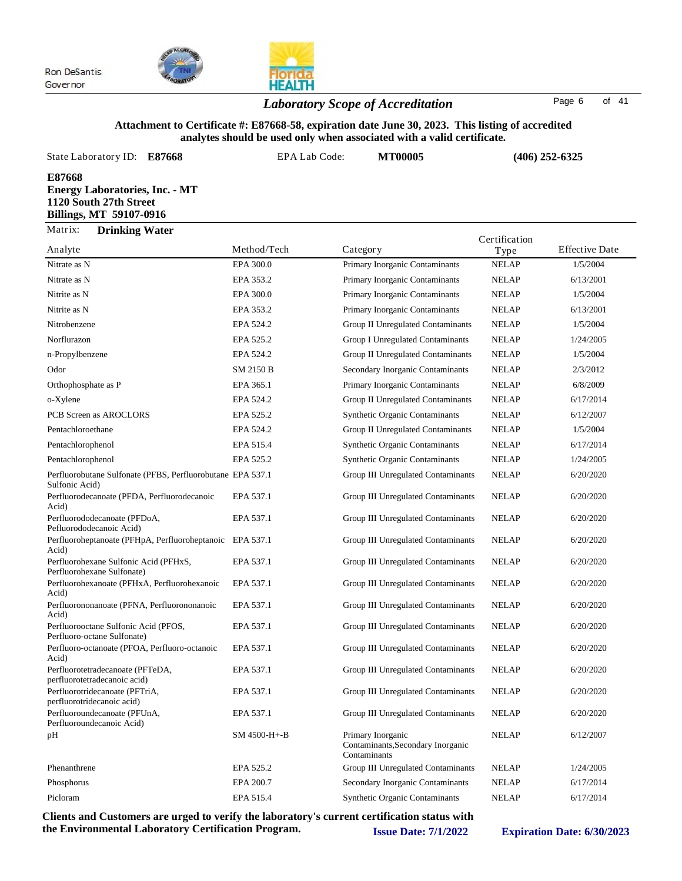



## *Laboratory Scope of Accreditation* Page <sup>6</sup> of <sup>41</sup>

### **Attachment to Certificate #: E87668-58, expiration date June 30, 2023. This listing of accredited analytes should be used only when associated with a valid certificate.**

| State Laboratory ID:<br>E87668                                                                       | EPA Lab Code: | <b>MT00005</b>                 | $(406)$ 252-6325 |                       |
|------------------------------------------------------------------------------------------------------|---------------|--------------------------------|------------------|-----------------------|
| E87668<br><b>Energy Laboratories, Inc. - MT</b><br>1120 South 27th Street<br>Billings, MT 59107-0916 |               |                                |                  |                       |
| Matrix:<br><b>Drinking Water</b>                                                                     |               |                                | Certification    |                       |
| Analyte                                                                                              | Method/Tech   | Category                       | Type             | <b>Effective Date</b> |
| Nitrate as N                                                                                         | EPA 300.0     | Primary Inorganic Contaminants | <b>NELAP</b>     | 1/5/2004              |

| Nitrate as N                                                                 | EPA 300.0    | Primary Inorganic Contaminants                                         | <b>NELAP</b> | 1/5/2004  |
|------------------------------------------------------------------------------|--------------|------------------------------------------------------------------------|--------------|-----------|
| Nitrate as N                                                                 | EPA 353.2    | Primary Inorganic Contaminants                                         | <b>NELAP</b> | 6/13/2001 |
| Nitrite as N                                                                 | EPA 300.0    | Primary Inorganic Contaminants                                         | <b>NELAP</b> | 1/5/2004  |
| Nitrite as N                                                                 | EPA 353.2    | Primary Inorganic Contaminants                                         | <b>NELAP</b> | 6/13/2001 |
| Nitrobenzene                                                                 | EPA 524.2    | Group II Unregulated Contaminants                                      | <b>NELAP</b> | 1/5/2004  |
| Norflurazon                                                                  | EPA 525.2    | Group I Unregulated Contaminants                                       | <b>NELAP</b> | 1/24/2005 |
| n-Propylbenzene                                                              | EPA 524.2    | Group II Unregulated Contaminants                                      | <b>NELAP</b> | 1/5/2004  |
| Odor                                                                         | SM 2150 B    | Secondary Inorganic Contaminants                                       | <b>NELAP</b> | 2/3/2012  |
| Orthophosphate as P                                                          | EPA 365.1    | Primary Inorganic Contaminants                                         | <b>NELAP</b> | 6/8/2009  |
| o-Xylene                                                                     | EPA 524.2    | Group II Unregulated Contaminants                                      | <b>NELAP</b> | 6/17/2014 |
| PCB Screen as AROCLORS                                                       | EPA 525.2    | <b>Synthetic Organic Contaminants</b>                                  | <b>NELAP</b> | 6/12/2007 |
| Pentachloroethane                                                            | EPA 524.2    | Group II Unregulated Contaminants                                      | <b>NELAP</b> | 1/5/2004  |
| Pentachlorophenol                                                            | EPA 515.4    | <b>Synthetic Organic Contaminants</b>                                  | <b>NELAP</b> | 6/17/2014 |
| Pentachlorophenol                                                            | EPA 525.2    | Synthetic Organic Contaminants                                         | <b>NELAP</b> | 1/24/2005 |
| Perfluorobutane Sulfonate (PFBS, Perfluorobutane EPA 537.1<br>Sulfonic Acid) |              | Group III Unregulated Contaminants                                     | <b>NELAP</b> | 6/20/2020 |
| Perfluorodecanoate (PFDA, Perfluorodecanoic<br>Acid)                         | EPA 537.1    | Group III Unregulated Contaminants                                     | <b>NELAP</b> | 6/20/2020 |
| Perfluorododecanoate (PFDoA,<br>Pefluorododecanoic Acid)                     | EPA 537.1    | Group III Unregulated Contaminants                                     | <b>NELAP</b> | 6/20/2020 |
| Perfluoroheptanoate (PFHpA, Perfluoroheptanoic<br>Acid)                      | EPA 537.1    | Group III Unregulated Contaminants                                     | <b>NELAP</b> | 6/20/2020 |
| Perfluorohexane Sulfonic Acid (PFHxS,<br>Perfluorohexane Sulfonate)          | EPA 537.1    | Group III Unregulated Contaminants                                     | <b>NELAP</b> | 6/20/2020 |
| Perfluorohexanoate (PFHxA, Perfluorohexanoic<br>Acid)                        | EPA 537.1    | Group III Unregulated Contaminants                                     | <b>NELAP</b> | 6/20/2020 |
| Perfluorononanoate (PFNA, Perfluorononanoic<br>Acid)                         | EPA 537.1    | Group III Unregulated Contaminants                                     | <b>NELAP</b> | 6/20/2020 |
| Perfluorooctane Sulfonic Acid (PFOS,<br>Perfluoro-octane Sulfonate)          | EPA 537.1    | Group III Unregulated Contaminants                                     | <b>NELAP</b> | 6/20/2020 |
| Perfluoro-octanoate (PFOA, Perfluoro-octanoic<br>Acid)                       | EPA 537.1    | Group III Unregulated Contaminants                                     | <b>NELAP</b> | 6/20/2020 |
| Perfluorotetradecanoate (PFTeDA,<br>perfluorotetradecanoic acid)             | EPA 537.1    | Group III Unregulated Contaminants                                     | <b>NELAP</b> | 6/20/2020 |
| Perfluorotridecanoate (PFTriA,<br>perfluorotridecanoic acid)                 | EPA 537.1    | Group III Unregulated Contaminants                                     | <b>NELAP</b> | 6/20/2020 |
| Perfluoroundecanoate (PFUnA,<br>Perfluoroundecanoic Acid)                    | EPA 537.1    | Group III Unregulated Contaminants                                     | <b>NELAP</b> | 6/20/2020 |
| pH                                                                           | SM 4500-H+-B | Primary Inorganic<br>Contaminants, Secondary Inorganic<br>Contaminants | <b>NELAP</b> | 6/12/2007 |
| Phenanthrene                                                                 | EPA 525.2    | Group III Unregulated Contaminants                                     | <b>NELAP</b> | 1/24/2005 |
| Phosphorus                                                                   | EPA 200.7    | Secondary Inorganic Contaminants                                       | <b>NELAP</b> | 6/17/2014 |
| Picloram                                                                     | EPA 515.4    | <b>Synthetic Organic Contaminants</b>                                  | <b>NELAP</b> | 6/17/2014 |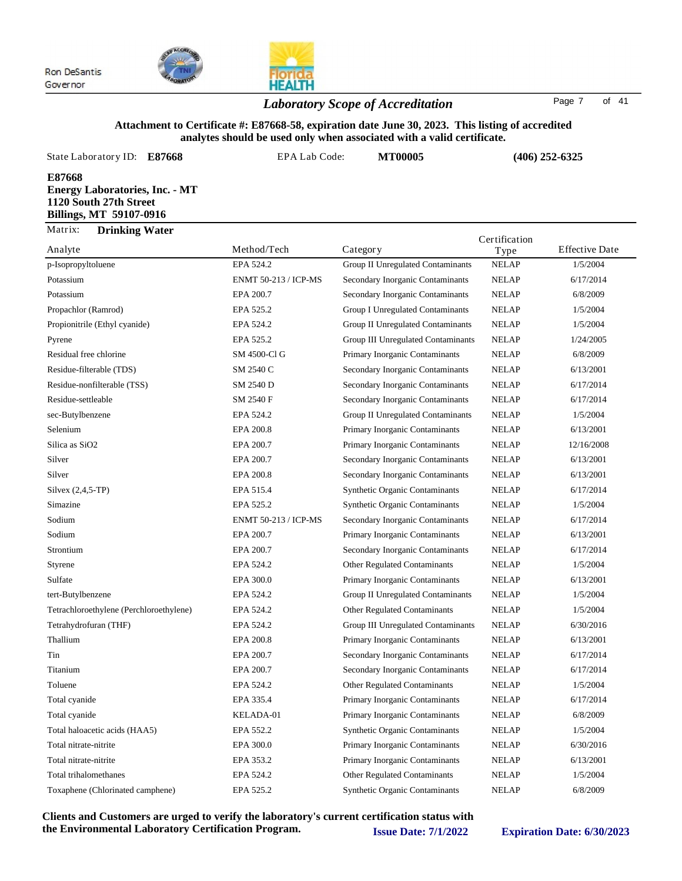

## *Laboratory Scope of Accreditation* Page <sup>7</sup> of <sup>41</sup>

#### **Attachment to Certificate #: E87668-58, expiration date June 30, 2023. This listing of accredited analytes should be used only when associated with a valid certificate.**

| State Laboratory ID:<br>E87668                                                                       | EPA Lab Code:               | <b>MT00005</b>                    | $(406)$ 252-6325      |                       |
|------------------------------------------------------------------------------------------------------|-----------------------------|-----------------------------------|-----------------------|-----------------------|
| E87668<br><b>Energy Laboratories, Inc. - MT</b><br>1120 South 27th Street<br>Billings, MT 59107-0916 |                             |                                   |                       |                       |
| Matrix:<br><b>Drinking Water</b><br>Analyte                                                          | Method/Tech                 | Category                          | Certification<br>Type | <b>Effective Date</b> |
| p-Isopropyltoluene                                                                                   | EPA 524.2                   | Group II Unregulated Contaminants | <b>NELAP</b>          | 1/5/2004              |
| Potassium                                                                                            | <b>ENMT 50-213 / ICP-MS</b> | Secondary Inorganic Contaminants  | <b>NELAP</b>          | 6/17/2014             |
| Potassium                                                                                            | EPA 200.7                   | Secondary Inorganic Contaminants  | <b>NELAP</b>          | 6/8/2009              |
| Propachlor (Ramrod)                                                                                  | EPA 525.2                   | Group I Unregulated Contaminants  | <b>NELAP</b>          | 1/5/2004              |
| Propionitrile (Ethyl cyanide)                                                                        | EPA 524.2                   | Group II Unregulated Contaminants | <b>NELAP</b>          | 1/5/2004              |

| Potassium                               | EPA 200.7                   | Secondary Inorganic Contaminants      | <b>NELAP</b> | 6/8/2009   |
|-----------------------------------------|-----------------------------|---------------------------------------|--------------|------------|
| Propachlor (Ramrod)                     | EPA 525.2                   | Group I Unregulated Contaminants      | <b>NELAP</b> | 1/5/2004   |
| Propionitrile (Ethyl cyanide)           | EPA 524.2                   | Group II Unregulated Contaminants     | <b>NELAP</b> | 1/5/2004   |
| Pyrene                                  | EPA 525.2                   | Group III Unregulated Contaminants    | <b>NELAP</b> | 1/24/2005  |
| Residual free chlorine                  | SM 4500-Cl G                | Primary Inorganic Contaminants        | <b>NELAP</b> | 6/8/2009   |
| Residue-filterable (TDS)                | SM 2540 C                   | Secondary Inorganic Contaminants      | <b>NELAP</b> | 6/13/2001  |
| Residue-nonfilterable (TSS)             | SM 2540 D                   | Secondary Inorganic Contaminants      | <b>NELAP</b> | 6/17/2014  |
| Residue-settleable                      | SM 2540 F                   | Secondary Inorganic Contaminants      | <b>NELAP</b> | 6/17/2014  |
| sec-Butylbenzene                        | EPA 524.2                   | Group II Unregulated Contaminants     | <b>NELAP</b> | 1/5/2004   |
| Selenium                                | EPA 200.8                   | Primary Inorganic Contaminants        | <b>NELAP</b> | 6/13/2001  |
| Silica as SiO <sub>2</sub>              | EPA 200.7                   | Primary Inorganic Contaminants        | <b>NELAP</b> | 12/16/2008 |
| Silver                                  | EPA 200.7                   | Secondary Inorganic Contaminants      | <b>NELAP</b> | 6/13/2001  |
| Silver                                  | EPA 200.8                   | Secondary Inorganic Contaminants      | <b>NELAP</b> | 6/13/2001  |
| Silvex (2,4,5-TP)                       | EPA 515.4                   | <b>Synthetic Organic Contaminants</b> | <b>NELAP</b> | 6/17/2014  |
| Simazine                                | EPA 525.2                   | Synthetic Organic Contaminants        | <b>NELAP</b> | 1/5/2004   |
| Sodium                                  | <b>ENMT 50-213 / ICP-MS</b> | Secondary Inorganic Contaminants      | <b>NELAP</b> | 6/17/2014  |
| Sodium                                  | EPA 200.7                   | Primary Inorganic Contaminants        | <b>NELAP</b> | 6/13/2001  |
| Strontium                               | EPA 200.7                   | Secondary Inorganic Contaminants      | <b>NELAP</b> | 6/17/2014  |
| Styrene                                 | EPA 524.2                   | Other Regulated Contaminants          | <b>NELAP</b> | 1/5/2004   |
| Sulfate                                 | EPA 300.0                   | Primary Inorganic Contaminants        | <b>NELAP</b> | 6/13/2001  |
| tert-Butylbenzene                       | EPA 524.2                   | Group II Unregulated Contaminants     | <b>NELAP</b> | 1/5/2004   |
| Tetrachloroethylene (Perchloroethylene) | EPA 524.2                   | Other Regulated Contaminants          | <b>NELAP</b> | 1/5/2004   |
| Tetrahydrofuran (THF)                   | EPA 524.2                   | Group III Unregulated Contaminants    | <b>NELAP</b> | 6/30/2016  |
| Thallium                                | EPA 200.8                   | Primary Inorganic Contaminants        | <b>NELAP</b> | 6/13/2001  |
| Tin                                     | EPA 200.7                   | Secondary Inorganic Contaminants      | <b>NELAP</b> | 6/17/2014  |
| Titanium                                | EPA 200.7                   | Secondary Inorganic Contaminants      | <b>NELAP</b> | 6/17/2014  |
| Toluene                                 | EPA 524.2                   | Other Regulated Contaminants          | <b>NELAP</b> | 1/5/2004   |
| Total cyanide                           | EPA 335.4                   | Primary Inorganic Contaminants        | <b>NELAP</b> | 6/17/2014  |
| Total cyanide                           | KELADA-01                   | Primary Inorganic Contaminants        | <b>NELAP</b> | 6/8/2009   |
| Total haloacetic acids (HAA5)           | EPA 552.2                   | <b>Synthetic Organic Contaminants</b> | <b>NELAP</b> | 1/5/2004   |
| Total nitrate-nitrite                   | EPA 300.0                   | Primary Inorganic Contaminants        | <b>NELAP</b> | 6/30/2016  |
| Total nitrate-nitrite                   | EPA 353.2                   | Primary Inorganic Contaminants        | <b>NELAP</b> | 6/13/2001  |
| Total trihalomethanes                   | EPA 524.2                   | Other Regulated Contaminants          | <b>NELAP</b> | 1/5/2004   |
| Toxaphene (Chlorinated camphene)        | EPA 525.2                   | <b>Synthetic Organic Contaminants</b> | <b>NELAP</b> | 6/8/2009   |
|                                         |                             |                                       |              |            |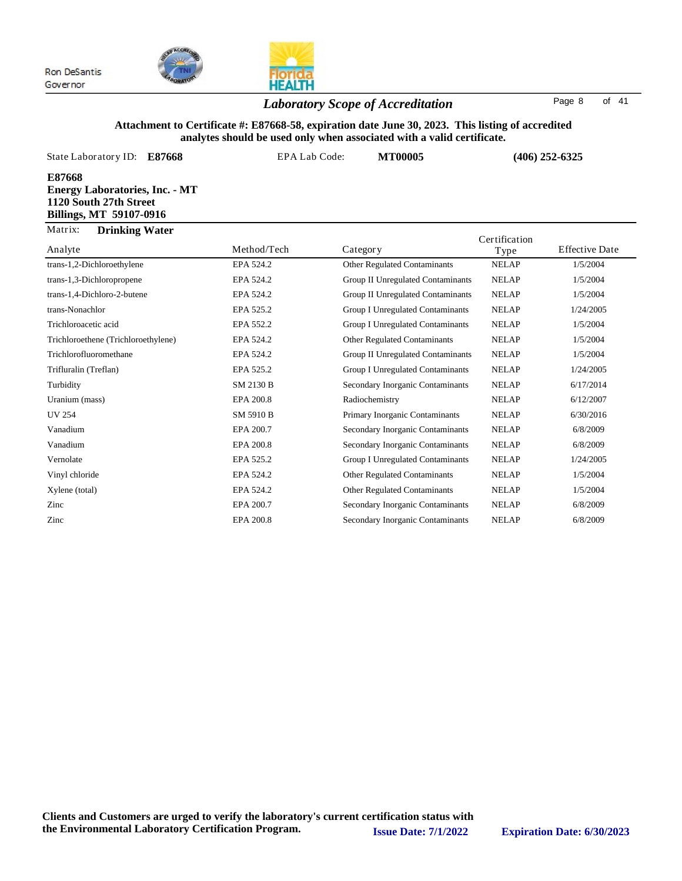

### *Laboratory Scope of Accreditation* Page <sup>8</sup> of <sup>41</sup>

#### **Attachment to Certificate #: E87668-58, expiration date June 30, 2023. This listing of accredited analytes should be used only when associated with a valid certificate.**

|                                                                                                      |               | сэ эноига эс аэса онгу үгнсн азэосласса үгин а үана сегинсате: |               |                       |
|------------------------------------------------------------------------------------------------------|---------------|----------------------------------------------------------------|---------------|-----------------------|
| State Laboratory ID:<br>E87668                                                                       | EPA Lab Code: | <b>MT00005</b>                                                 |               | $(406)$ 252-6325      |
| E87668<br><b>Energy Laboratories, Inc. - MT</b><br>1120 South 27th Street<br>Billings, MT 59107-0916 |               |                                                                |               |                       |
| Matrix:<br><b>Drinking Water</b>                                                                     |               |                                                                | Certification |                       |
| Analyte                                                                                              | Method/Tech   | Category                                                       | Type          | <b>Effective Date</b> |
| trans-1,2-Dichloroethylene                                                                           | EPA 524.2     | <b>Other Regulated Contaminants</b>                            | <b>NELAP</b>  | 1/5/2004              |
| trans-1,3-Dichloropropene                                                                            | EPA 524.2     | Group II Unregulated Contaminants                              | <b>NELAP</b>  | 1/5/2004              |
| trans-1,4-Dichloro-2-butene                                                                          | EPA 524.2     | Group II Unregulated Contaminants                              | <b>NELAP</b>  | 1/5/2004              |
| trans-Nonachlor                                                                                      | EPA 525.2     | <b>Group I Unregulated Contaminants</b>                        | <b>NELAP</b>  | 1/24/2005             |
| Trichloroacetic acid                                                                                 | EPA 552.2     | <b>Group I Unregulated Contaminants</b>                        | <b>NELAP</b>  | 1/5/2004              |
| Trichloroethene (Trichloroethylene)                                                                  | EPA 524.2     | <b>Other Regulated Contaminants</b>                            | <b>NELAP</b>  | 1/5/2004              |
| Trichlorofluoromethane                                                                               | EPA 524.2     | Group II Unregulated Contaminants                              | <b>NELAP</b>  | 1/5/2004              |
| Trifluralin (Treflan)                                                                                | EPA 525.2     | Group I Unregulated Contaminants                               | <b>NELAP</b>  | 1/24/2005             |
| Turbidity                                                                                            | SM 2130 B     | Secondary Inorganic Contaminants                               | <b>NELAP</b>  | 6/17/2014             |
| Uranium (mass)                                                                                       | EPA 200.8     | Radiochemistry                                                 | <b>NELAP</b>  | 6/12/2007             |
| <b>UV 254</b>                                                                                        | SM 5910 B     | Primary Inorganic Contaminants                                 | <b>NELAP</b>  | 6/30/2016             |
| Vanadium                                                                                             | EPA 200.7     | Secondary Inorganic Contaminants                               | <b>NELAP</b>  | 6/8/2009              |
| Vanadium                                                                                             | EPA 200.8     | Secondary Inorganic Contaminants                               | <b>NELAP</b>  | 6/8/2009              |
| Vernolate                                                                                            | EPA 525.2     | Group I Unregulated Contaminants                               | <b>NELAP</b>  | 1/24/2005             |
| Vinyl chloride                                                                                       | EPA 524.2     | <b>Other Regulated Contaminants</b>                            | <b>NELAP</b>  | 1/5/2004              |

Xylene (total) EPA 524.2 Other Regulated Contaminants NELAP 1/5/2004 Zinc EPA 200.7 Secondary Inorganic Contaminants NELAP 6/8/2009 Zinc EPA 200.8 Secondary Inorganic Contaminants NELAP 6/8/2009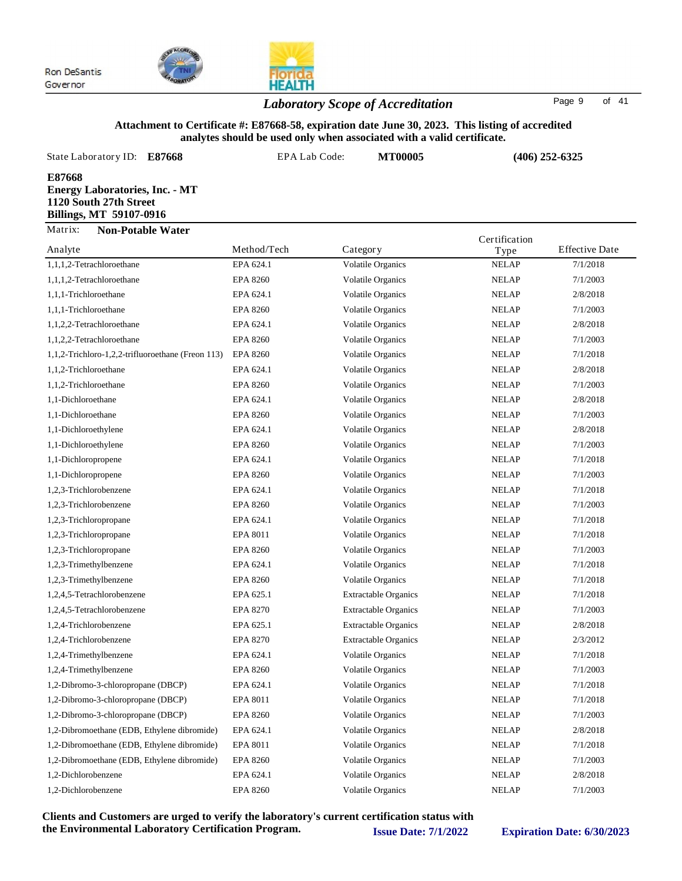

## *Laboratory Scope of Accreditation* Page <sup>9</sup> of <sup>41</sup>

#### **Attachment to Certificate #: E87668-58, expiration date June 30, 2023. This listing of accredited analytes should be used only when associated with a valid certificate.**

| State Laboratory ID: E87668                                                                          | EPA Lab Code: | <b>MT00005</b>                                                                             |               | $(406)$ 252-6325      |
|------------------------------------------------------------------------------------------------------|---------------|--------------------------------------------------------------------------------------------|---------------|-----------------------|
| E87668<br><b>Energy Laboratories, Inc. - MT</b><br>1120 South 27th Street<br>Billings, MT 59107-0916 |               |                                                                                            |               |                       |
| Matrix:<br><b>Non-Potable Water</b>                                                                  |               |                                                                                            | Certification |                       |
| Analyte                                                                                              | Method/Tech   | Category                                                                                   | Type          | <b>Effective Date</b> |
| 1,1,1,2-Tetrachloroethane                                                                            | EPA 624.1     | <b>Volatile Organics</b>                                                                   | <b>NELAP</b>  | 7/1/2018              |
| $11120$ m $1111$                                                                                     | FDA.0200      | $\mathbf{v}$ $\mathbf{v}$ $\mathbf{v}$ $\mathbf{v}$ $\mathbf{v}$ $\mathbf{v}$ $\mathbf{v}$ | AIDI AD       | 710000                |

| 1,1,1,2-Tetrachloroethane                         | EPA 624.1       | <b>Volatile Organics</b>    | <b>NELAP</b> | 7/1/2018 |
|---------------------------------------------------|-----------------|-----------------------------|--------------|----------|
| 1,1,1,2-Tetrachloroethane                         | <b>EPA 8260</b> | <b>Volatile Organics</b>    | <b>NELAP</b> | 7/1/2003 |
| 1,1,1-Trichloroethane                             | EPA 624.1       | Volatile Organics           | <b>NELAP</b> | 2/8/2018 |
| 1,1,1-Trichloroethane                             | <b>EPA 8260</b> | <b>Volatile Organics</b>    | <b>NELAP</b> | 7/1/2003 |
| 1,1,2,2-Tetrachloroethane                         | EPA 624.1       | <b>Volatile Organics</b>    | <b>NELAP</b> | 2/8/2018 |
| 1,1,2,2-Tetrachloroethane                         | <b>EPA 8260</b> | <b>Volatile Organics</b>    | <b>NELAP</b> | 7/1/2003 |
| 1,1,2-Trichloro-1,2,2-trifluoroethane (Freon 113) | <b>EPA 8260</b> | <b>Volatile Organics</b>    | <b>NELAP</b> | 7/1/2018 |
| 1,1,2-Trichloroethane                             | EPA 624.1       | Volatile Organics           | <b>NELAP</b> | 2/8/2018 |
| 1,1,2-Trichloroethane                             | <b>EPA 8260</b> | <b>Volatile Organics</b>    | <b>NELAP</b> | 7/1/2003 |
| 1,1-Dichloroethane                                | EPA 624.1       | <b>Volatile Organics</b>    | <b>NELAP</b> | 2/8/2018 |
| 1,1-Dichloroethane                                | <b>EPA 8260</b> | <b>Volatile Organics</b>    | <b>NELAP</b> | 7/1/2003 |
| 1,1-Dichloroethylene                              | EPA 624.1       | <b>Volatile Organics</b>    | <b>NELAP</b> | 2/8/2018 |
| 1,1-Dichloroethylene                              | <b>EPA 8260</b> | <b>Volatile Organics</b>    | <b>NELAP</b> | 7/1/2003 |
| 1,1-Dichloropropene                               | EPA 624.1       | <b>Volatile Organics</b>    | <b>NELAP</b> | 7/1/2018 |
| 1,1-Dichloropropene                               | <b>EPA 8260</b> | <b>Volatile Organics</b>    | <b>NELAP</b> | 7/1/2003 |
| 1,2,3-Trichlorobenzene                            | EPA 624.1       | <b>Volatile Organics</b>    | <b>NELAP</b> | 7/1/2018 |
| 1,2,3-Trichlorobenzene                            | <b>EPA 8260</b> | <b>Volatile Organics</b>    | <b>NELAP</b> | 7/1/2003 |
| 1,2,3-Trichloropropane                            | EPA 624.1       | <b>Volatile Organics</b>    | <b>NELAP</b> | 7/1/2018 |
| 1,2,3-Trichloropropane                            | EPA 8011        | <b>Volatile Organics</b>    | <b>NELAP</b> | 7/1/2018 |
| 1,2,3-Trichloropropane                            | <b>EPA 8260</b> | Volatile Organics           | <b>NELAP</b> | 7/1/2003 |
| 1,2,3-Trimethylbenzene                            | EPA 624.1       | <b>Volatile Organics</b>    | <b>NELAP</b> | 7/1/2018 |
| 1,2,3-Trimethylbenzene                            | <b>EPA 8260</b> | <b>Volatile Organics</b>    | <b>NELAP</b> | 7/1/2018 |
| 1,2,4,5-Tetrachlorobenzene                        | EPA 625.1       | <b>Extractable Organics</b> | <b>NELAP</b> | 7/1/2018 |
| 1,2,4,5-Tetrachlorobenzene                        | <b>EPA 8270</b> | <b>Extractable Organics</b> | <b>NELAP</b> | 7/1/2003 |
| 1,2,4-Trichlorobenzene                            | EPA 625.1       | <b>Extractable Organics</b> | <b>NELAP</b> | 2/8/2018 |
| 1,2,4-Trichlorobenzene                            | <b>EPA 8270</b> | <b>Extractable Organics</b> | <b>NELAP</b> | 2/3/2012 |
| 1,2,4-Trimethylbenzene                            | EPA 624.1       | <b>Volatile Organics</b>    | <b>NELAP</b> | 7/1/2018 |
| 1,2,4-Trimethylbenzene                            | <b>EPA 8260</b> | <b>Volatile Organics</b>    | <b>NELAP</b> | 7/1/2003 |
| 1,2-Dibromo-3-chloropropane (DBCP)                | EPA 624.1       | <b>Volatile Organics</b>    | <b>NELAP</b> | 7/1/2018 |
| 1,2-Dibromo-3-chloropropane (DBCP)                | EPA 8011        | <b>Volatile Organics</b>    | <b>NELAP</b> | 7/1/2018 |
| 1,2-Dibromo-3-chloropropane (DBCP)                | <b>EPA 8260</b> | <b>Volatile Organics</b>    | <b>NELAP</b> | 7/1/2003 |
| 1,2-Dibromoethane (EDB, Ethylene dibromide)       | EPA 624.1       | Volatile Organics           | <b>NELAP</b> | 2/8/2018 |
| 1,2-Dibromoethane (EDB, Ethylene dibromide)       | EPA 8011        | <b>Volatile Organics</b>    | <b>NELAP</b> | 7/1/2018 |
| 1,2-Dibromoethane (EDB, Ethylene dibromide)       | <b>EPA 8260</b> | <b>Volatile Organics</b>    | <b>NELAP</b> | 7/1/2003 |
| 1,2-Dichlorobenzene                               | EPA 624.1       | Volatile Organics           | <b>NELAP</b> | 2/8/2018 |
| 1,2-Dichlorobenzene                               | <b>EPA 8260</b> | <b>Volatile Organics</b>    | <b>NELAP</b> | 7/1/2003 |
|                                                   |                 |                             |              |          |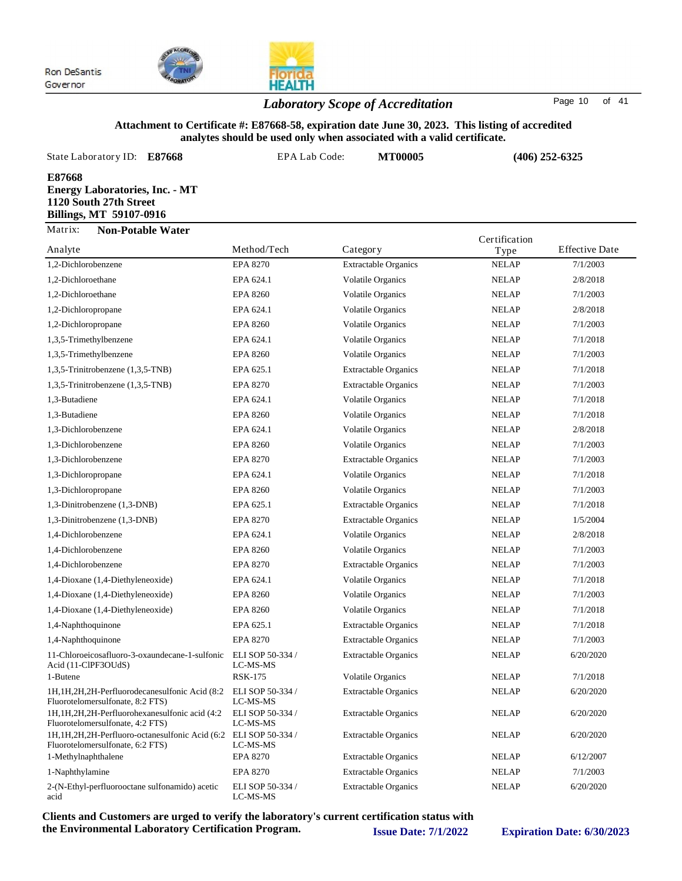

## **HEALTH** *Laboratory Scope of Accreditation* Page <sup>10</sup> of <sup>41</sup>

#### **Attachment to Certificate #: E87668-58, expiration date June 30, 2023. This listing of accredited analytes should be used only when associated with a valid certificate.**

| State Laboratory ID: E87668                                                                                 | EPA Lab Code: | <b>MT00005</b> | $(406)$ 252-6325                                    |
|-------------------------------------------------------------------------------------------------------------|---------------|----------------|-----------------------------------------------------|
| E87668<br><b>Energy Laboratories, Inc. - MT</b><br>1120 South 27th Street<br><b>Billings, MT 59107-0916</b> |               |                |                                                     |
| Matrix:<br><b>Non-Potable Water</b><br>$\Delta$ n a lyte                                                    | Method/Tech   | $C$ ategory    | Certification<br>Effective Date<br>$T_{\text{max}}$ |

| Analyte                                                                               | Method/Tech                  | Category                    | Type         | <b>Effective Date</b> |
|---------------------------------------------------------------------------------------|------------------------------|-----------------------------|--------------|-----------------------|
| 1,2-Dichlorobenzene                                                                   | <b>EPA 8270</b>              | <b>Extractable Organics</b> | <b>NELAP</b> | 7/1/2003              |
| 1,2-Dichloroethane                                                                    | EPA 624.1                    | <b>Volatile Organics</b>    | <b>NELAP</b> | 2/8/2018              |
| 1,2-Dichloroethane                                                                    | <b>EPA 8260</b>              | <b>Volatile Organics</b>    | <b>NELAP</b> | 7/1/2003              |
| 1,2-Dichloropropane                                                                   | EPA 624.1                    | <b>Volatile Organics</b>    | <b>NELAP</b> | 2/8/2018              |
| 1,2-Dichloropropane                                                                   | <b>EPA 8260</b>              | <b>Volatile Organics</b>    | <b>NELAP</b> | 7/1/2003              |
| 1,3,5-Trimethylbenzene                                                                | EPA 624.1                    | <b>Volatile Organics</b>    | <b>NELAP</b> | 7/1/2018              |
| 1,3,5-Trimethylbenzene                                                                | <b>EPA 8260</b>              | <b>Volatile Organics</b>    | <b>NELAP</b> | 7/1/2003              |
| 1,3,5-Trinitrobenzene (1,3,5-TNB)                                                     | EPA 625.1                    | <b>Extractable Organics</b> | <b>NELAP</b> | 7/1/2018              |
| 1,3,5-Trinitrobenzene (1,3,5-TNB)                                                     | <b>EPA 8270</b>              | <b>Extractable Organics</b> | <b>NELAP</b> | 7/1/2003              |
| 1,3-Butadiene                                                                         | EPA 624.1                    | <b>Volatile Organics</b>    | <b>NELAP</b> | 7/1/2018              |
| 1,3-Butadiene                                                                         | <b>EPA 8260</b>              | <b>Volatile Organics</b>    | <b>NELAP</b> | 7/1/2018              |
| 1,3-Dichlorobenzene                                                                   | EPA 624.1                    | <b>Volatile Organics</b>    | <b>NELAP</b> | 2/8/2018              |
| 1,3-Dichlorobenzene                                                                   | <b>EPA 8260</b>              | <b>Volatile Organics</b>    | <b>NELAP</b> | 7/1/2003              |
| 1,3-Dichlorobenzene                                                                   | <b>EPA 8270</b>              | <b>Extractable Organics</b> | <b>NELAP</b> | 7/1/2003              |
| 1,3-Dichloropropane                                                                   | EPA 624.1                    | <b>Volatile Organics</b>    | <b>NELAP</b> | 7/1/2018              |
| 1,3-Dichloropropane                                                                   | <b>EPA 8260</b>              | <b>Volatile Organics</b>    | <b>NELAP</b> | 7/1/2003              |
| 1,3-Dinitrobenzene (1,3-DNB)                                                          | EPA 625.1                    | <b>Extractable Organics</b> | <b>NELAP</b> | 7/1/2018              |
| 1,3-Dinitrobenzene (1,3-DNB)                                                          | <b>EPA 8270</b>              | <b>Extractable Organics</b> | <b>NELAP</b> | 1/5/2004              |
| 1,4-Dichlorobenzene                                                                   | EPA 624.1                    | <b>Volatile Organics</b>    | <b>NELAP</b> | 2/8/2018              |
| 1,4-Dichlorobenzene                                                                   | <b>EPA 8260</b>              | <b>Volatile Organics</b>    | <b>NELAP</b> | 7/1/2003              |
| 1,4-Dichlorobenzene                                                                   | EPA 8270                     | <b>Extractable Organics</b> | <b>NELAP</b> | 7/1/2003              |
| 1,4-Dioxane (1,4-Diethyleneoxide)                                                     | EPA 624.1                    | <b>Volatile Organics</b>    | <b>NELAP</b> | 7/1/2018              |
| 1,4-Dioxane (1,4-Diethyleneoxide)                                                     | <b>EPA 8260</b>              | <b>Volatile Organics</b>    | <b>NELAP</b> | 7/1/2003              |
| 1,4-Dioxane (1,4-Diethyleneoxide)                                                     | <b>EPA 8260</b>              | <b>Volatile Organics</b>    | <b>NELAP</b> | 7/1/2018              |
| 1,4-Naphthoquinone                                                                    | EPA 625.1                    | <b>Extractable Organics</b> | <b>NELAP</b> | 7/1/2018              |
| 1,4-Naphthoquinone                                                                    | <b>EPA 8270</b>              | <b>Extractable Organics</b> | <b>NELAP</b> | 7/1/2003              |
| 11-Chloroeicosafluoro-3-oxaundecane-1-sulfonic<br>Acid (11-ClPF3OUdS)                 | ELI SOP 50-334 /<br>LC-MS-MS | <b>Extractable Organics</b> | <b>NELAP</b> | 6/20/2020             |
| 1-Butene                                                                              | <b>RSK-175</b>               | <b>Volatile Organics</b>    | <b>NELAP</b> | 7/1/2018              |
| 1H, 1H, 2H, 2H-Perfluorodecanesulfonic Acid (8:2)<br>Fluorotelomersulfonate, 8:2 FTS) | ELI SOP 50-334 /<br>LC-MS-MS | <b>Extractable Organics</b> | <b>NELAP</b> | 6/20/2020             |
| 1H, 1H, 2H, 2H-Perfluorohexanesulfonic acid (4:2)<br>Fluorotelomersulfonate, 4:2 FTS) | ELI SOP 50-334 /<br>LC-MS-MS | <b>Extractable Organics</b> | <b>NELAP</b> | 6/20/2020             |
| 1H, 1H, 2H, 2H-Perfluoro-octanesulfonic Acid (6:2<br>Fluorotelomersulfonate, 6:2 FTS) | ELI SOP 50-334 /<br>LC-MS-MS | <b>Extractable Organics</b> | <b>NELAP</b> | 6/20/2020             |
| 1-Methylnaphthalene                                                                   | <b>EPA 8270</b>              | <b>Extractable Organics</b> | <b>NELAP</b> | 6/12/2007             |
| 1-Naphthylamine                                                                       | <b>EPA 8270</b>              | <b>Extractable Organics</b> | <b>NELAP</b> | 7/1/2003              |
| 2-(N-Ethyl-perfluorooctane sulfonamido) acetic<br>acid                                | ELI SOP 50-334 /<br>LC-MS-MS | <b>Extractable Organics</b> | <b>NELAP</b> | 6/20/2020             |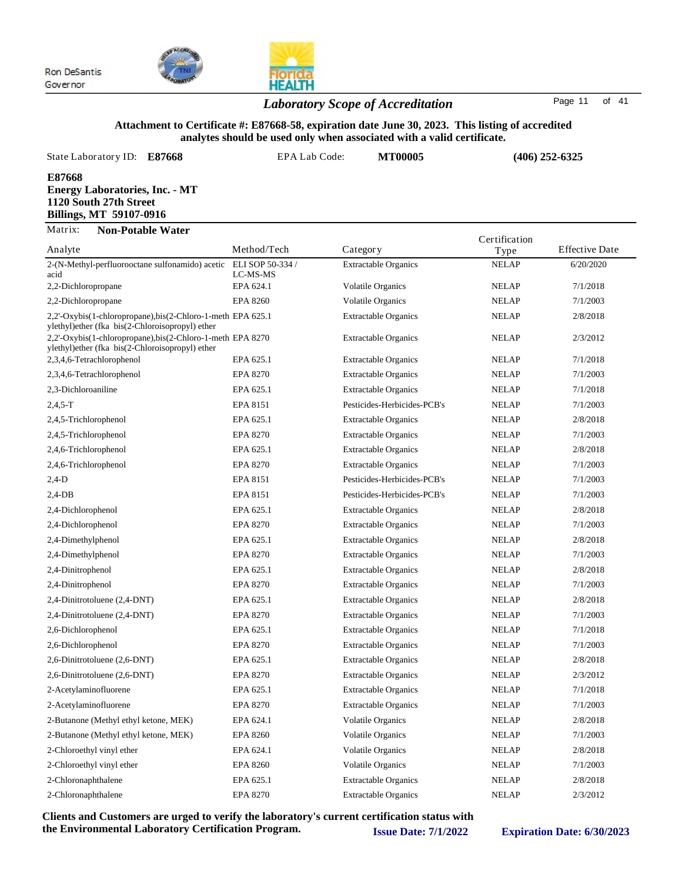

## *Laboratory Scope of Accreditation* Page <sup>11</sup> of <sup>41</sup>

#### **Attachment to Certificate #: E87668-58, expiration date June 30, 2023. This listing of accredited analytes should be used only when associated with a valid certificate.**

| State Laboratory ID:<br>E87668                                                                       | EPA Lab Code: | <b>MT00005</b> | $(406)$ 252-6325      |                       |
|------------------------------------------------------------------------------------------------------|---------------|----------------|-----------------------|-----------------------|
| E87668<br><b>Energy Laboratories, Inc. - MT</b><br>1120 South 27th Street<br>Billings, MT 59107-0916 |               |                |                       |                       |
| Matrix:<br><b>Non-Potable Water</b><br>Analyte                                                       | Method/Tech   | Category       | Certification<br>Type | <b>Effective Date</b> |

| 1 Mary W                                                                                                      |                 | Calegor y                   | 1 ype        | Liittelle Date |
|---------------------------------------------------------------------------------------------------------------|-----------------|-----------------------------|--------------|----------------|
| 2-(N-Methyl-perfluorooctane sulfonamido) acetic ELI SOP 50-334 /<br>acid                                      | LC-MS-MS        | <b>Extractable Organics</b> | <b>NELAP</b> | 6/20/2020      |
| 2,2-Dichloropropane                                                                                           | EPA 624.1       | <b>Volatile Organics</b>    | <b>NELAP</b> | 7/1/2018       |
| 2,2-Dichloropropane                                                                                           | <b>EPA 8260</b> | <b>Volatile Organics</b>    | <b>NELAP</b> | 7/1/2003       |
| 2,2'-Oxybis(1-chloropropane),bis(2-Chloro-1-meth EPA 625.1<br>ylethyl)ether (fka bis(2-Chloroisopropyl) ether |                 | <b>Extractable Organics</b> | <b>NELAP</b> | 2/8/2018       |
| 2,2'-Oxybis(1-chloropropane),bis(2-Chloro-1-meth EPA 8270<br>ylethyl)ether (fka bis(2-Chloroisopropyl) ether  |                 | <b>Extractable Organics</b> | <b>NELAP</b> | 2/3/2012       |
| 2,3,4,6-Tetrachlorophenol                                                                                     | EPA 625.1       | <b>Extractable Organics</b> | <b>NELAP</b> | 7/1/2018       |
| 2,3,4,6-Tetrachlorophenol                                                                                     | <b>EPA 8270</b> | <b>Extractable Organics</b> | <b>NELAP</b> | 7/1/2003       |
| 2,3-Dichloroaniline                                                                                           | EPA 625.1       | <b>Extractable Organics</b> | <b>NELAP</b> | 7/1/2018       |
| $2,4,5-T$                                                                                                     | EPA 8151        | Pesticides-Herbicides-PCB's | <b>NELAP</b> | 7/1/2003       |
| 2,4,5-Trichlorophenol                                                                                         | EPA 625.1       | <b>Extractable Organics</b> | <b>NELAP</b> | 2/8/2018       |
| 2,4,5-Trichlorophenol                                                                                         | <b>EPA 8270</b> | <b>Extractable Organics</b> | <b>NELAP</b> | 7/1/2003       |
| 2,4,6-Trichlorophenol                                                                                         | EPA 625.1       | <b>Extractable Organics</b> | <b>NELAP</b> | 2/8/2018       |
| 2,4,6-Trichlorophenol                                                                                         | <b>EPA 8270</b> | <b>Extractable Organics</b> | <b>NELAP</b> | 7/1/2003       |
| $2,4-D$                                                                                                       | EPA 8151        | Pesticides-Herbicides-PCB's | <b>NELAP</b> | 7/1/2003       |
| $2,4$ -DB                                                                                                     | EPA 8151        | Pesticides-Herbicides-PCB's | <b>NELAP</b> | 7/1/2003       |
| 2,4-Dichlorophenol                                                                                            | EPA 625.1       | <b>Extractable Organics</b> | <b>NELAP</b> | 2/8/2018       |
| 2,4-Dichlorophenol                                                                                            | <b>EPA 8270</b> | <b>Extractable Organics</b> | <b>NELAP</b> | 7/1/2003       |
| 2,4-Dimethylphenol                                                                                            | EPA 625.1       | <b>Extractable Organics</b> | <b>NELAP</b> | 2/8/2018       |
| 2,4-Dimethylphenol                                                                                            | <b>EPA 8270</b> | <b>Extractable Organics</b> | <b>NELAP</b> | 7/1/2003       |
| 2,4-Dinitrophenol                                                                                             | EPA 625.1       | <b>Extractable Organics</b> | <b>NELAP</b> | 2/8/2018       |
| 2,4-Dinitrophenol                                                                                             | <b>EPA 8270</b> | <b>Extractable Organics</b> | <b>NELAP</b> | 7/1/2003       |
| 2,4-Dinitrotoluene (2,4-DNT)                                                                                  | EPA 625.1       | <b>Extractable Organics</b> | <b>NELAP</b> | 2/8/2018       |
| 2,4-Dinitrotoluene (2,4-DNT)                                                                                  | <b>EPA 8270</b> | <b>Extractable Organics</b> | <b>NELAP</b> | 7/1/2003       |
| 2,6-Dichlorophenol                                                                                            | EPA 625.1       | <b>Extractable Organics</b> | <b>NELAP</b> | 7/1/2018       |
| 2,6-Dichlorophenol                                                                                            | <b>EPA 8270</b> | <b>Extractable Organics</b> | <b>NELAP</b> | 7/1/2003       |
| 2,6-Dinitrotoluene (2,6-DNT)                                                                                  | EPA 625.1       | <b>Extractable Organics</b> | <b>NELAP</b> | 2/8/2018       |
| 2,6-Dinitrotoluene (2,6-DNT)                                                                                  | <b>EPA 8270</b> | <b>Extractable Organics</b> | <b>NELAP</b> | 2/3/2012       |
| 2-Acetylaminofluorene                                                                                         | EPA 625.1       | <b>Extractable Organics</b> | <b>NELAP</b> | 7/1/2018       |
| 2-Acetylaminofluorene                                                                                         | <b>EPA 8270</b> | <b>Extractable Organics</b> | <b>NELAP</b> | 7/1/2003       |
| 2-Butanone (Methyl ethyl ketone, MEK)                                                                         | EPA 624.1       | <b>Volatile Organics</b>    | <b>NELAP</b> | 2/8/2018       |
| 2-Butanone (Methyl ethyl ketone, MEK)                                                                         | <b>EPA 8260</b> | <b>Volatile Organics</b>    | <b>NELAP</b> | 7/1/2003       |
| 2-Chloroethyl vinyl ether                                                                                     | EPA 624.1       | <b>Volatile Organics</b>    | <b>NELAP</b> | 2/8/2018       |
| 2-Chloroethyl vinyl ether                                                                                     | <b>EPA 8260</b> | <b>Volatile Organics</b>    | <b>NELAP</b> | 7/1/2003       |
| 2-Chloronaphthalene                                                                                           | EPA 625.1       | <b>Extractable Organics</b> | <b>NELAP</b> | 2/8/2018       |
| 2-Chloronaphthalene                                                                                           | <b>EPA 8270</b> | <b>Extractable Organics</b> | <b>NELAP</b> | 2/3/2012       |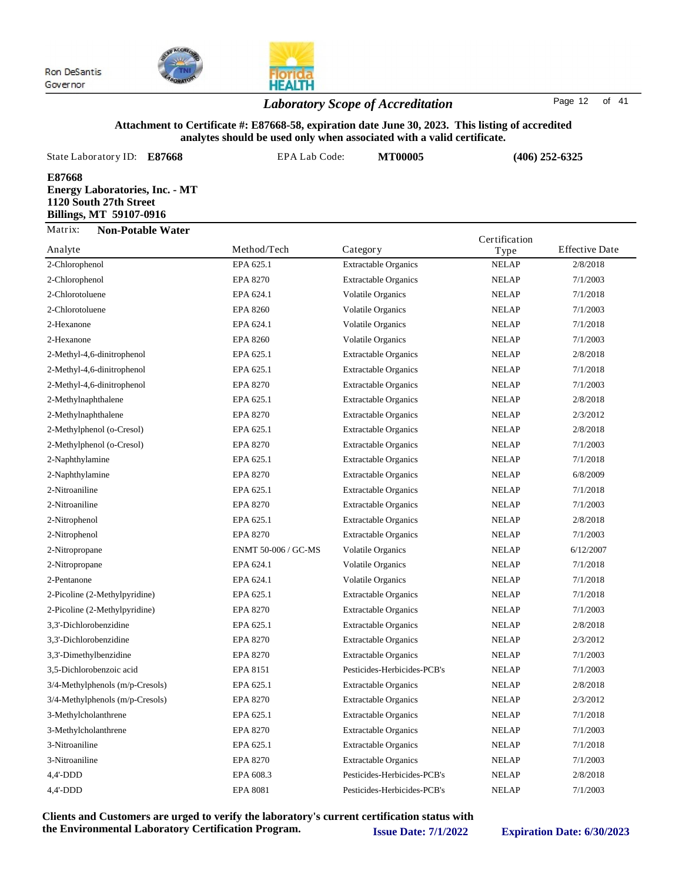

## **HEALTH** *Laboratory Scope of Accreditation* Page <sup>12</sup> of <sup>41</sup>

#### **Attachment to Certificate #: E87668-58, expiration date June 30, 2023. This listing of accredited analytes should be used only when associated with a valid certificate.**

| State Laboratory ID: E87668                                                                          | EPA Lab Code: | <b>MT00005</b> | $(406)$ 252-6325                               |
|------------------------------------------------------------------------------------------------------|---------------|----------------|------------------------------------------------|
| E87668<br><b>Energy Laboratories, Inc. - MT</b><br>1120 South 27th Street<br>Billings, MT 59107-0916 |               |                |                                                |
| Matrix:<br><b>Non-Potable Water</b><br>Analyte                                                       | Method/Tech   | Category       | Certification<br><b>Effective Date</b><br>Type |

| Analyte                         | Method/Tech         | Category                    | Type         | Effective Date |
|---------------------------------|---------------------|-----------------------------|--------------|----------------|
| 2-Chlorophenol                  | EPA 625.1           | <b>Extractable Organics</b> | <b>NELAP</b> | 2/8/2018       |
| 2-Chlorophenol                  | <b>EPA 8270</b>     | <b>Extractable Organics</b> | <b>NELAP</b> | 7/1/2003       |
| 2-Chlorotoluene                 | EPA 624.1           | <b>Volatile Organics</b>    | <b>NELAP</b> | 7/1/2018       |
| 2-Chlorotoluene                 | <b>EPA 8260</b>     | <b>Volatile Organics</b>    | <b>NELAP</b> | 7/1/2003       |
| 2-Hexanone                      | EPA 624.1           | <b>Volatile Organics</b>    | <b>NELAP</b> | 7/1/2018       |
| 2-Hexanone                      | <b>EPA 8260</b>     | <b>Volatile Organics</b>    | <b>NELAP</b> | 7/1/2003       |
| 2-Methyl-4,6-dinitrophenol      | EPA 625.1           | <b>Extractable Organics</b> | <b>NELAP</b> | 2/8/2018       |
| 2-Methyl-4,6-dinitrophenol      | EPA 625.1           | <b>Extractable Organics</b> | <b>NELAP</b> | 7/1/2018       |
| 2-Methyl-4,6-dinitrophenol      | <b>EPA 8270</b>     | <b>Extractable Organics</b> | <b>NELAP</b> | 7/1/2003       |
| 2-Methylnaphthalene             | EPA 625.1           | <b>Extractable Organics</b> | <b>NELAP</b> | 2/8/2018       |
| 2-Methylnaphthalene             | <b>EPA 8270</b>     | <b>Extractable Organics</b> | <b>NELAP</b> | 2/3/2012       |
| 2-Methylphenol (o-Cresol)       | EPA 625.1           | <b>Extractable Organics</b> | <b>NELAP</b> | 2/8/2018       |
| 2-Methylphenol (o-Cresol)       | <b>EPA 8270</b>     | <b>Extractable Organics</b> | <b>NELAP</b> | 7/1/2003       |
| 2-Naphthylamine                 | EPA 625.1           | <b>Extractable Organics</b> | <b>NELAP</b> | 7/1/2018       |
| 2-Naphthylamine                 | EPA 8270            | <b>Extractable Organics</b> | <b>NELAP</b> | 6/8/2009       |
| 2-Nitroaniline                  | EPA 625.1           | <b>Extractable Organics</b> | <b>NELAP</b> | 7/1/2018       |
| 2-Nitroaniline                  | <b>EPA 8270</b>     | <b>Extractable Organics</b> | <b>NELAP</b> | 7/1/2003       |
| 2-Nitrophenol                   | EPA 625.1           | <b>Extractable Organics</b> | <b>NELAP</b> | 2/8/2018       |
| 2-Nitrophenol                   | <b>EPA 8270</b>     | <b>Extractable Organics</b> | <b>NELAP</b> | 7/1/2003       |
| 2-Nitropropane                  | ENMT 50-006 / GC-MS | Volatile Organics           | <b>NELAP</b> | 6/12/2007      |
| 2-Nitropropane                  | EPA 624.1           | <b>Volatile Organics</b>    | <b>NELAP</b> | 7/1/2018       |
| 2-Pentanone                     | EPA 624.1           | <b>Volatile Organics</b>    | <b>NELAP</b> | 7/1/2018       |
| 2-Picoline (2-Methylpyridine)   | EPA 625.1           | <b>Extractable Organics</b> | <b>NELAP</b> | 7/1/2018       |
| 2-Picoline (2-Methylpyridine)   | <b>EPA 8270</b>     | <b>Extractable Organics</b> | <b>NELAP</b> | 7/1/2003       |
| 3,3'-Dichlorobenzidine          | EPA 625.1           | <b>Extractable Organics</b> | <b>NELAP</b> | 2/8/2018       |
| 3,3'-Dichlorobenzidine          | <b>EPA 8270</b>     | <b>Extractable Organics</b> | <b>NELAP</b> | 2/3/2012       |
| 3,3'-Dimethylbenzidine          | <b>EPA 8270</b>     | <b>Extractable Organics</b> | <b>NELAP</b> | 7/1/2003       |
| 3.5-Dichlorobenzoic acid        | EPA 8151            | Pesticides-Herbicides-PCB's | <b>NELAP</b> | 7/1/2003       |
| 3/4-Methylphenols (m/p-Cresols) | EPA 625.1           | <b>Extractable Organics</b> | <b>NELAP</b> | 2/8/2018       |
| 3/4-Methylphenols (m/p-Cresols) | <b>EPA 8270</b>     | <b>Extractable Organics</b> | <b>NELAP</b> | 2/3/2012       |
| 3-Methylcholanthrene            | EPA 625.1           | <b>Extractable Organics</b> | <b>NELAP</b> | 7/1/2018       |
| 3-Methylcholanthrene            | <b>EPA 8270</b>     | <b>Extractable Organics</b> | <b>NELAP</b> | 7/1/2003       |
| 3-Nitroaniline                  | EPA 625.1           | <b>Extractable Organics</b> | <b>NELAP</b> | 7/1/2018       |
| 3-Nitroaniline                  | <b>EPA 8270</b>     | <b>Extractable Organics</b> | <b>NELAP</b> | 7/1/2003       |
| 4,4'-DDD                        | EPA 608.3           | Pesticides-Herbicides-PCB's | <b>NELAP</b> | 2/8/2018       |
| $4,4'-DDD$                      | <b>EPA 8081</b>     | Pesticides-Herbicides-PCB's | <b>NELAP</b> | 7/1/2003       |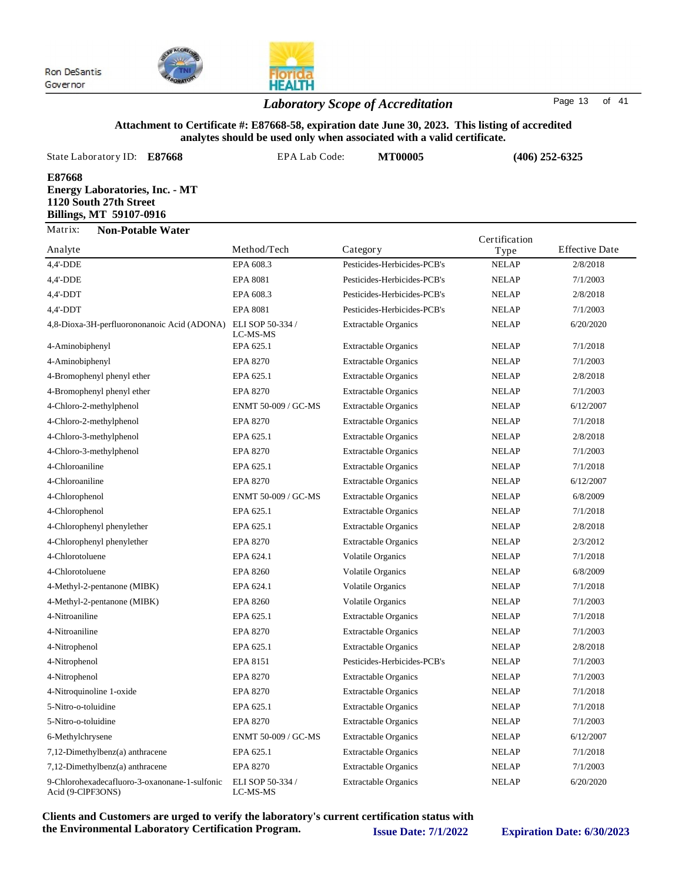



## *Laboratory Scope of Accreditation* Page <sup>13</sup> of <sup>41</sup>

#### **Attachment to Certificate #: E87668-58, expiration date June 30, 2023. This listing of accredited analytes should be used only when associated with a valid certificate.**

| State Laboratory ID:<br>E87668                                                                       | <b>EPA Lab Code:</b>         | <b>MT00005</b>              | $(406)$ 252-6325 |                       |
|------------------------------------------------------------------------------------------------------|------------------------------|-----------------------------|------------------|-----------------------|
| E87668<br><b>Energy Laboratories, Inc. - MT</b><br>1120 South 27th Street<br>Billings, MT 59107-0916 |                              |                             |                  |                       |
| Matrix:<br><b>Non-Potable Water</b>                                                                  |                              |                             | Certification    |                       |
| Analyte                                                                                              | Method/Tech                  | Category                    | Type             | <b>Effective Date</b> |
| 4,4'-DDE                                                                                             | EPA 608.3                    | Pesticides-Herbicides-PCB's | <b>NELAP</b>     | 2/8/2018              |
| 4,4'-DDE                                                                                             | <b>EPA 8081</b>              | Pesticides-Herbicides-PCB's | <b>NELAP</b>     | 7/1/2003              |
| $4,4'$ -DDT                                                                                          | EPA 608.3                    | Pesticides-Herbicides-PCB's | <b>NELAP</b>     | 2/8/2018              |
| $4,4'-DDT$                                                                                           | <b>EPA 8081</b>              | Pesticides-Herbicides-PCB's | <b>NELAP</b>     | 7/1/2003              |
| 4,8-Dioxa-3H-perfluorononanoic Acid (ADONA)                                                          | ELI SOP 50-334 /<br>LC-MS-MS | <b>Extractable Organics</b> | <b>NELAP</b>     | 6/20/2020             |
| 4-Aminobiphenyl                                                                                      | EPA 625.1                    | <b>Extractable Organics</b> | <b>NELAP</b>     | 7/1/2018              |
| 4-Aminobiphenyl                                                                                      | EPA 8270                     | <b>Extractable Organics</b> | <b>NELAP</b>     | 7/1/2003              |
|                                                                                                      | ---                          | .                           |                  | -------               |

| 4,4'-DDE                                                           | EPA 608.3                    | Pesticides-Herbicides-PCB's | <b>NELAP</b> | 2/8/2018  |
|--------------------------------------------------------------------|------------------------------|-----------------------------|--------------|-----------|
| 4,4'-DDE                                                           | <b>EPA 8081</b>              | Pesticides-Herbicides-PCB's | <b>NELAP</b> | 7/1/2003  |
| 4,4'-DDT                                                           | EPA 608.3                    | Pesticides-Herbicides-PCB's | <b>NELAP</b> | 2/8/2018  |
| $4,4'-DDT$                                                         | <b>EPA 8081</b>              | Pesticides-Herbicides-PCB's | <b>NELAP</b> | 7/1/2003  |
| 4,8-Dioxa-3H-perfluorononanoic Acid (ADONA)                        | ELI SOP 50-334 /<br>LC-MS-MS | <b>Extractable Organics</b> | <b>NELAP</b> | 6/20/2020 |
| 4-Aminobiphenyl                                                    | EPA 625.1                    | <b>Extractable Organics</b> | <b>NELAP</b> | 7/1/2018  |
| 4-Aminobiphenyl                                                    | <b>EPA 8270</b>              | <b>Extractable Organics</b> | <b>NELAP</b> | 7/1/2003  |
| 4-Bromophenyl phenyl ether                                         | EPA 625.1                    | <b>Extractable Organics</b> | <b>NELAP</b> | 2/8/2018  |
| 4-Bromophenyl phenyl ether                                         | <b>EPA 8270</b>              | <b>Extractable Organics</b> | <b>NELAP</b> | 7/1/2003  |
| 4-Chloro-2-methylphenol                                            | ENMT 50-009 / GC-MS          | <b>Extractable Organics</b> | <b>NELAP</b> | 6/12/2007 |
| 4-Chloro-2-methylphenol                                            | <b>EPA 8270</b>              | <b>Extractable Organics</b> | <b>NELAP</b> | 7/1/2018  |
| 4-Chloro-3-methylphenol                                            | EPA 625.1                    | <b>Extractable Organics</b> | <b>NELAP</b> | 2/8/2018  |
| 4-Chloro-3-methylphenol                                            | <b>EPA 8270</b>              | <b>Extractable Organics</b> | <b>NELAP</b> | 7/1/2003  |
| 4-Chloroaniline                                                    | EPA 625.1                    | <b>Extractable Organics</b> | <b>NELAP</b> | 7/1/2018  |
| 4-Chloroaniline                                                    | <b>EPA 8270</b>              | <b>Extractable Organics</b> | <b>NELAP</b> | 6/12/2007 |
| 4-Chlorophenol                                                     | ENMT 50-009 / GC-MS          | <b>Extractable Organics</b> | <b>NELAP</b> | 6/8/2009  |
| 4-Chlorophenol                                                     | EPA 625.1                    | <b>Extractable Organics</b> | <b>NELAP</b> | 7/1/2018  |
| 4-Chlorophenyl phenylether                                         | EPA 625.1                    | <b>Extractable Organics</b> | <b>NELAP</b> | 2/8/2018  |
| 4-Chlorophenyl phenylether                                         | <b>EPA 8270</b>              | <b>Extractable Organics</b> | <b>NELAP</b> | 2/3/2012  |
| 4-Chlorotoluene                                                    | EPA 624.1                    | <b>Volatile Organics</b>    | <b>NELAP</b> | 7/1/2018  |
| 4-Chlorotoluene                                                    | <b>EPA 8260</b>              | <b>Volatile Organics</b>    | <b>NELAP</b> | 6/8/2009  |
| 4-Methyl-2-pentanone (MIBK)                                        | EPA 624.1                    | <b>Volatile Organics</b>    | <b>NELAP</b> | 7/1/2018  |
| 4-Methyl-2-pentanone (MIBK)                                        | <b>EPA 8260</b>              | <b>Volatile Organics</b>    | <b>NELAP</b> | 7/1/2003  |
| 4-Nitroaniline                                                     | EPA 625.1                    | <b>Extractable Organics</b> | <b>NELAP</b> | 7/1/2018  |
| 4-Nitroaniline                                                     | <b>EPA 8270</b>              | <b>Extractable Organics</b> | <b>NELAP</b> | 7/1/2003  |
| 4-Nitrophenol                                                      | EPA 625.1                    | <b>Extractable Organics</b> | <b>NELAP</b> | 2/8/2018  |
| 4-Nitrophenol                                                      | EPA 8151                     | Pesticides-Herbicides-PCB's | <b>NELAP</b> | 7/1/2003  |
| 4-Nitrophenol                                                      | <b>EPA 8270</b>              | <b>Extractable Organics</b> | <b>NELAP</b> | 7/1/2003  |
| 4-Nitroquinoline 1-oxide                                           | <b>EPA 8270</b>              | <b>Extractable Organics</b> | <b>NELAP</b> | 7/1/2018  |
| 5-Nitro-o-toluidine                                                | EPA 625.1                    | <b>Extractable Organics</b> | <b>NELAP</b> | 7/1/2018  |
| 5-Nitro-o-toluidine                                                | <b>EPA 8270</b>              | <b>Extractable Organics</b> | <b>NELAP</b> | 7/1/2003  |
| 6-Methylchrysene                                                   | ENMT 50-009 / GC-MS          | <b>Extractable Organics</b> | <b>NELAP</b> | 6/12/2007 |
| 7,12-Dimethylbenz(a) anthracene                                    | EPA 625.1                    | <b>Extractable Organics</b> | <b>NELAP</b> | 7/1/2018  |
| $7,12$ -Dimethylbenz(a) anthracene                                 | <b>EPA 8270</b>              | <b>Extractable Organics</b> | <b>NELAP</b> | 7/1/2003  |
| 9-Chlorohexadecafluoro-3-oxanonane-1-sulfonic<br>Acid (9-ClPF3ONS) | ELI SOP 50-334 /<br>LC-MS-MS | <b>Extractable Organics</b> | <b>NELAP</b> | 6/20/2020 |
|                                                                    |                              |                             |              |           |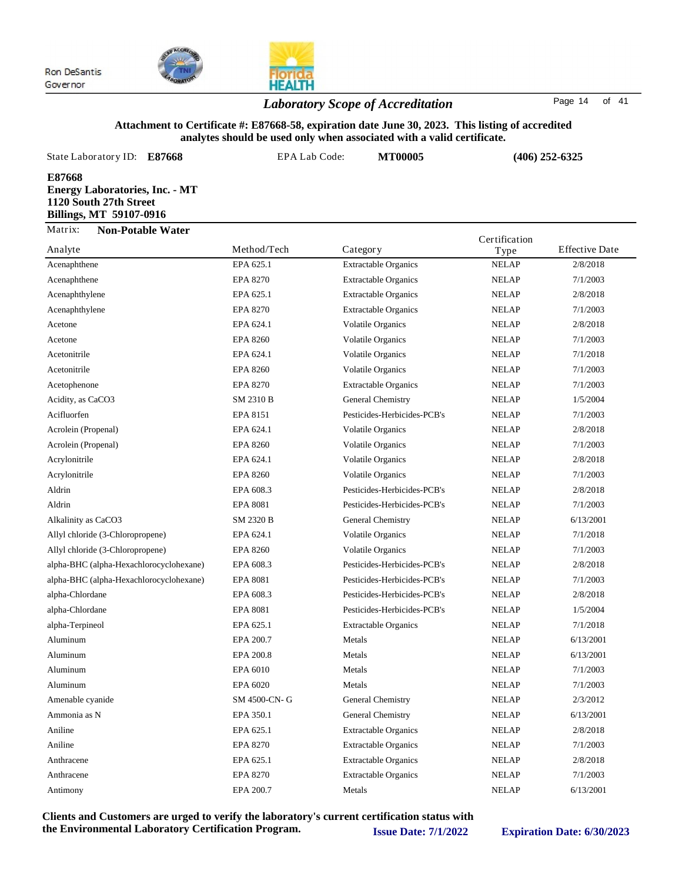

*Laboratory Scope of Accreditation* Page <sup>14</sup> of <sup>41</sup>

#### **Attachment to Certificate #: E87668-58, expiration date June 30, 2023. This listing of accredited analytes should be used only when associated with a valid certificate.**

| State Laboratory ID: E87668                                                                          | EPA Lab Code: | <b>MT00005</b> | $(406)$ 252-6325      |                       |
|------------------------------------------------------------------------------------------------------|---------------|----------------|-----------------------|-----------------------|
| E87668<br><b>Energy Laboratories, Inc. - MT</b><br>1120 South 27th Street<br>Billings, MT 59107-0916 |               |                |                       |                       |
| Matrix:<br><b>Non-Potable Water</b><br>Analyte                                                       | Method/Tech   | Category       | Certification<br>Type | <b>Effective Date</b> |

| Analyte                                 | Method/Tech      | Category                    | Type         | Effective Date |
|-----------------------------------------|------------------|-----------------------------|--------------|----------------|
| Acenaphthene                            | EPA 625.1        | <b>Extractable Organics</b> | <b>NELAP</b> | 2/8/2018       |
| Acenaphthene                            | <b>EPA 8270</b>  | <b>Extractable Organics</b> | <b>NELAP</b> | 7/1/2003       |
| Acenaphthylene                          | EPA 625.1        | <b>Extractable Organics</b> | <b>NELAP</b> | 2/8/2018       |
| Acenaphthylene                          | <b>EPA 8270</b>  | <b>Extractable Organics</b> | <b>NELAP</b> | 7/1/2003       |
| Acetone                                 | EPA 624.1        | <b>Volatile Organics</b>    | <b>NELAP</b> | 2/8/2018       |
| Acetone                                 | <b>EPA 8260</b>  | <b>Volatile Organics</b>    | <b>NELAP</b> | 7/1/2003       |
| Acetonitrile                            | EPA 624.1        | <b>Volatile Organics</b>    | <b>NELAP</b> | 7/1/2018       |
| Acetonitrile                            | <b>EPA 8260</b>  | <b>Volatile Organics</b>    | <b>NELAP</b> | 7/1/2003       |
| Acetophenone                            | <b>EPA 8270</b>  | <b>Extractable Organics</b> | <b>NELAP</b> | 7/1/2003       |
| Acidity, as CaCO3                       | <b>SM 2310 B</b> | General Chemistry           | <b>NELAP</b> | 1/5/2004       |
| Acifluorfen                             | <b>EPA 8151</b>  | Pesticides-Herbicides-PCB's | <b>NELAP</b> | 7/1/2003       |
| Acrolein (Propenal)                     | EPA 624.1        | <b>Volatile Organics</b>    | <b>NELAP</b> | 2/8/2018       |
| Acrolein (Propenal)                     | <b>EPA 8260</b>  | <b>Volatile Organics</b>    | <b>NELAP</b> | 7/1/2003       |
| Acrylonitrile                           | EPA 624.1        | <b>Volatile Organics</b>    | <b>NELAP</b> | 2/8/2018       |
| Acrylonitrile                           | <b>EPA 8260</b>  | <b>Volatile Organics</b>    | <b>NELAP</b> | 7/1/2003       |
| Aldrin                                  | EPA 608.3        | Pesticides-Herbicides-PCB's | <b>NELAP</b> | 2/8/2018       |
| Aldrin                                  | <b>EPA 8081</b>  | Pesticides-Herbicides-PCB's | <b>NELAP</b> | 7/1/2003       |
| Alkalinity as CaCO3                     | <b>SM 2320 B</b> | General Chemistry           | <b>NELAP</b> | 6/13/2001      |
| Allyl chloride (3-Chloropropene)        | EPA 624.1        | <b>Volatile Organics</b>    | <b>NELAP</b> | 7/1/2018       |
| Allyl chloride (3-Chloropropene)        | <b>EPA 8260</b>  | <b>Volatile Organics</b>    | <b>NELAP</b> | 7/1/2003       |
| alpha-BHC (alpha-Hexachlorocyclohexane) | EPA 608.3        | Pesticides-Herbicides-PCB's | <b>NELAP</b> | 2/8/2018       |
| alpha-BHC (alpha-Hexachlorocyclohexane) | <b>EPA 8081</b>  | Pesticides-Herbicides-PCB's | <b>NELAP</b> | 7/1/2003       |
| alpha-Chlordane                         | EPA 608.3        | Pesticides-Herbicides-PCB's | <b>NELAP</b> | 2/8/2018       |
| alpha-Chlordane                         | <b>EPA 8081</b>  | Pesticides-Herbicides-PCB's | <b>NELAP</b> | 1/5/2004       |
| alpha-Terpineol                         | EPA 625.1        | <b>Extractable Organics</b> | <b>NELAP</b> | 7/1/2018       |
| Aluminum                                | EPA 200.7        | Metals                      | <b>NELAP</b> | 6/13/2001      |
| Aluminum                                | EPA 200.8        | Metals                      | <b>NELAP</b> | 6/13/2001      |
| Aluminum                                | EPA 6010         | Metals                      | <b>NELAP</b> | 7/1/2003       |
| Aluminum                                | EPA 6020         | Metals                      | <b>NELAP</b> | 7/1/2003       |
| Amenable cyanide                        | SM 4500-CN-G     | General Chemistry           | <b>NELAP</b> | 2/3/2012       |
| Ammonia as N                            | EPA 350.1        | General Chemistry           | <b>NELAP</b> | 6/13/2001      |
| Aniline                                 | EPA 625.1        | <b>Extractable Organics</b> | <b>NELAP</b> | 2/8/2018       |
| Aniline                                 | <b>EPA 8270</b>  | <b>Extractable Organics</b> | <b>NELAP</b> | 7/1/2003       |
| Anthracene                              | EPA 625.1        | <b>Extractable Organics</b> | <b>NELAP</b> | 2/8/2018       |
| Anthracene                              | <b>EPA 8270</b>  | <b>Extractable Organics</b> | <b>NELAP</b> | 7/1/2003       |
| Antimony                                | EPA 200.7        | Metals                      | <b>NELAP</b> | 6/13/2001      |
|                                         |                  |                             |              |                |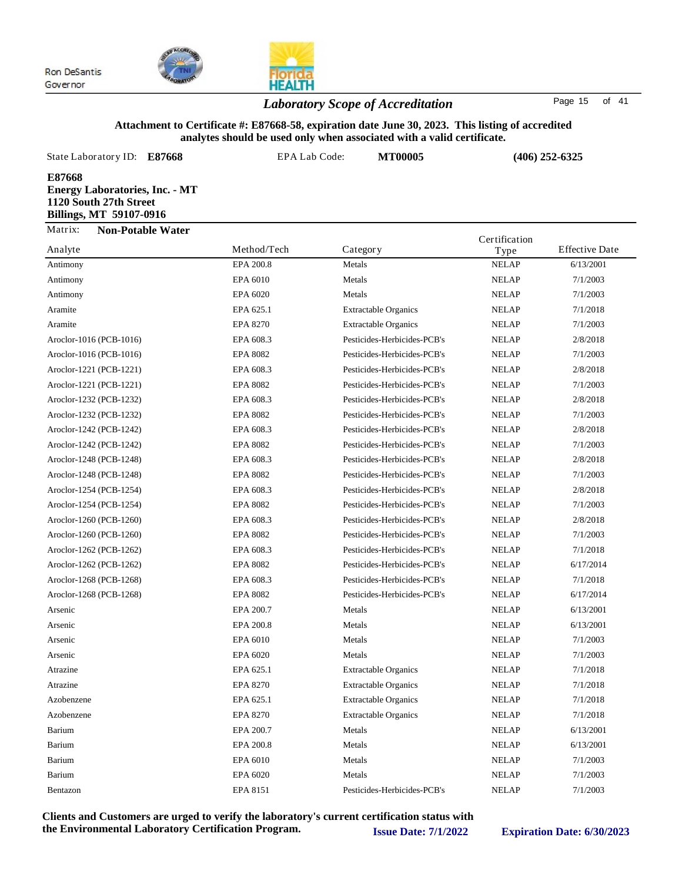

## *Laboratory Scope of Accreditation* Page <sup>15</sup> of <sup>41</sup>

**HEALTH** 

#### **Attachment to Certificate #: E87668-58, expiration date June 30, 2023. This listing of accredited analytes should be used only when associated with a valid certificate.**

| State Laboratory ID: E87668                                                                          | EPA Lab Code: | <b>MT00005</b> | $(406)$ 252-6325              |
|------------------------------------------------------------------------------------------------------|---------------|----------------|-------------------------------|
| E87668<br><b>Energy Laboratories, Inc. - MT</b><br>1120 South 27th Street<br>Billings, MT 59107-0916 |               |                |                               |
| Matrix:<br><b>Non-Potable Water</b>                                                                  |               |                | Certification                 |
| Analyte                                                                                              | Method/Tech   | Category       | <b>Effective Date</b><br>Type |

| Analyte                 | Method/Tech     | Category                    | Type         | <b>Effective Date</b> |
|-------------------------|-----------------|-----------------------------|--------------|-----------------------|
| Antimony                | EPA 200.8       | Metals                      | <b>NELAP</b> | 6/13/2001             |
| Antimony                | EPA 6010        | Metals                      | <b>NELAP</b> | 7/1/2003              |
| Antimony                | EPA 6020        | Metals                      | <b>NELAP</b> | 7/1/2003              |
| Aramite                 | EPA 625.1       | <b>Extractable Organics</b> | <b>NELAP</b> | 7/1/2018              |
| Aramite                 | <b>EPA 8270</b> | <b>Extractable Organics</b> | <b>NELAP</b> | 7/1/2003              |
| Aroclor-1016 (PCB-1016) | EPA 608.3       | Pesticides-Herbicides-PCB's | <b>NELAP</b> | 2/8/2018              |
| Aroclor-1016 (PCB-1016) | <b>EPA 8082</b> | Pesticides-Herbicides-PCB's | <b>NELAP</b> | 7/1/2003              |
| Aroclor-1221 (PCB-1221) | EPA 608.3       | Pesticides-Herbicides-PCB's | <b>NELAP</b> | 2/8/2018              |
| Aroclor-1221 (PCB-1221) | <b>EPA 8082</b> | Pesticides-Herbicides-PCB's | <b>NELAP</b> | 7/1/2003              |
| Aroclor-1232 (PCB-1232) | EPA 608.3       | Pesticides-Herbicides-PCB's | <b>NELAP</b> | 2/8/2018              |
| Aroclor-1232 (PCB-1232) | <b>EPA 8082</b> | Pesticides-Herbicides-PCB's | <b>NELAP</b> | 7/1/2003              |
| Aroclor-1242 (PCB-1242) | EPA 608.3       | Pesticides-Herbicides-PCB's | <b>NELAP</b> | 2/8/2018              |
| Aroclor-1242 (PCB-1242) | <b>EPA 8082</b> | Pesticides-Herbicides-PCB's | <b>NELAP</b> | 7/1/2003              |
| Aroclor-1248 (PCB-1248) | EPA 608.3       | Pesticides-Herbicides-PCB's | <b>NELAP</b> | 2/8/2018              |
| Aroclor-1248 (PCB-1248) | <b>EPA 8082</b> | Pesticides-Herbicides-PCB's | <b>NELAP</b> | 7/1/2003              |
| Aroclor-1254 (PCB-1254) | EPA 608.3       | Pesticides-Herbicides-PCB's | <b>NELAP</b> | 2/8/2018              |
| Aroclor-1254 (PCB-1254) | <b>EPA 8082</b> | Pesticides-Herbicides-PCB's | <b>NELAP</b> | 7/1/2003              |
| Aroclor-1260 (PCB-1260) | EPA 608.3       | Pesticides-Herbicides-PCB's | <b>NELAP</b> | 2/8/2018              |
| Aroclor-1260 (PCB-1260) | <b>EPA 8082</b> | Pesticides-Herbicides-PCB's | <b>NELAP</b> | 7/1/2003              |
| Aroclor-1262 (PCB-1262) | EPA 608.3       | Pesticides-Herbicides-PCB's | <b>NELAP</b> | 7/1/2018              |
| Aroclor-1262 (PCB-1262) | <b>EPA 8082</b> | Pesticides-Herbicides-PCB's | <b>NELAP</b> | 6/17/2014             |
| Aroclor-1268 (PCB-1268) | EPA 608.3       | Pesticides-Herbicides-PCB's | <b>NELAP</b> | 7/1/2018              |
| Aroclor-1268 (PCB-1268) | <b>EPA 8082</b> | Pesticides-Herbicides-PCB's | <b>NELAP</b> | 6/17/2014             |
| Arsenic                 | EPA 200.7       | Metals                      | <b>NELAP</b> | 6/13/2001             |
| Arsenic                 | EPA 200.8       | Metals                      | <b>NELAP</b> | 6/13/2001             |
| Arsenic                 | EPA 6010        | Metals                      | <b>NELAP</b> | 7/1/2003              |
| Arsenic                 | EPA 6020        | Metals                      | <b>NELAP</b> | 7/1/2003              |
| Atrazine                | EPA 625.1       | <b>Extractable Organics</b> | <b>NELAP</b> | 7/1/2018              |
| Atrazine                | <b>EPA 8270</b> | <b>Extractable Organics</b> | <b>NELAP</b> | 7/1/2018              |
| Azobenzene              | EPA 625.1       | <b>Extractable Organics</b> | <b>NELAP</b> | 7/1/2018              |
| Azobenzene              | <b>EPA 8270</b> | <b>Extractable Organics</b> | <b>NELAP</b> | 7/1/2018              |
| Barium                  | EPA 200.7       | Metals                      | <b>NELAP</b> | 6/13/2001             |
| Barium                  | EPA 200.8       | Metals                      | <b>NELAP</b> | 6/13/2001             |
| Barium                  | EPA 6010        | Metals                      | <b>NELAP</b> | 7/1/2003              |
| Barium                  | EPA 6020        | Metals                      | <b>NELAP</b> | 7/1/2003              |
| Bentazon                | EPA 8151        | Pesticides-Herbicides-PCB's | <b>NELAP</b> | 7/1/2003              |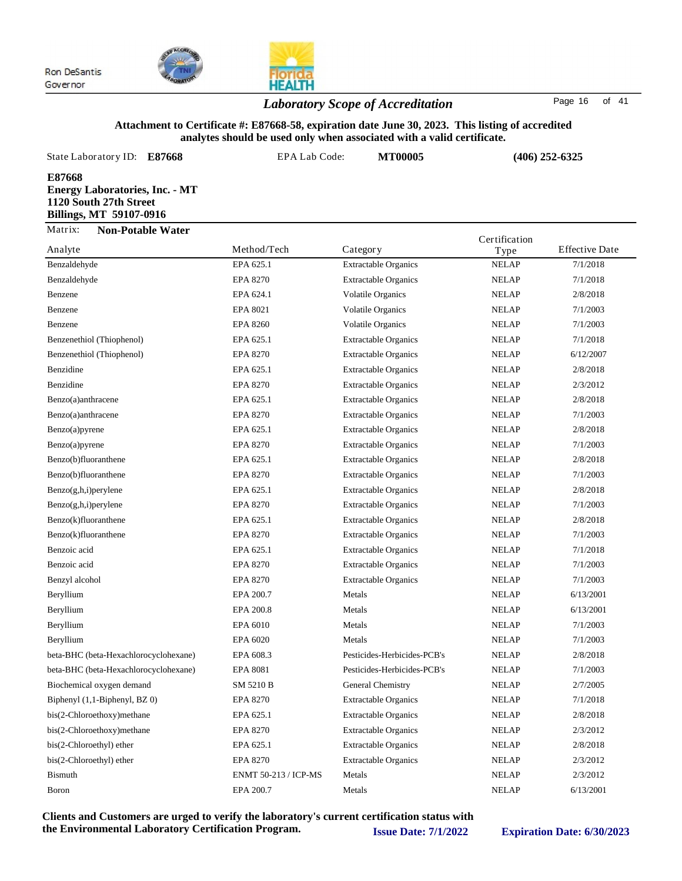

## **HEALTH** *Laboratory Scope of Accreditation* Page <sup>16</sup> of <sup>41</sup>

#### **Attachment to Certificate #: E87668-58, expiration date June 30, 2023. This listing of accredited analytes should be used only when associated with a valid certificate.**

| State Laboratory ID: E87668                                                                          | EPA Lab Code: | <b>MT00005</b> | $(406)$ 252-6325      |                       |
|------------------------------------------------------------------------------------------------------|---------------|----------------|-----------------------|-----------------------|
| E87668<br><b>Energy Laboratories, Inc. - MT</b><br>1120 South 27th Street<br>Billings, MT 59107-0916 |               |                |                       |                       |
| Matrix:<br><b>Non-Potable Water</b><br>Analyte                                                       | Method/Tech   | Category       | Certification<br>Type | <b>Effective Date</b> |

| Analyte                               | Method/Tech          | Category                    | Type         | <b>Effective Date</b> |
|---------------------------------------|----------------------|-----------------------------|--------------|-----------------------|
| Benzaldehyde                          | EPA 625.1            | <b>Extractable Organics</b> | <b>NELAP</b> | 7/1/2018              |
| Benzaldehyde                          | <b>EPA 8270</b>      | <b>Extractable Organics</b> | <b>NELAP</b> | 7/1/2018              |
| Benzene                               | EPA 624.1            | <b>Volatile Organics</b>    | <b>NELAP</b> | 2/8/2018              |
| Benzene                               | EPA 8021             | <b>Volatile Organics</b>    | <b>NELAP</b> | 7/1/2003              |
| Benzene                               | <b>EPA 8260</b>      | <b>Volatile Organics</b>    | <b>NELAP</b> | 7/1/2003              |
| Benzenethiol (Thiophenol)             | EPA 625.1            | <b>Extractable Organics</b> | <b>NELAP</b> | 7/1/2018              |
| Benzenethiol (Thiophenol)             | <b>EPA 8270</b>      | <b>Extractable Organics</b> | <b>NELAP</b> | 6/12/2007             |
| Benzidine                             | EPA 625.1            | <b>Extractable Organics</b> | <b>NELAP</b> | 2/8/2018              |
| Benzidine                             | <b>EPA 8270</b>      | <b>Extractable Organics</b> | <b>NELAP</b> | 2/3/2012              |
| Benzo(a)anthracene                    | EPA 625.1            | <b>Extractable Organics</b> | <b>NELAP</b> | 2/8/2018              |
| Benzo(a)anthracene                    | <b>EPA 8270</b>      | <b>Extractable Organics</b> | <b>NELAP</b> | 7/1/2003              |
| Benzo(a)pyrene                        | EPA 625.1            | <b>Extractable Organics</b> | <b>NELAP</b> | 2/8/2018              |
| Benzo(a)pyrene                        | <b>EPA 8270</b>      | <b>Extractable Organics</b> | <b>NELAP</b> | 7/1/2003              |
| Benzo(b)fluoranthene                  | EPA 625.1            | <b>Extractable Organics</b> | <b>NELAP</b> | 2/8/2018              |
| Benzo(b)fluoranthene                  | <b>EPA 8270</b>      | <b>Extractable Organics</b> | <b>NELAP</b> | 7/1/2003              |
| $Benzo(g,h,i)$ perylene               | EPA 625.1            | <b>Extractable Organics</b> | <b>NELAP</b> | 2/8/2018              |
| $Benzo(g,h,i)$ perylene               | <b>EPA 8270</b>      | <b>Extractable Organics</b> | <b>NELAP</b> | 7/1/2003              |
| Benzo(k)fluoranthene                  | EPA 625.1            | <b>Extractable Organics</b> | <b>NELAP</b> | 2/8/2018              |
| Benzo(k)fluoranthene                  | <b>EPA 8270</b>      | <b>Extractable Organics</b> | <b>NELAP</b> | 7/1/2003              |
| Benzoic acid                          | EPA 625.1            | <b>Extractable Organics</b> | <b>NELAP</b> | 7/1/2018              |
| Benzoic acid                          | <b>EPA 8270</b>      | <b>Extractable Organics</b> | <b>NELAP</b> | 7/1/2003              |
| Benzyl alcohol                        | <b>EPA 8270</b>      | <b>Extractable Organics</b> | <b>NELAP</b> | 7/1/2003              |
| Beryllium                             | EPA 200.7            | Metals                      | <b>NELAP</b> | 6/13/2001             |
| Beryllium                             | EPA 200.8            | Metals                      | <b>NELAP</b> | 6/13/2001             |
| Beryllium                             | EPA 6010             | Metals                      | <b>NELAP</b> | 7/1/2003              |
| Beryllium                             | EPA 6020             | Metals                      | <b>NELAP</b> | 7/1/2003              |
| beta-BHC (beta-Hexachlorocyclohexane) | EPA 608.3            | Pesticides-Herbicides-PCB's | <b>NELAP</b> | 2/8/2018              |
| beta-BHC (beta-Hexachlorocyclohexane) | <b>EPA 8081</b>      | Pesticides-Herbicides-PCB's | <b>NELAP</b> | 7/1/2003              |
| Biochemical oxygen demand             | SM 5210 B            | General Chemistry           | <b>NELAP</b> | 2/7/2005              |
| Biphenyl (1,1-Biphenyl, BZ 0)         | <b>EPA 8270</b>      | <b>Extractable Organics</b> | <b>NELAP</b> | 7/1/2018              |
| bis(2-Chloroethoxy) methane           | EPA 625.1            | <b>Extractable Organics</b> | <b>NELAP</b> | 2/8/2018              |
| bis(2-Chloroethoxy)methane            | <b>EPA 8270</b>      | <b>Extractable Organics</b> | <b>NELAP</b> | 2/3/2012              |
| bis(2-Chloroethyl) ether              | EPA 625.1            | <b>Extractable Organics</b> | <b>NELAP</b> | 2/8/2018              |
| bis(2-Chloroethyl) ether              | <b>EPA 8270</b>      | <b>Extractable Organics</b> | <b>NELAP</b> | 2/3/2012              |
| <b>Bismuth</b>                        | ENMT 50-213 / ICP-MS | Metals                      | <b>NELAP</b> | 2/3/2012              |
| Boron                                 | EPA 200.7            | Metals                      | <b>NELAP</b> | 6/13/2001             |
|                                       |                      |                             |              |                       |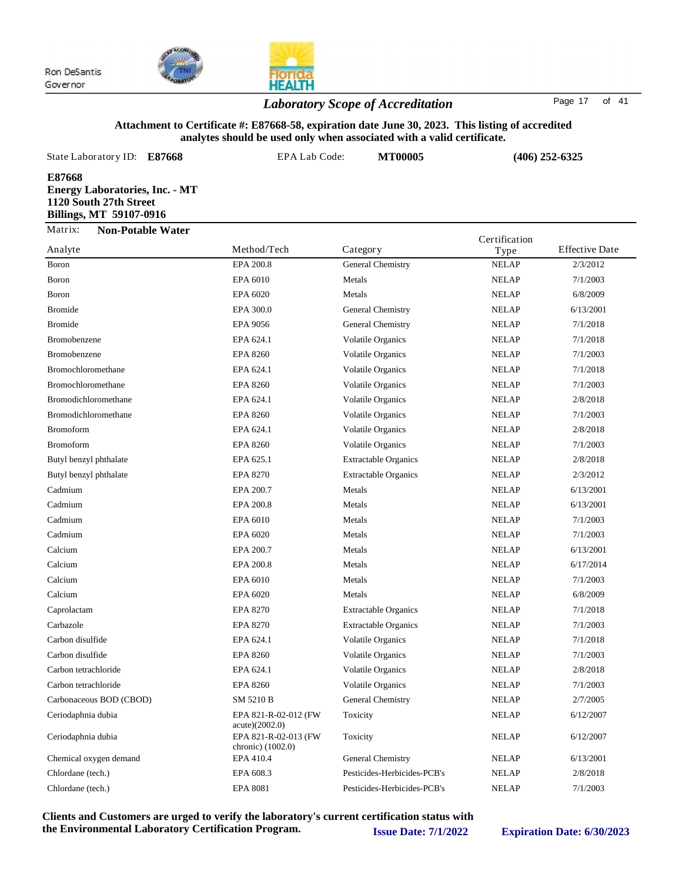

## *Laboratory Scope of Accreditation* Page <sup>17</sup> of <sup>41</sup>

**HEALTH** 

#### **Attachment to Certificate #: E87668-58, expiration date June 30, 2023. This listing of accredited analytes should be used only when associated with a valid certificate.**

| State Laboratory ID: <b>E87668</b>                                                                          | EPA Lab Code: |          | <b>MT00005</b> | $(406)$ 252-6325 |                       |
|-------------------------------------------------------------------------------------------------------------|---------------|----------|----------------|------------------|-----------------------|
| E87668<br><b>Energy Laboratories, Inc. - MT</b><br>1120 South 27th Street<br><b>Billings, MT 59107-0916</b> |               |          |                |                  |                       |
| Matrix:<br><b>Non-Potable Water</b>                                                                         |               |          |                | Certification    |                       |
| Analyte                                                                                                     | Method/Tech   | Category |                | Type             | <b>Effective Date</b> |

| Anaiyte                 | Method/I ech                              | Category                    | Type         | Effective Date |
|-------------------------|-------------------------------------------|-----------------------------|--------------|----------------|
| Boron                   | EPA 200.8                                 | General Chemistry           | <b>NELAP</b> | 2/3/2012       |
| Boron                   | EPA 6010                                  | Metals                      | <b>NELAP</b> | 7/1/2003       |
| Boron                   | EPA 6020                                  | Metals                      | <b>NELAP</b> | 6/8/2009       |
| <b>Bromide</b>          | EPA 300.0                                 | General Chemistry           | <b>NELAP</b> | 6/13/2001      |
| <b>Bromide</b>          | EPA 9056                                  | General Chemistry           | <b>NELAP</b> | 7/1/2018       |
| Bromobenzene            | EPA 624.1                                 | <b>Volatile Organics</b>    | <b>NELAP</b> | 7/1/2018       |
| Bromobenzene            | <b>EPA 8260</b>                           | <b>Volatile Organics</b>    | <b>NELAP</b> | 7/1/2003       |
| Bromochloromethane      | EPA 624.1                                 | <b>Volatile Organics</b>    | <b>NELAP</b> | 7/1/2018       |
| Bromochloromethane      | <b>EPA 8260</b>                           | <b>Volatile Organics</b>    | <b>NELAP</b> | 7/1/2003       |
| Bromodichloromethane    | EPA 624.1                                 | <b>Volatile Organics</b>    | <b>NELAP</b> | 2/8/2018       |
| Bromodichloromethane    | <b>EPA 8260</b>                           | <b>Volatile Organics</b>    | <b>NELAP</b> | 7/1/2003       |
| Bromoform               | EPA 624.1                                 | <b>Volatile Organics</b>    | <b>NELAP</b> | 2/8/2018       |
| <b>Bromoform</b>        | <b>EPA 8260</b>                           | <b>Volatile Organics</b>    | <b>NELAP</b> | 7/1/2003       |
| Butyl benzyl phthalate  | EPA 625.1                                 | <b>Extractable Organics</b> | <b>NELAP</b> | 2/8/2018       |
| Butyl benzyl phthalate  | <b>EPA 8270</b>                           | <b>Extractable Organics</b> | <b>NELAP</b> | 2/3/2012       |
| Cadmium                 | EPA 200.7                                 | Metals                      | <b>NELAP</b> | 6/13/2001      |
| Cadmium                 | EPA 200.8                                 | Metals                      | <b>NELAP</b> | 6/13/2001      |
| Cadmium                 | EPA 6010                                  | Metals                      | <b>NELAP</b> | 7/1/2003       |
| Cadmium                 | EPA 6020                                  | Metals                      | <b>NELAP</b> | 7/1/2003       |
| Calcium                 | EPA 200.7                                 | Metals                      | <b>NELAP</b> | 6/13/2001      |
| Calcium                 | EPA 200.8                                 | Metals                      | <b>NELAP</b> | 6/17/2014      |
| Calcium                 | EPA 6010                                  | Metals                      | <b>NELAP</b> | 7/1/2003       |
| Calcium                 | EPA 6020                                  | Metals                      | <b>NELAP</b> | 6/8/2009       |
| Caprolactam             | <b>EPA 8270</b>                           | Extractable Organics        | <b>NELAP</b> | 7/1/2018       |
| Carbazole               | EPA 8270                                  | <b>Extractable Organics</b> | <b>NELAP</b> | 7/1/2003       |
| Carbon disulfide        | EPA 624.1                                 | <b>Volatile Organics</b>    | <b>NELAP</b> | 7/1/2018       |
| Carbon disulfide        | <b>EPA 8260</b>                           | <b>Volatile Organics</b>    | <b>NELAP</b> | 7/1/2003       |
| Carbon tetrachloride    | EPA 624.1                                 | <b>Volatile Organics</b>    | <b>NELAP</b> | 2/8/2018       |
| Carbon tetrachloride    | <b>EPA 8260</b>                           | <b>Volatile Organics</b>    | <b>NELAP</b> | 7/1/2003       |
| Carbonaceous BOD (CBOD) | SM 5210 B                                 | General Chemistry           | <b>NELAP</b> | 2/7/2005       |
| Ceriodaphnia dubia      | EPA 821-R-02-012 (FW<br>acute)(2002.0)    | Toxicity                    | <b>NELAP</b> | 6/12/2007      |
| Ceriodaphnia dubia      | EPA 821-R-02-013 (FW<br>chronic) (1002.0) | Toxicity                    | <b>NELAP</b> | 6/12/2007      |
| Chemical oxygen demand  | EPA 410.4                                 | General Chemistry           | <b>NELAP</b> | 6/13/2001      |
| Chlordane (tech.)       | EPA 608.3                                 | Pesticides-Herbicides-PCB's | <b>NELAP</b> | 2/8/2018       |
| Chlordane (tech.)       | <b>EPA 8081</b>                           | Pesticides-Herbicides-PCB's | <b>NELAP</b> | 7/1/2003       |
|                         |                                           |                             |              |                |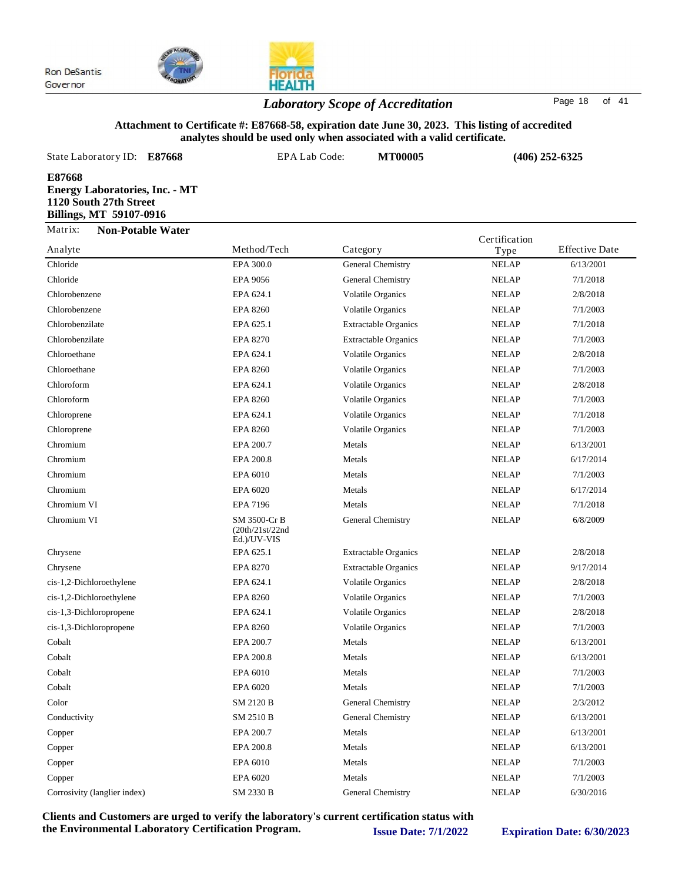

## *Laboratory Scope of Accreditation* Page <sup>18</sup> of <sup>41</sup>

**HEALTH** 

#### **Attachment to Certificate #: E87668-58, expiration date June 30, 2023. This listing of accredited analytes should be used only when associated with a valid certificate.**

| State Laboratory ID:                                                                                 | E87668 | EPA Lab Code: | <b>MT00005</b>    | $(406)$ 252-6325 |                       |
|------------------------------------------------------------------------------------------------------|--------|---------------|-------------------|------------------|-----------------------|
| E87668<br><b>Energy Laboratories, Inc. - MT</b><br>1120 South 27th Street<br>Billings, MT 59107-0916 |        |               |                   |                  |                       |
| Matrix:<br><b>Non-Potable Water</b>                                                                  |        |               |                   | Certification    |                       |
| Analyte                                                                                              |        | Method/Tech   | Category          | Type             | <b>Effective Date</b> |
| Chloride                                                                                             |        | EPA 300.0     | General Chemistry | <b>NELAP</b>     | 6/13/2001             |

|                              |                                                | ັ                           | - <i>;</i> r = |           |
|------------------------------|------------------------------------------------|-----------------------------|----------------|-----------|
| Chloride                     | EPA 300.0                                      | General Chemistry           | <b>NELAP</b>   | 6/13/2001 |
| Chloride                     | <b>EPA 9056</b>                                | General Chemistry           | <b>NELAP</b>   | 7/1/2018  |
| Chlorobenzene                | EPA 624.1                                      | <b>Volatile Organics</b>    | <b>NELAP</b>   | 2/8/2018  |
| Chlorobenzene                | <b>EPA 8260</b>                                | <b>Volatile Organics</b>    | <b>NELAP</b>   | 7/1/2003  |
| Chlorobenzilate              | EPA 625.1                                      | <b>Extractable Organics</b> | <b>NELAP</b>   | 7/1/2018  |
| Chlorobenzilate              | EPA 8270                                       | <b>Extractable Organics</b> | <b>NELAP</b>   | 7/1/2003  |
| Chloroethane                 | EPA 624.1                                      | <b>Volatile Organics</b>    | <b>NELAP</b>   | 2/8/2018  |
| Chloroethane                 | <b>EPA 8260</b>                                | <b>Volatile Organics</b>    | <b>NELAP</b>   | 7/1/2003  |
| Chloroform                   | EPA 624.1                                      | <b>Volatile Organics</b>    | <b>NELAP</b>   | 2/8/2018  |
| Chloroform                   | <b>EPA 8260</b>                                | <b>Volatile Organics</b>    | <b>NELAP</b>   | 7/1/2003  |
| Chloroprene                  | EPA 624.1                                      | <b>Volatile Organics</b>    | <b>NELAP</b>   | 7/1/2018  |
| Chloroprene                  | <b>EPA 8260</b>                                | <b>Volatile Organics</b>    | <b>NELAP</b>   | 7/1/2003  |
| Chromium                     | EPA 200.7                                      | Metals                      | <b>NELAP</b>   | 6/13/2001 |
| Chromium                     | EPA 200.8                                      | Metals                      | <b>NELAP</b>   | 6/17/2014 |
| Chromium                     | EPA 6010                                       | Metals                      | <b>NELAP</b>   | 7/1/2003  |
| Chromium                     | EPA 6020                                       | Metals                      | <b>NELAP</b>   | 6/17/2014 |
| Chromium VI                  | <b>EPA 7196</b>                                | Metals                      | <b>NELAP</b>   | 7/1/2018  |
| Chromium VI                  | SM 3500-Cr B<br>(20th/21st/22nd<br>Ed.)/UV-VIS | General Chemistry           | <b>NELAP</b>   | 6/8/2009  |
| Chrysene                     | EPA 625.1                                      | <b>Extractable Organics</b> | <b>NELAP</b>   | 2/8/2018  |
| Chrysene                     | <b>EPA 8270</b>                                | <b>Extractable Organics</b> | <b>NELAP</b>   | 9/17/2014 |
| cis-1,2-Dichloroethylene     | EPA 624.1                                      | <b>Volatile Organics</b>    | <b>NELAP</b>   | 2/8/2018  |
| cis-1,2-Dichloroethylene     | <b>EPA 8260</b>                                | <b>Volatile Organics</b>    | <b>NELAP</b>   | 7/1/2003  |
| cis-1,3-Dichloropropene      | EPA 624.1                                      | <b>Volatile Organics</b>    | <b>NELAP</b>   | 2/8/2018  |
| cis-1,3-Dichloropropene      | <b>EPA 8260</b>                                | <b>Volatile Organics</b>    | <b>NELAP</b>   | 7/1/2003  |
| Cobalt                       | EPA 200.7                                      | Metals                      | <b>NELAP</b>   | 6/13/2001 |
| Cobalt                       | EPA 200.8                                      | Metals                      | <b>NELAP</b>   | 6/13/2001 |
| Cobalt                       | EPA 6010                                       | Metals                      | <b>NELAP</b>   | 7/1/2003  |
| Cobalt                       | EPA 6020                                       | Metals                      | <b>NELAP</b>   | 7/1/2003  |
| Color                        | <b>SM 2120 B</b>                               | General Chemistry           | <b>NELAP</b>   | 2/3/2012  |
| Conductivity                 | SM 2510 B                                      | General Chemistry           | <b>NELAP</b>   | 6/13/2001 |
| Copper                       | EPA 200.7                                      | Metals                      | <b>NELAP</b>   | 6/13/2001 |
| Copper                       | EPA 200.8                                      | Metals                      | <b>NELAP</b>   | 6/13/2001 |
| Copper                       | EPA 6010                                       | Metals                      | <b>NELAP</b>   | 7/1/2003  |
| Copper                       | EPA 6020                                       | Metals                      | <b>NELAP</b>   | 7/1/2003  |
| Corrosivity (langlier index) | SM 2330 B                                      | General Chemistry           | <b>NELAP</b>   | 6/30/2016 |
|                              |                                                |                             |                |           |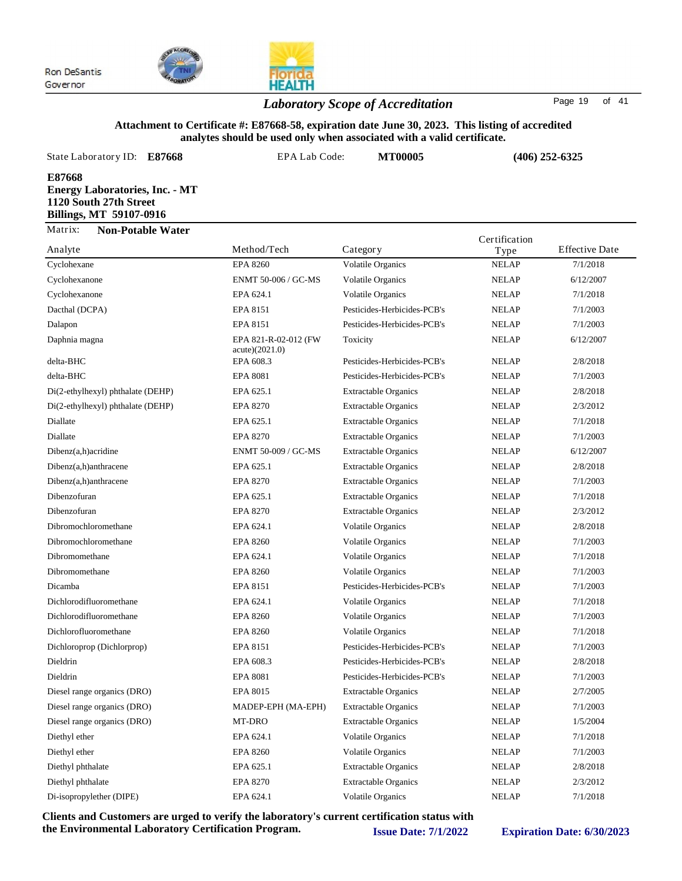

## *Laboratory Scope of Accreditation* Page <sup>19</sup> of <sup>41</sup>

#### **Attachment to Certificate #: E87668-58, expiration date June 30, 2023. This listing of accredited analytes should be used only when associated with a valid certificate.**

State Laboratory ID:  $E87668$  EPA Lab Code: **MT00005 E87668 Energy Laboratories, Inc. - MT 1120 South 27th Street Billings, MT 59107-0916 (406) 252-6325** Analyte Method/Tech Matrix: **Non-Potable Water** Communism<br>Category Type Effective Date Certification

| Analyte                           | Method/Tech                            | Category                    | Type         | <b>Effective Date</b> |
|-----------------------------------|----------------------------------------|-----------------------------|--------------|-----------------------|
| Cyclohexane                       | <b>EPA 8260</b>                        | <b>Volatile Organics</b>    | <b>NELAP</b> | 7/1/2018              |
| Cyclohexanone                     | ENMT 50-006 / GC-MS                    | <b>Volatile Organics</b>    | <b>NELAP</b> | 6/12/2007             |
| Cyclohexanone                     | EPA 624.1                              | <b>Volatile Organics</b>    | <b>NELAP</b> | 7/1/2018              |
| Dacthal (DCPA)                    | <b>EPA 8151</b>                        | Pesticides-Herbicides-PCB's | <b>NELAP</b> | 7/1/2003              |
| Dalapon                           | EPA 8151                               | Pesticides-Herbicides-PCB's | <b>NELAP</b> | 7/1/2003              |
| Daphnia magna                     | EPA 821-R-02-012 (FW<br>acute)(2021.0) | Toxicity                    | <b>NELAP</b> | 6/12/2007             |
| delta-BHC                         | EPA 608.3                              | Pesticides-Herbicides-PCB's | <b>NELAP</b> | 2/8/2018              |
| delta-BHC                         | <b>EPA 8081</b>                        | Pesticides-Herbicides-PCB's | <b>NELAP</b> | 7/1/2003              |
| Di(2-ethylhexyl) phthalate (DEHP) | EPA 625.1                              | <b>Extractable Organics</b> | <b>NELAP</b> | 2/8/2018              |
| Di(2-ethylhexyl) phthalate (DEHP) | <b>EPA 8270</b>                        | <b>Extractable Organics</b> | <b>NELAP</b> | 2/3/2012              |
| Diallate                          | EPA 625.1                              | <b>Extractable Organics</b> | <b>NELAP</b> | 7/1/2018              |
| Diallate                          | <b>EPA 8270</b>                        | <b>Extractable Organics</b> | <b>NELAP</b> | 7/1/2003              |
| Dibenz(a,h) acridine              | ENMT 50-009 / GC-MS                    | <b>Extractable Organics</b> | <b>NELAP</b> | 6/12/2007             |
| Dibenz(a,h)anthracene             | EPA 625.1                              | <b>Extractable Organics</b> | <b>NELAP</b> | 2/8/2018              |
| Dibenz(a,h)anthracene             | <b>EPA 8270</b>                        | <b>Extractable Organics</b> | <b>NELAP</b> | 7/1/2003              |
| Dibenzofuran                      | EPA 625.1                              | <b>Extractable Organics</b> | <b>NELAP</b> | 7/1/2018              |
| Dibenzofuran                      | <b>EPA 8270</b>                        | <b>Extractable Organics</b> | <b>NELAP</b> | 2/3/2012              |
| Dibromochloromethane              | EPA 624.1                              | <b>Volatile Organics</b>    | <b>NELAP</b> | 2/8/2018              |
| Dibromochloromethane              | <b>EPA 8260</b>                        | <b>Volatile Organics</b>    | <b>NELAP</b> | 7/1/2003              |
| Dibromomethane                    | EPA 624.1                              | <b>Volatile Organics</b>    | <b>NELAP</b> | 7/1/2018              |
| Dibromomethane                    | <b>EPA 8260</b>                        | <b>Volatile Organics</b>    | <b>NELAP</b> | 7/1/2003              |
| Dicamba                           | EPA 8151                               | Pesticides-Herbicides-PCB's | <b>NELAP</b> | 7/1/2003              |
| Dichlorodifluoromethane           | EPA 624.1                              | <b>Volatile Organics</b>    | <b>NELAP</b> | 7/1/2018              |
| Dichlorodifluoromethane           | <b>EPA 8260</b>                        | <b>Volatile Organics</b>    | <b>NELAP</b> | 7/1/2003              |
| Dichlorofluoromethane             | <b>EPA 8260</b>                        | <b>Volatile Organics</b>    | <b>NELAP</b> | 7/1/2018              |
| Dichloroprop (Dichlorprop)        | EPA 8151                               | Pesticides-Herbicides-PCB's | <b>NELAP</b> | 7/1/2003              |
| Dieldrin                          | EPA 608.3                              | Pesticides-Herbicides-PCB's | <b>NELAP</b> | 2/8/2018              |
| Dieldrin                          | <b>EPA 8081</b>                        | Pesticides-Herbicides-PCB's | <b>NELAP</b> | 7/1/2003              |
| Diesel range organics (DRO)       | EPA 8015                               | <b>Extractable Organics</b> | <b>NELAP</b> | 2/7/2005              |
| Diesel range organics (DRO)       | MADEP-EPH (MA-EPH)                     | <b>Extractable Organics</b> | <b>NELAP</b> | 7/1/2003              |
| Diesel range organics (DRO)       | MT-DRO                                 | <b>Extractable Organics</b> | <b>NELAP</b> | 1/5/2004              |
| Diethyl ether                     | EPA 624.1                              | <b>Volatile Organics</b>    | <b>NELAP</b> | 7/1/2018              |
| Diethyl ether                     | <b>EPA 8260</b>                        | <b>Volatile Organics</b>    | <b>NELAP</b> | 7/1/2003              |
| Diethyl phthalate                 | EPA 625.1                              | <b>Extractable Organics</b> | <b>NELAP</b> | 2/8/2018              |
| Diethyl phthalate                 | <b>EPA 8270</b>                        | <b>Extractable Organics</b> | <b>NELAP</b> | 2/3/2012              |
| Di-isopropylether (DIPE)          | EPA 624.1                              | Volatile Organics           | <b>NELAP</b> | 7/1/2018              |
|                                   |                                        |                             |              |                       |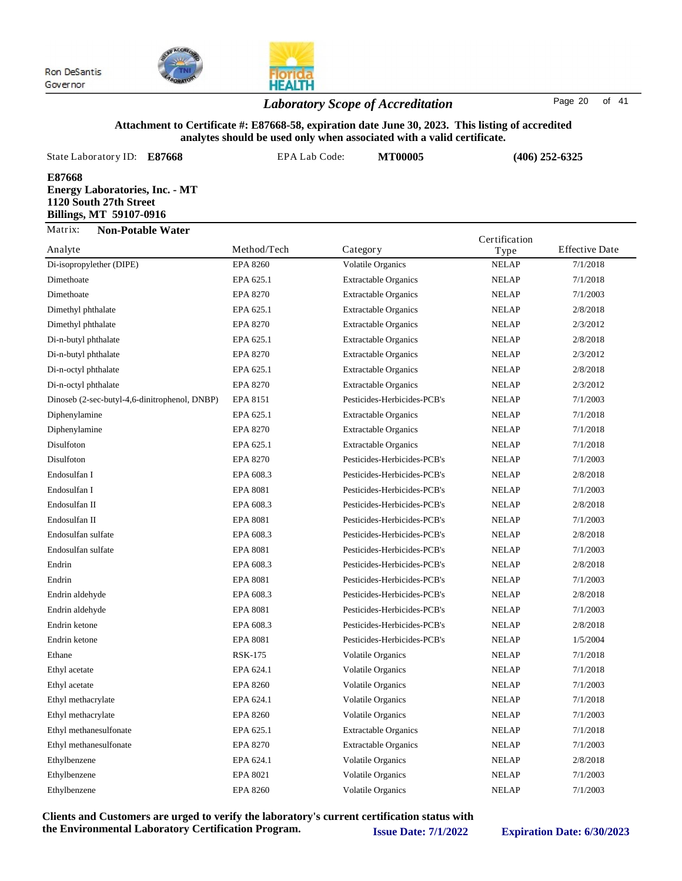

## **HEALTH** *Laboratory Scope of Accreditation* Page <sup>20</sup> of <sup>41</sup>

### **Attachment to Certificate #: E87668-58, expiration date June 30, 2023. This listing of accredited analytes should be used only when associated with a valid certificate.**

| E87668                                                                                                                                                                                                               |  |
|----------------------------------------------------------------------------------------------------------------------------------------------------------------------------------------------------------------------|--|
| <b>Energy Laboratories, Inc. - MT</b><br>1120 South 27th Street<br><b>Billings, MT 59107-0916</b>                                                                                                                    |  |
| Matrix:<br><b>Non-Potable Water</b><br>Certification                                                                                                                                                                 |  |
| Analyte<br><b>Effective Date</b><br>Method/Tech<br>Category<br>Type<br>$D: \mathcal{L}_{\text{in}} \rightarrow \mathcal{L}_{\text{out}}$<br>7/1/2010<br>EDA.0200<br>$\mathbf{V}$ -1-41- $\mathbf{O}$ -----<br>MEL AD |  |

|                                               |                 |                             | $\mathbf{1}$ y p $\sim$ |          |
|-----------------------------------------------|-----------------|-----------------------------|-------------------------|----------|
| Di-isopropylether (DIPE)                      | <b>EPA 8260</b> | Volatile Organics           | <b>NELAP</b>            | 7/1/2018 |
| Dimethoate                                    | EPA 625.1       | <b>Extractable Organics</b> | <b>NELAP</b>            | 7/1/2018 |
| Dimethoate                                    | <b>EPA 8270</b> | <b>Extractable Organics</b> | <b>NELAP</b>            | 7/1/2003 |
| Dimethyl phthalate                            | EPA 625.1       | <b>Extractable Organics</b> | <b>NELAP</b>            | 2/8/2018 |
| Dimethyl phthalate                            | <b>EPA 8270</b> | <b>Extractable Organics</b> | <b>NELAP</b>            | 2/3/2012 |
| Di-n-butyl phthalate                          | EPA 625.1       | <b>Extractable Organics</b> | <b>NELAP</b>            | 2/8/2018 |
| Di-n-butyl phthalate                          | <b>EPA 8270</b> | <b>Extractable Organics</b> | <b>NELAP</b>            | 2/3/2012 |
| Di-n-octyl phthalate                          | EPA 625.1       | <b>Extractable Organics</b> | <b>NELAP</b>            | 2/8/2018 |
| Di-n-octyl phthalate                          | <b>EPA 8270</b> | <b>Extractable Organics</b> | <b>NELAP</b>            | 2/3/2012 |
| Dinoseb (2-sec-butyl-4,6-dinitrophenol, DNBP) | EPA 8151        | Pesticides-Herbicides-PCB's | <b>NELAP</b>            | 7/1/2003 |
| Diphenylamine                                 | EPA 625.1       | <b>Extractable Organics</b> | <b>NELAP</b>            | 7/1/2018 |
| Diphenylamine                                 | <b>EPA 8270</b> | <b>Extractable Organics</b> | <b>NELAP</b>            | 7/1/2018 |
| Disulfoton                                    | EPA 625.1       | <b>Extractable Organics</b> | <b>NELAP</b>            | 7/1/2018 |
| Disulfoton                                    | <b>EPA 8270</b> | Pesticides-Herbicides-PCB's | <b>NELAP</b>            | 7/1/2003 |
| Endosulfan I                                  | EPA 608.3       | Pesticides-Herbicides-PCB's | <b>NELAP</b>            | 2/8/2018 |
| Endosulfan I                                  | <b>EPA 8081</b> | Pesticides-Herbicides-PCB's | <b>NELAP</b>            | 7/1/2003 |
| Endosulfan II                                 | EPA 608.3       | Pesticides-Herbicides-PCB's | <b>NELAP</b>            | 2/8/2018 |
| Endosulfan II                                 | <b>EPA 8081</b> | Pesticides-Herbicides-PCB's | <b>NELAP</b>            | 7/1/2003 |
| Endosulfan sulfate                            | EPA 608.3       | Pesticides-Herbicides-PCB's | <b>NELAP</b>            | 2/8/2018 |
| Endosulfan sulfate                            | <b>EPA 8081</b> | Pesticides-Herbicides-PCB's | <b>NELAP</b>            | 7/1/2003 |
| Endrin                                        | EPA 608.3       | Pesticides-Herbicides-PCB's | <b>NELAP</b>            | 2/8/2018 |
| Endrin                                        | <b>EPA 8081</b> | Pesticides-Herbicides-PCB's | <b>NELAP</b>            | 7/1/2003 |
| Endrin aldehyde                               | EPA 608.3       | Pesticides-Herbicides-PCB's | <b>NELAP</b>            | 2/8/2018 |
| Endrin aldehyde                               | <b>EPA 8081</b> | Pesticides-Herbicides-PCB's | <b>NELAP</b>            | 7/1/2003 |
| Endrin ketone                                 | EPA 608.3       | Pesticides-Herbicides-PCB's | <b>NELAP</b>            | 2/8/2018 |
| Endrin ketone                                 | <b>EPA 8081</b> | Pesticides-Herbicides-PCB's | <b>NELAP</b>            | 1/5/2004 |
| Ethane                                        | <b>RSK-175</b>  | Volatile Organics           | <b>NELAP</b>            | 7/1/2018 |
| Ethyl acetate                                 | EPA 624.1       | Volatile Organics           | <b>NELAP</b>            | 7/1/2018 |
| Ethyl acetate                                 | <b>EPA 8260</b> | <b>Volatile Organics</b>    | <b>NELAP</b>            | 7/1/2003 |
| Ethyl methacrylate                            | EPA 624.1       | <b>Volatile Organics</b>    | <b>NELAP</b>            | 7/1/2018 |
| Ethyl methacrylate                            | <b>EPA 8260</b> | <b>Volatile Organics</b>    | <b>NELAP</b>            | 7/1/2003 |
| Ethyl methanesulfonate                        | EPA 625.1       | <b>Extractable Organics</b> | <b>NELAP</b>            | 7/1/2018 |
| Ethyl methanesulfonate                        | <b>EPA 8270</b> | <b>Extractable Organics</b> | <b>NELAP</b>            | 7/1/2003 |
| Ethylbenzene                                  | EPA 624.1       | <b>Volatile Organics</b>    | <b>NELAP</b>            | 2/8/2018 |
| Ethylbenzene                                  | EPA 8021        | Volatile Organics           | <b>NELAP</b>            | 7/1/2003 |
| Ethylbenzene                                  | <b>EPA 8260</b> | <b>Volatile Organics</b>    | <b>NELAP</b>            | 7/1/2003 |
|                                               |                 |                             |                         |          |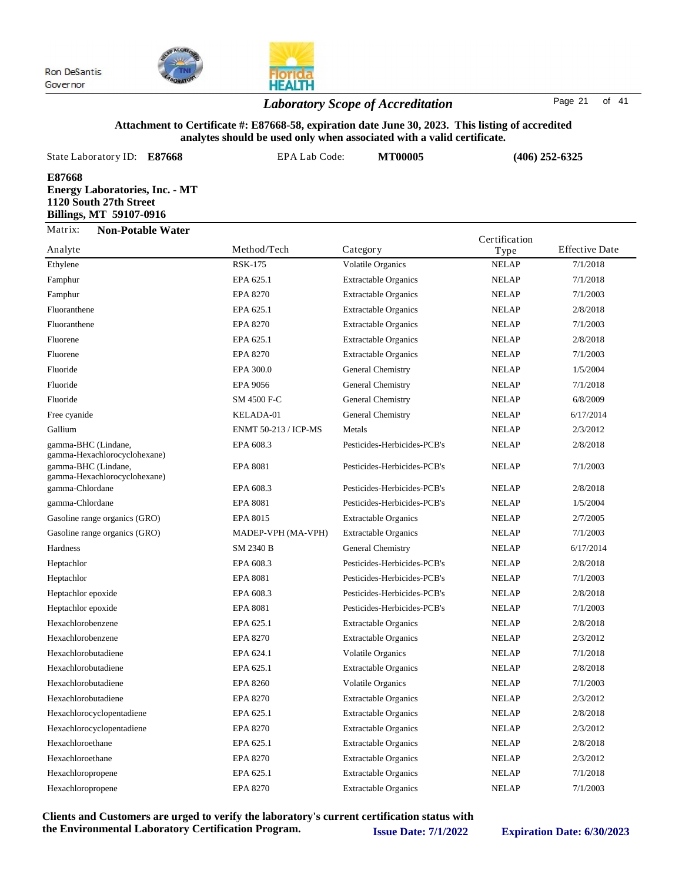

## *Laboratory Scope of Accreditation* Page <sup>21</sup> of <sup>41</sup>

**HEALTH** 

#### **Attachment to Certificate #: E87668-58, expiration date June 30, 2023. This listing of accredited analytes should be used only when associated with a valid certificate.**

| State Laboratory ID: E87668                                                                                 | EPA Lab Code:   | <b>MT00005</b>    |                    | $(406)$ 252-6325      |
|-------------------------------------------------------------------------------------------------------------|-----------------|-------------------|--------------------|-----------------------|
| E87668<br><b>Energy Laboratories, Inc. - MT</b><br>1120 South 27th Street<br><b>Billings, MT 59107-0916</b> |                 |                   |                    |                       |
| Matrix:<br><b>Non-Potable Water</b>                                                                         |                 |                   | Certification      |                       |
| Analyte                                                                                                     | Method/Tech     | Category          | Type               | <b>Effective Date</b> |
| $-1$                                                                                                        | <b>DOTT 100</b> | $\cdots$ $\cdots$ | <b>ATTACK 1.75</b> | $-1$ $-1$             |

| Analyte                                             | <u>ivictiiou/I celi</u> | Caicgoi y                   | 1 ype        | Liittiivt Datt |
|-----------------------------------------------------|-------------------------|-----------------------------|--------------|----------------|
| Ethylene                                            | <b>RSK-175</b>          | <b>Volatile Organics</b>    | <b>NELAP</b> | 7/1/2018       |
| Famphur                                             | EPA 625.1               | <b>Extractable Organics</b> | <b>NELAP</b> | 7/1/2018       |
| Famphur                                             | <b>EPA 8270</b>         | <b>Extractable Organics</b> | <b>NELAP</b> | 7/1/2003       |
| Fluoranthene                                        | EPA 625.1               | <b>Extractable Organics</b> | <b>NELAP</b> | 2/8/2018       |
| Fluoranthene                                        | <b>EPA 8270</b>         | <b>Extractable Organics</b> | <b>NELAP</b> | 7/1/2003       |
| Fluorene                                            | EPA 625.1               | <b>Extractable Organics</b> | <b>NELAP</b> | 2/8/2018       |
| Fluorene                                            | <b>EPA 8270</b>         | <b>Extractable Organics</b> | <b>NELAP</b> | 7/1/2003       |
| Fluoride                                            | EPA 300.0               | General Chemistry           | <b>NELAP</b> | 1/5/2004       |
| Fluoride                                            | EPA 9056                | General Chemistry           | <b>NELAP</b> | 7/1/2018       |
| Fluoride                                            | SM 4500 F-C             | General Chemistry           | <b>NELAP</b> | 6/8/2009       |
| Free cyanide                                        | KELADA-01               | General Chemistry           | <b>NELAP</b> | 6/17/2014      |
| Gallium                                             | ENMT 50-213 / ICP-MS    | Metals                      | <b>NELAP</b> | 2/3/2012       |
| gamma-BHC (Lindane,<br>gamma-Hexachlorocyclohexane) | EPA 608.3               | Pesticides-Herbicides-PCB's | <b>NELAP</b> | 2/8/2018       |
| gamma-BHC (Lindane,<br>gamma-Hexachlorocyclohexane) | <b>EPA 8081</b>         | Pesticides-Herbicides-PCB's | <b>NELAP</b> | 7/1/2003       |
| gamma-Chlordane                                     | EPA 608.3               | Pesticides-Herbicides-PCB's | <b>NELAP</b> | 2/8/2018       |
| gamma-Chlordane                                     | <b>EPA 8081</b>         | Pesticides-Herbicides-PCB's | <b>NELAP</b> | 1/5/2004       |
| Gasoline range organics (GRO)                       | EPA 8015                | <b>Extractable Organics</b> | <b>NELAP</b> | 2/7/2005       |
| Gasoline range organics (GRO)                       | MADEP-VPH (MA-VPH)      | <b>Extractable Organics</b> | <b>NELAP</b> | 7/1/2003       |
| Hardness                                            | SM 2340 B               | General Chemistry           | <b>NELAP</b> | 6/17/2014      |
| Heptachlor                                          | EPA 608.3               | Pesticides-Herbicides-PCB's | <b>NELAP</b> | 2/8/2018       |
| Heptachlor                                          | <b>EPA 8081</b>         | Pesticides-Herbicides-PCB's | <b>NELAP</b> | 7/1/2003       |
| Heptachlor epoxide                                  | EPA 608.3               | Pesticides-Herbicides-PCB's | <b>NELAP</b> | 2/8/2018       |
| Heptachlor epoxide                                  | <b>EPA 8081</b>         | Pesticides-Herbicides-PCB's | <b>NELAP</b> | 7/1/2003       |
| Hexachlorobenzene                                   | EPA 625.1               | <b>Extractable Organics</b> | <b>NELAP</b> | 2/8/2018       |
| Hexachlorobenzene                                   | <b>EPA 8270</b>         | <b>Extractable Organics</b> | <b>NELAP</b> | 2/3/2012       |
| Hexachlorobutadiene                                 | EPA 624.1               | <b>Volatile Organics</b>    | <b>NELAP</b> | 7/1/2018       |
| Hexachlorobutadiene                                 | EPA 625.1               | <b>Extractable Organics</b> | <b>NELAP</b> | 2/8/2018       |
| Hexachlorobutadiene                                 | <b>EPA 8260</b>         | <b>Volatile Organics</b>    | <b>NELAP</b> | 7/1/2003       |
| Hexachlorobutadiene                                 | <b>EPA 8270</b>         | <b>Extractable Organics</b> | <b>NELAP</b> | 2/3/2012       |
| Hexachlorocyclopentadiene                           | EPA 625.1               | <b>Extractable Organics</b> | <b>NELAP</b> | 2/8/2018       |
| Hexachlorocyclopentadiene                           | <b>EPA 8270</b>         | <b>Extractable Organics</b> | <b>NELAP</b> | 2/3/2012       |
| Hexachloroethane                                    | EPA 625.1               | <b>Extractable Organics</b> | <b>NELAP</b> | 2/8/2018       |
| Hexachloroethane                                    | <b>EPA 8270</b>         | <b>Extractable Organics</b> | <b>NELAP</b> | 2/3/2012       |
| Hexachloropropene                                   | EPA 625.1               | <b>Extractable Organics</b> | <b>NELAP</b> | 7/1/2018       |
| Hexachloropropene                                   | <b>EPA 8270</b>         | <b>Extractable Organics</b> | <b>NELAP</b> | 7/1/2003       |
|                                                     |                         |                             |              |                |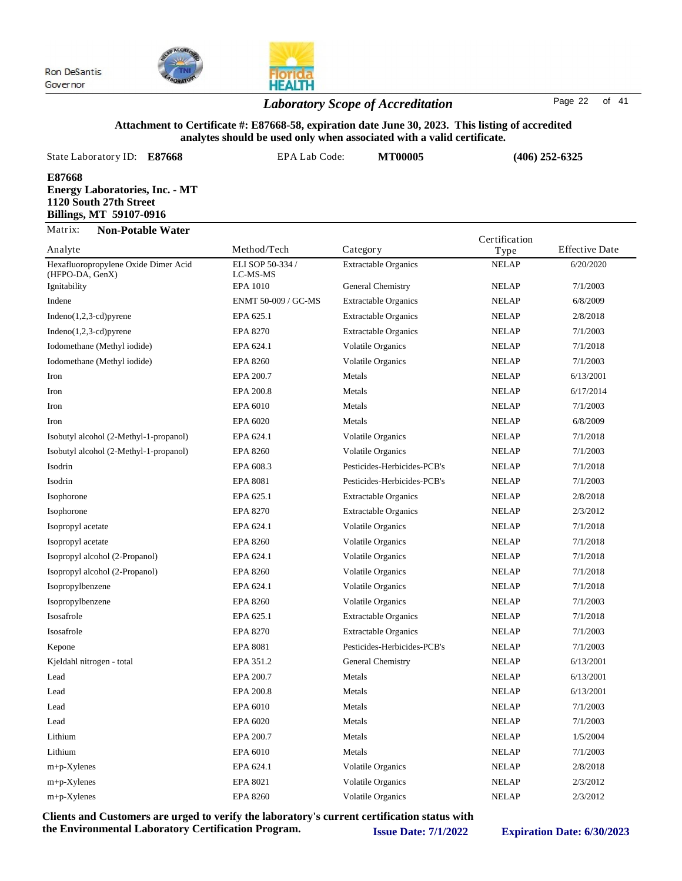



## *Laboratory Scope of Accreditation* Page <sup>22</sup> of <sup>41</sup>

### **Attachment to Certificate #: E87668-58, expiration date June 30, 2023. This listing of accredited analytes should be used only when associated with a valid certificate.**

| State Laboratory ID:<br>E87668                                                                       | EPA Lab Code:                | <b>MT00005</b>              | $(406)$ 252-6325      |                       |
|------------------------------------------------------------------------------------------------------|------------------------------|-----------------------------|-----------------------|-----------------------|
| E87668<br><b>Energy Laboratories, Inc. - MT</b><br>1120 South 27th Street<br>Billings, MT 59107-0916 |                              |                             |                       |                       |
| Matrix:<br><b>Non-Potable Water</b><br>Analyte                                                       | Method/Tech                  | Category                    | Certification<br>Type | <b>Effective Date</b> |
| Hexafluoropropylene Oxide Dimer Acid<br>(HFPO-DA, GenX)                                              | ELI SOP 50-334 /<br>LC-MS-MS | <b>Extractable Organics</b> | <b>NELAP</b>          | 6/20/2020             |

| Hexafluoropropylene Oxide Dimer Acid<br>(HFPO-DA, GenX) | ELI SOP 50-334 /<br>LC-MS-MS | <b>Extractable Organics</b> | <b>NELAP</b> | 6/20/2020 |
|---------------------------------------------------------|------------------------------|-----------------------------|--------------|-----------|
| Ignitability                                            | <b>EPA 1010</b>              | General Chemistry           | <b>NELAP</b> | 7/1/2003  |
| Indene                                                  | ENMT 50-009 / GC-MS          | <b>Extractable Organics</b> | <b>NELAP</b> | 6/8/2009  |
| $Indeno(1,2,3-cd)pyrene$                                | EPA 625.1                    | <b>Extractable Organics</b> | <b>NELAP</b> | 2/8/2018  |
| Indeno $(1,2,3$ -cd) pyrene                             | <b>EPA 8270</b>              | <b>Extractable Organics</b> | <b>NELAP</b> | 7/1/2003  |
| Iodomethane (Methyl iodide)                             | EPA 624.1                    | <b>Volatile Organics</b>    | <b>NELAP</b> | 7/1/2018  |
| Iodomethane (Methyl iodide)                             | <b>EPA 8260</b>              | <b>Volatile Organics</b>    | <b>NELAP</b> | 7/1/2003  |
| Iron                                                    | EPA 200.7                    | Metals                      | <b>NELAP</b> | 6/13/2001 |
| Iron                                                    | EPA 200.8                    | Metals                      | <b>NELAP</b> | 6/17/2014 |
| Iron                                                    | EPA 6010                     | Metals                      | <b>NELAP</b> | 7/1/2003  |
| Iron                                                    | EPA 6020                     | Metals                      | <b>NELAP</b> | 6/8/2009  |
| Isobutyl alcohol (2-Methyl-1-propanol)                  | EPA 624.1                    | <b>Volatile Organics</b>    | <b>NELAP</b> | 7/1/2018  |
| Isobutyl alcohol (2-Methyl-1-propanol)                  | <b>EPA 8260</b>              | <b>Volatile Organics</b>    | <b>NELAP</b> | 7/1/2003  |
| Isodrin                                                 | EPA 608.3                    | Pesticides-Herbicides-PCB's | <b>NELAP</b> | 7/1/2018  |
| Isodrin                                                 | <b>EPA 8081</b>              | Pesticides-Herbicides-PCB's | <b>NELAP</b> | 7/1/2003  |
| Isophorone                                              | EPA 625.1                    | <b>Extractable Organics</b> | <b>NELAP</b> | 2/8/2018  |
| Isophorone                                              | <b>EPA 8270</b>              | <b>Extractable Organics</b> | <b>NELAP</b> | 2/3/2012  |
| Isopropyl acetate                                       | EPA 624.1                    | <b>Volatile Organics</b>    | <b>NELAP</b> | 7/1/2018  |
| Isopropyl acetate                                       | <b>EPA 8260</b>              | <b>Volatile Organics</b>    | <b>NELAP</b> | 7/1/2018  |
| Isopropyl alcohol (2-Propanol)                          | EPA 624.1                    | <b>Volatile Organics</b>    | <b>NELAP</b> | 7/1/2018  |
| Isopropyl alcohol (2-Propanol)                          | <b>EPA 8260</b>              | <b>Volatile Organics</b>    | <b>NELAP</b> | 7/1/2018  |
| Isopropylbenzene                                        | EPA 624.1                    | <b>Volatile Organics</b>    | <b>NELAP</b> | 7/1/2018  |
| Isopropylbenzene                                        | <b>EPA 8260</b>              | <b>Volatile Organics</b>    | <b>NELAP</b> | 7/1/2003  |
| Isosafrole                                              | EPA 625.1                    | <b>Extractable Organics</b> | <b>NELAP</b> | 7/1/2018  |
| Isosafrole                                              | <b>EPA 8270</b>              | <b>Extractable Organics</b> | <b>NELAP</b> | 7/1/2003  |
| Kepone                                                  | <b>EPA 8081</b>              | Pesticides-Herbicides-PCB's | <b>NELAP</b> | 7/1/2003  |
| Kjeldahl nitrogen - total                               | EPA 351.2                    | General Chemistry           | <b>NELAP</b> | 6/13/2001 |
| Lead                                                    | EPA 200.7                    | Metals                      | <b>NELAP</b> | 6/13/2001 |
| Lead                                                    | EPA 200.8                    | Metals                      | <b>NELAP</b> | 6/13/2001 |
| Lead                                                    | EPA 6010                     | Metals                      | <b>NELAP</b> | 7/1/2003  |
| Lead                                                    | EPA 6020                     | Metals                      | <b>NELAP</b> | 7/1/2003  |
| Lithium                                                 | EPA 200.7                    | Metals                      | <b>NELAP</b> | 1/5/2004  |
| Lithium                                                 | EPA 6010                     | Metals                      | <b>NELAP</b> | 7/1/2003  |
| $m+p$ -Xylenes                                          | EPA 624.1                    | <b>Volatile Organics</b>    | <b>NELAP</b> | 2/8/2018  |
| $m+p-X$ ylenes                                          | <b>EPA 8021</b>              | <b>Volatile Organics</b>    | <b>NELAP</b> | 2/3/2012  |
| $m+p$ -Xylenes                                          | <b>EPA 8260</b>              | <b>Volatile Organics</b>    | <b>NELAP</b> | 2/3/2012  |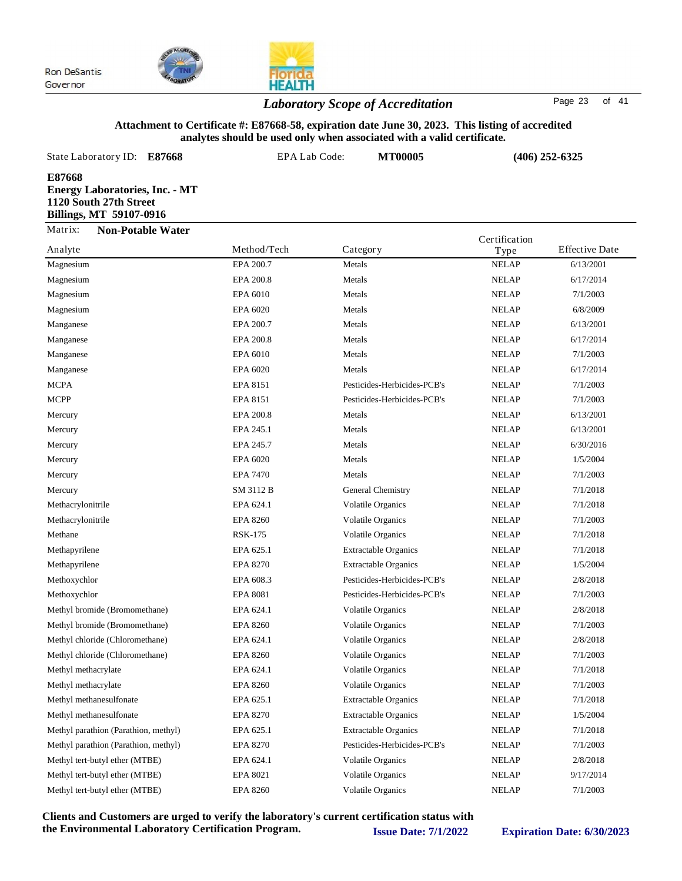

## *Laboratory Scope of Accreditation* Page <sup>23</sup> of <sup>41</sup>

**HEALTH** 

#### **Attachment to Certificate #: E87668-58, expiration date June 30, 2023. This listing of accredited analytes should be used only when associated with a valid certificate.**

| State Laboratory ID:<br>E87668                                                                       | EPA Lab Code: | <b>MT00005</b> |               | $(406)$ 252-6325      |
|------------------------------------------------------------------------------------------------------|---------------|----------------|---------------|-----------------------|
| E87668<br><b>Energy Laboratories, Inc. - MT</b><br>1120 South 27th Street<br>Billings, MT 59107-0916 |               |                |               |                       |
| Matrix:<br><b>Non-Potable Water</b>                                                                  |               |                | Certification |                       |
| Analyte                                                                                              | Method/Tech   | Category       | Type          | <b>Effective Date</b> |
| $M = 1.1$                                                                                            | $EDA$ 300.7   | $M - 1 -$      | MEL AD        | (120001               |

| Magnesium                            | EPA 200.7       | Metals                      | <b>NELAP</b> | 6/13/2001 |
|--------------------------------------|-----------------|-----------------------------|--------------|-----------|
| Magnesium                            | EPA 200.8       | Metals                      | <b>NELAP</b> | 6/17/2014 |
| Magnesium                            | EPA 6010        | Metals                      | <b>NELAP</b> | 7/1/2003  |
| Magnesium                            | EPA 6020        | Metals                      | <b>NELAP</b> | 6/8/2009  |
| Manganese                            | EPA 200.7       | Metals                      | <b>NELAP</b> | 6/13/2001 |
| Manganese                            | EPA 200.8       | Metals                      | <b>NELAP</b> | 6/17/2014 |
| Manganese                            | EPA 6010        | Metals                      | <b>NELAP</b> | 7/1/2003  |
| Manganese                            | EPA 6020        | Metals                      | <b>NELAP</b> | 6/17/2014 |
| <b>MCPA</b>                          | EPA 8151        | Pesticides-Herbicides-PCB's | <b>NELAP</b> | 7/1/2003  |
| <b>MCPP</b>                          | EPA 8151        | Pesticides-Herbicides-PCB's | <b>NELAP</b> | 7/1/2003  |
| Mercury                              | EPA 200.8       | Metals                      | <b>NELAP</b> | 6/13/2001 |
| Mercury                              | EPA 245.1       | Metals                      | <b>NELAP</b> | 6/13/2001 |
| Mercury                              | EPA 245.7       | Metals                      | <b>NELAP</b> | 6/30/2016 |
| Mercury                              | EPA 6020        | Metals                      | <b>NELAP</b> | 1/5/2004  |
| Mercury                              | <b>EPA 7470</b> | Metals                      | <b>NELAP</b> | 7/1/2003  |
| Mercury                              | SM 3112 B       | General Chemistry           | <b>NELAP</b> | 7/1/2018  |
| Methacrylonitrile                    | EPA 624.1       | <b>Volatile Organics</b>    | <b>NELAP</b> | 7/1/2018  |
| Methacrylonitrile                    | <b>EPA 8260</b> | Volatile Organics           | <b>NELAP</b> | 7/1/2003  |
| Methane                              | <b>RSK-175</b>  | Volatile Organics           | <b>NELAP</b> | 7/1/2018  |
| Methapyrilene                        | EPA 625.1       | <b>Extractable Organics</b> | <b>NELAP</b> | 7/1/2018  |
| Methapyrilene                        | <b>EPA 8270</b> | <b>Extractable Organics</b> | <b>NELAP</b> | 1/5/2004  |
| Methoxychlor                         | EPA 608.3       | Pesticides-Herbicides-PCB's | <b>NELAP</b> | 2/8/2018  |
| Methoxychlor                         | <b>EPA 8081</b> | Pesticides-Herbicides-PCB's | <b>NELAP</b> | 7/1/2003  |
| Methyl bromide (Bromomethane)        | EPA 624.1       | <b>Volatile Organics</b>    | <b>NELAP</b> | 2/8/2018  |
| Methyl bromide (Bromomethane)        | <b>EPA 8260</b> | <b>Volatile Organics</b>    | <b>NELAP</b> | 7/1/2003  |
| Methyl chloride (Chloromethane)      | EPA 624.1       | <b>Volatile Organics</b>    | <b>NELAP</b> | 2/8/2018  |
| Methyl chloride (Chloromethane)      | <b>EPA 8260</b> | <b>Volatile Organics</b>    | <b>NELAP</b> | 7/1/2003  |
| Methyl methacrylate                  | EPA 624.1       | <b>Volatile Organics</b>    | <b>NELAP</b> | 7/1/2018  |
| Methyl methacrylate                  | <b>EPA 8260</b> | Volatile Organics           | <b>NELAP</b> | 7/1/2003  |
| Methyl methanesulfonate              | EPA 625.1       | <b>Extractable Organics</b> | <b>NELAP</b> | 7/1/2018  |
| Methyl methanesulfonate              | <b>EPA 8270</b> | <b>Extractable Organics</b> | <b>NELAP</b> | 1/5/2004  |
| Methyl parathion (Parathion, methyl) | EPA 625.1       | <b>Extractable Organics</b> | <b>NELAP</b> | 7/1/2018  |
| Methyl parathion (Parathion, methyl) | <b>EPA 8270</b> | Pesticides-Herbicides-PCB's | <b>NELAP</b> | 7/1/2003  |
| Methyl tert-butyl ether (MTBE)       | EPA 624.1       | Volatile Organics           | <b>NELAP</b> | 2/8/2018  |
| Methyl tert-butyl ether (MTBE)       | <b>EPA 8021</b> | <b>Volatile Organics</b>    | <b>NELAP</b> | 9/17/2014 |
| Methyl tert-butyl ether (MTBE)       | <b>EPA 8260</b> | <b>Volatile Organics</b>    | <b>NELAP</b> | 7/1/2003  |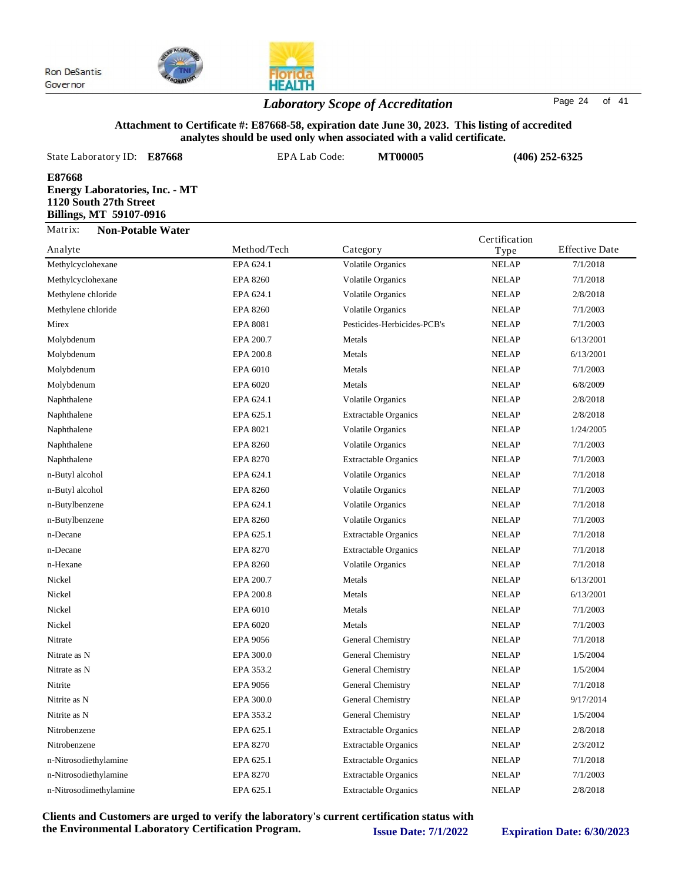

## *Laboratory Scope of Accreditation* Page <sup>24</sup> of <sup>41</sup>

#### **Attachment to Certificate #: E87668-58, expiration date June 30, 2023. This listing of accredited analytes should be used only when associated with a valid certificate.**

| State Laboratory ID: E87668                                                                          | EPA Lab Code: | <b>MT00005</b> | $(406)$ 252-6325                               |
|------------------------------------------------------------------------------------------------------|---------------|----------------|------------------------------------------------|
| E87668<br><b>Energy Laboratories, Inc. - MT</b><br>1120 South 27th Street<br>Billings, MT 59107-0916 |               |                |                                                |
| Matrix:<br><b>Non-Potable Water</b><br>Analyte                                                       | Method/Tech   | Category       | Certification<br><b>Effective Date</b><br>Type |

| Analyte                | Method/Tech     | Category                    | Type         | <b>Effective Date</b> |
|------------------------|-----------------|-----------------------------|--------------|-----------------------|
| Methylcyclohexane      | EPA 624.1       | <b>Volatile Organics</b>    | <b>NELAP</b> | 7/1/2018              |
| Methylcyclohexane      | <b>EPA 8260</b> | Volatile Organics           | <b>NELAP</b> | 7/1/2018              |
| Methylene chloride     | EPA 624.1       | <b>Volatile Organics</b>    | <b>NELAP</b> | 2/8/2018              |
| Methylene chloride     | <b>EPA 8260</b> | Volatile Organics           | <b>NELAP</b> | 7/1/2003              |
| Mirex                  | <b>EPA 8081</b> | Pesticides-Herbicides-PCB's | <b>NELAP</b> | 7/1/2003              |
| Molybdenum             | EPA 200.7       | Metals                      | <b>NELAP</b> | 6/13/2001             |
| Molybdenum             | EPA 200.8       | Metals                      | <b>NELAP</b> | 6/13/2001             |
| Molybdenum             | EPA 6010        | Metals                      | <b>NELAP</b> | 7/1/2003              |
| Molybdenum             | EPA 6020        | Metals                      | <b>NELAP</b> | 6/8/2009              |
| Naphthalene            | EPA 624.1       | <b>Volatile Organics</b>    | <b>NELAP</b> | 2/8/2018              |
| Naphthalene            | EPA 625.1       | <b>Extractable Organics</b> | <b>NELAP</b> | 2/8/2018              |
| Naphthalene            | <b>EPA 8021</b> | <b>Volatile Organics</b>    | <b>NELAP</b> | 1/24/2005             |
| Naphthalene            | <b>EPA 8260</b> | <b>Volatile Organics</b>    | <b>NELAP</b> | 7/1/2003              |
| Naphthalene            | <b>EPA 8270</b> | <b>Extractable Organics</b> | <b>NELAP</b> | 7/1/2003              |
| n-Butyl alcohol        | EPA 624.1       | <b>Volatile Organics</b>    | <b>NELAP</b> | 7/1/2018              |
| n-Butyl alcohol        | <b>EPA 8260</b> | <b>Volatile Organics</b>    | <b>NELAP</b> | 7/1/2003              |
| n-Butylbenzene         | EPA 624.1       | Volatile Organics           | <b>NELAP</b> | 7/1/2018              |
| n-Butylbenzene         | <b>EPA 8260</b> | <b>Volatile Organics</b>    | <b>NELAP</b> | 7/1/2003              |
| n-Decane               | EPA 625.1       | <b>Extractable Organics</b> | <b>NELAP</b> | 7/1/2018              |
| n-Decane               | <b>EPA 8270</b> | <b>Extractable Organics</b> | <b>NELAP</b> | 7/1/2018              |
| n-Hexane               | <b>EPA 8260</b> | <b>Volatile Organics</b>    | <b>NELAP</b> | 7/1/2018              |
| Nickel                 | EPA 200.7       | Metals                      | <b>NELAP</b> | 6/13/2001             |
| Nickel                 | EPA 200.8       | Metals                      | <b>NELAP</b> | 6/13/2001             |
| Nickel                 | EPA 6010        | Metals                      | <b>NELAP</b> | 7/1/2003              |
| Nickel                 | EPA 6020        | Metals                      | <b>NELAP</b> | 7/1/2003              |
| Nitrate                | <b>EPA 9056</b> | General Chemistry           | <b>NELAP</b> | 7/1/2018              |
| Nitrate as N           | EPA 300.0       | General Chemistry           | <b>NELAP</b> | 1/5/2004              |
| Nitrate as N           | EPA 353.2       | General Chemistry           | <b>NELAP</b> | 1/5/2004              |
| Nitrite                | <b>EPA 9056</b> | General Chemistry           | <b>NELAP</b> | 7/1/2018              |
| Nitrite as N           | EPA 300.0       | General Chemistry           | <b>NELAP</b> | 9/17/2014             |
| Nitrite as N           | EPA 353.2       | General Chemistry           | <b>NELAP</b> | 1/5/2004              |
| Nitrobenzene           | EPA 625.1       | <b>Extractable Organics</b> | <b>NELAP</b> | 2/8/2018              |
| Nitrobenzene           | <b>EPA 8270</b> | <b>Extractable Organics</b> | <b>NELAP</b> | 2/3/2012              |
| n-Nitrosodiethylamine  | EPA 625.1       | <b>Extractable Organics</b> | <b>NELAP</b> | 7/1/2018              |
| n-Nitrosodiethylamine  | <b>EPA 8270</b> | <b>Extractable Organics</b> | <b>NELAP</b> | 7/1/2003              |
| n-Nitrosodimethylamine | EPA 625.1       | <b>Extractable Organics</b> | <b>NELAP</b> | 2/8/2018              |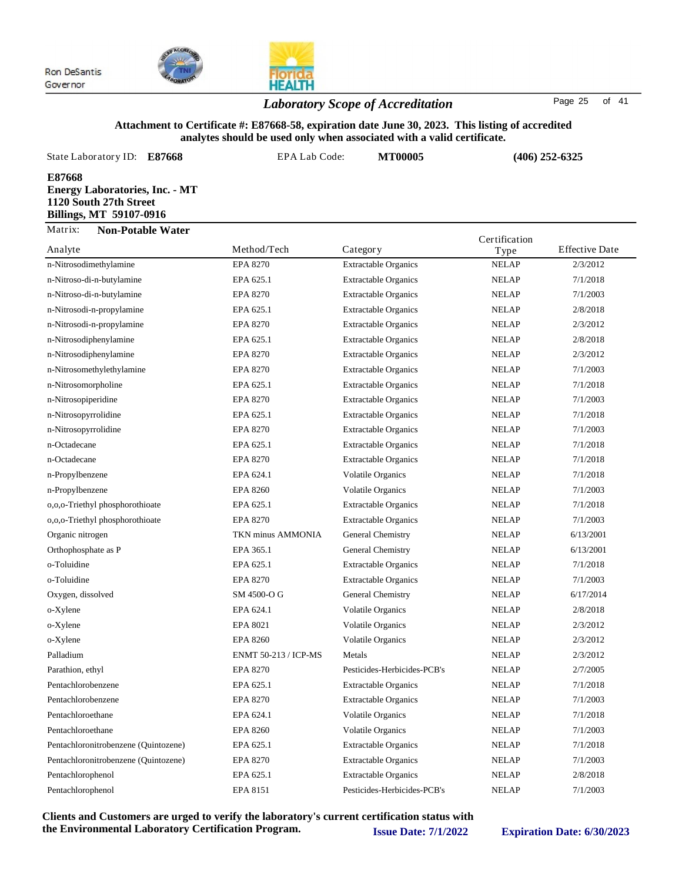

*Laboratory Scope of Accreditation* Page <sup>25</sup> of <sup>41</sup>

### **Attachment to Certificate #: E87668-58, expiration date June 30, 2023. This listing of accredited analytes should be used only when associated with a valid certificate.**

|                           | State Laboratory ID: E87668                                                                       | EPA Lab Code:                            | <b>MT00005</b> | $(406)$ 252-6325                       |  |
|---------------------------|---------------------------------------------------------------------------------------------------|------------------------------------------|----------------|----------------------------------------|--|
| E87668                    | <b>Energy Laboratories, Inc. - MT</b><br>1120 South 27th Street<br><b>Billings, MT 59107-0916</b> |                                          |                |                                        |  |
| Matrix:                   | <b>Non-Potable Water</b>                                                                          |                                          |                | Certification                          |  |
| $A = \alpha 1 + t \alpha$ |                                                                                                   | $M$ <sub>athad</sub> $T$ <sub>aa</sub> k |                | $\Gamma$ ffootive Data<br>$\mathbf{r}$ |  |

| Analyte                              | Method/Tech          | Category                    | Type         | <b>Effective Date</b> |
|--------------------------------------|----------------------|-----------------------------|--------------|-----------------------|
| n-Nitrosodimethylamine               | <b>EPA 8270</b>      | <b>Extractable Organics</b> | <b>NELAP</b> | 2/3/2012              |
| n-Nitroso-di-n-butylamine            | EPA 625.1            | <b>Extractable Organics</b> | <b>NELAP</b> | 7/1/2018              |
| n-Nitroso-di-n-butylamine            | <b>EPA 8270</b>      | <b>Extractable Organics</b> | <b>NELAP</b> | 7/1/2003              |
| n-Nitrosodi-n-propylamine            | EPA 625.1            | <b>Extractable Organics</b> | <b>NELAP</b> | 2/8/2018              |
| n-Nitrosodi-n-propylamine            | <b>EPA 8270</b>      | <b>Extractable Organics</b> | <b>NELAP</b> | 2/3/2012              |
| n-Nitrosodiphenylamine               | EPA 625.1            | <b>Extractable Organics</b> | <b>NELAP</b> | 2/8/2018              |
| n-Nitrosodiphenylamine               | <b>EPA 8270</b>      | <b>Extractable Organics</b> | <b>NELAP</b> | 2/3/2012              |
| n-Nitrosomethylethylamine            | <b>EPA 8270</b>      | <b>Extractable Organics</b> | <b>NELAP</b> | 7/1/2003              |
| n-Nitrosomorpholine                  | EPA 625.1            | <b>Extractable Organics</b> | <b>NELAP</b> | 7/1/2018              |
| n-Nitrosopiperidine                  | <b>EPA 8270</b>      | <b>Extractable Organics</b> | <b>NELAP</b> | 7/1/2003              |
| n-Nitrosopyrrolidine                 | EPA 625.1            | <b>Extractable Organics</b> | <b>NELAP</b> | 7/1/2018              |
| n-Nitrosopyrrolidine                 | <b>EPA 8270</b>      | <b>Extractable Organics</b> | <b>NELAP</b> | 7/1/2003              |
| n-Octadecane                         | EPA 625.1            | <b>Extractable Organics</b> | <b>NELAP</b> | 7/1/2018              |
| n-Octadecane                         | <b>EPA 8270</b>      | <b>Extractable Organics</b> | <b>NELAP</b> | 7/1/2018              |
| n-Propylbenzene                      | EPA 624.1            | Volatile Organics           | <b>NELAP</b> | 7/1/2018              |
| n-Propylbenzene                      | <b>EPA 8260</b>      | <b>Volatile Organics</b>    | <b>NELAP</b> | 7/1/2003              |
| o,o,o-Triethyl phosphorothioate      | EPA 625.1            | <b>Extractable Organics</b> | <b>NELAP</b> | 7/1/2018              |
| o,o,o-Triethyl phosphorothioate      | <b>EPA 8270</b>      | <b>Extractable Organics</b> | <b>NELAP</b> | 7/1/2003              |
| Organic nitrogen                     | TKN minus AMMONIA    | General Chemistry           | <b>NELAP</b> | 6/13/2001             |
| Orthophosphate as P                  | EPA 365.1            | General Chemistry           | <b>NELAP</b> | 6/13/2001             |
| o-Toluidine                          | EPA 625.1            | <b>Extractable Organics</b> | <b>NELAP</b> | 7/1/2018              |
| o-Toluidine                          | <b>EPA 8270</b>      | <b>Extractable Organics</b> | <b>NELAP</b> | 7/1/2003              |
| Oxygen, dissolved                    | SM 4500-O G          | General Chemistry           | <b>NELAP</b> | 6/17/2014             |
| o-Xylene                             | EPA 624.1            | <b>Volatile Organics</b>    | <b>NELAP</b> | 2/8/2018              |
| o-Xylene                             | EPA 8021             | <b>Volatile Organics</b>    | <b>NELAP</b> | 2/3/2012              |
| o-Xylene                             | <b>EPA 8260</b>      | Volatile Organics           | <b>NELAP</b> | 2/3/2012              |
| Palladium                            | ENMT 50-213 / ICP-MS | Metals                      | <b>NELAP</b> | 2/3/2012              |
| Parathion, ethyl                     | <b>EPA 8270</b>      | Pesticides-Herbicides-PCB's | <b>NELAP</b> | 2/7/2005              |
| Pentachlorobenzene                   | EPA 625.1            | <b>Extractable Organics</b> | <b>NELAP</b> | 7/1/2018              |
| Pentachlorobenzene                   | <b>EPA 8270</b>      | <b>Extractable Organics</b> | <b>NELAP</b> | 7/1/2003              |
| Pentachloroethane                    | EPA 624.1            | <b>Volatile Organics</b>    | <b>NELAP</b> | 7/1/2018              |
| Pentachloroethane                    | <b>EPA 8260</b>      | <b>Volatile Organics</b>    | <b>NELAP</b> | 7/1/2003              |
| Pentachloronitrobenzene (Quintozene) | EPA 625.1            | <b>Extractable Organics</b> | <b>NELAP</b> | 7/1/2018              |
| Pentachloronitrobenzene (Quintozene) | <b>EPA 8270</b>      | <b>Extractable Organics</b> | <b>NELAP</b> | 7/1/2003              |
| Pentachlorophenol                    | EPA 625.1            | <b>Extractable Organics</b> | <b>NELAP</b> | 2/8/2018              |
| Pentachlorophenol                    | EPA 8151             | Pesticides-Herbicides-PCB's | <b>NELAP</b> | 7/1/2003              |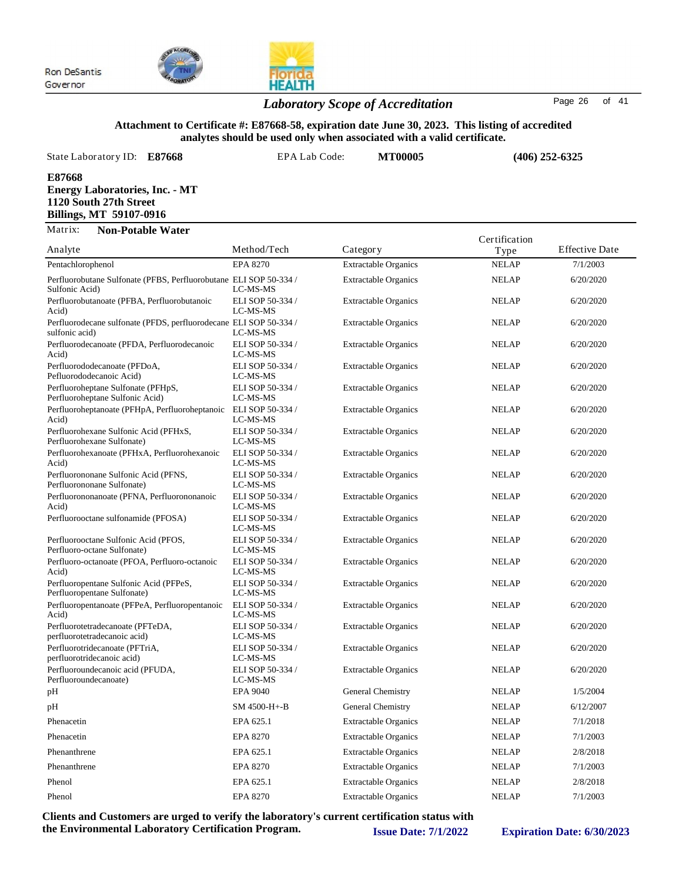



### *Laboratory Scope of Accreditation* Page <sup>26</sup> of <sup>41</sup>

#### **Attachment to Certificate #: E87668-58, expiration date June 30, 2023. This listing of accredited analytes should be used only when associated with a valid certificate.**

State Laboratory ID:  $E87668$  EPA Lab Code: **MT00005 E87668 Energy Laboratories, Inc. - MT 1120 South 27th Street Billings, MT 59107-0916 (406) 252-6325** Matrix: **Non-Potable Water** Certification

| Analyte                                                                             | Method/Tech                  | Category                    | Type         | <b>Effective Date</b> |
|-------------------------------------------------------------------------------------|------------------------------|-----------------------------|--------------|-----------------------|
| Pentachlorophenol                                                                   | <b>EPA 8270</b>              | <b>Extractable Organics</b> | <b>NELAP</b> | 7/1/2003              |
| Perfluorobutane Sulfonate (PFBS, Perfluorobutane ELI SOP 50-334 /<br>Sulfonic Acid) | LC-MS-MS                     | <b>Extractable Organics</b> | <b>NELAP</b> | 6/20/2020             |
| Perfluorobutanoate (PFBA, Perfluorobutanoic<br>Acid)                                | ELI SOP 50-334 /<br>LC-MS-MS | <b>Extractable Organics</b> | <b>NELAP</b> | 6/20/2020             |
| Perfluorodecane sulfonate (PFDS, perfluorodecane ELI SOP 50-334 /<br>sulfonic acid) | LC-MS-MS                     | <b>Extractable Organics</b> | <b>NELAP</b> | 6/20/2020             |
| Perfluorodecanoate (PFDA, Perfluorodecanoic<br>Acid)                                | ELI SOP 50-334 /<br>LC-MS-MS | <b>Extractable Organics</b> | <b>NELAP</b> | 6/20/2020             |
| Perfluorododecanoate (PFDoA,<br>Pefluorododecanoic Acid)                            | ELI SOP 50-334 /<br>LC-MS-MS | <b>Extractable Organics</b> | <b>NELAP</b> | 6/20/2020             |
| Perfluoroheptane Sulfonate (PFHpS,<br>Perfluoroheptane Sulfonic Acid)               | ELI SOP 50-334 /<br>LC-MS-MS | <b>Extractable Organics</b> | <b>NELAP</b> | 6/20/2020             |
| Perfluoroheptanoate (PFHpA, Perfluoroheptanoic<br>Acid)                             | ELI SOP 50-334 /<br>LC-MS-MS | <b>Extractable Organics</b> | <b>NELAP</b> | 6/20/2020             |
| Perfluorohexane Sulfonic Acid (PFHxS,<br>Perfluorohexane Sulfonate)                 | ELI SOP 50-334 /<br>LC-MS-MS | <b>Extractable Organics</b> | <b>NELAP</b> | 6/20/2020             |
| Perfluorohexanoate (PFHxA, Perfluorohexanoic<br>Acid)                               | ELI SOP 50-334 /<br>LC-MS-MS | <b>Extractable Organics</b> | <b>NELAP</b> | 6/20/2020             |
| Perfluorononane Sulfonic Acid (PFNS,<br>Perfluorononane Sulfonate)                  | ELI SOP 50-334 /<br>LC-MS-MS | <b>Extractable Organics</b> | <b>NELAP</b> | 6/20/2020             |
| Perfluorononanoate (PFNA, Perfluorononanoic<br>Acid)                                | ELI SOP 50-334 /<br>LC-MS-MS | <b>Extractable Organics</b> | <b>NELAP</b> | 6/20/2020             |
| Perfluorooctane sulfonamide (PFOSA)                                                 | ELI SOP 50-334 /<br>LC-MS-MS | <b>Extractable Organics</b> | <b>NELAP</b> | 6/20/2020             |
| Perfluorooctane Sulfonic Acid (PFOS,<br>Perfluoro-octane Sulfonate)                 | ELI SOP 50-334 /<br>LC-MS-MS | <b>Extractable Organics</b> | <b>NELAP</b> | 6/20/2020             |
| Perfluoro-octanoate (PFOA, Perfluoro-octanoic<br>Acid)                              | ELI SOP 50-334 /<br>LC-MS-MS | <b>Extractable Organics</b> | <b>NELAP</b> | 6/20/2020             |
| Perfluoropentane Sulfonic Acid (PFPeS,<br>Perfluoropentane Sulfonate)               | ELI SOP 50-334 /<br>LC-MS-MS | <b>Extractable Organics</b> | <b>NELAP</b> | 6/20/2020             |
| Perfluoropentanoate (PFPeA, Perfluoropentanoic<br>Acid)                             | ELI SOP 50-334 /<br>LC-MS-MS | <b>Extractable Organics</b> | <b>NELAP</b> | 6/20/2020             |
| Perfluorotetradecanoate (PFTeDA,<br>perfluorotetradecanoic acid)                    | ELI SOP 50-334 /<br>LC-MS-MS | <b>Extractable Organics</b> | <b>NELAP</b> | 6/20/2020             |
| Perfluorotridecanoate (PFTriA,<br>perfluorotridecanoic acid)                        | ELI SOP 50-334 /<br>LC-MS-MS | <b>Extractable Organics</b> | <b>NELAP</b> | 6/20/2020             |
| Perfluoroundecanoic acid (PFUDA,<br>Perfluoroundecanoate)                           | ELI SOP 50-334 /<br>LC-MS-MS | <b>Extractable Organics</b> | <b>NELAP</b> | 6/20/2020             |
| pН                                                                                  | <b>EPA 9040</b>              | General Chemistry           | <b>NELAP</b> | 1/5/2004              |
| pН                                                                                  | SM 4500-H+-B                 | General Chemistry           | <b>NELAP</b> | 6/12/2007             |
| Phenacetin                                                                          | EPA 625.1                    | <b>Extractable Organics</b> | <b>NELAP</b> | 7/1/2018              |
| Phenacetin                                                                          | <b>EPA 8270</b>              | <b>Extractable Organics</b> | <b>NELAP</b> | 7/1/2003              |
| Phenanthrene                                                                        | EPA 625.1                    | <b>Extractable Organics</b> | <b>NELAP</b> | 2/8/2018              |
| Phenanthrene                                                                        | <b>EPA 8270</b>              | <b>Extractable Organics</b> | <b>NELAP</b> | 7/1/2003              |
| Phenol                                                                              | EPA 625.1                    | <b>Extractable Organics</b> | <b>NELAP</b> | 2/8/2018              |
| Phenol                                                                              | <b>EPA 8270</b>              | <b>Extractable Organics</b> | <b>NELAP</b> | 7/1/2003              |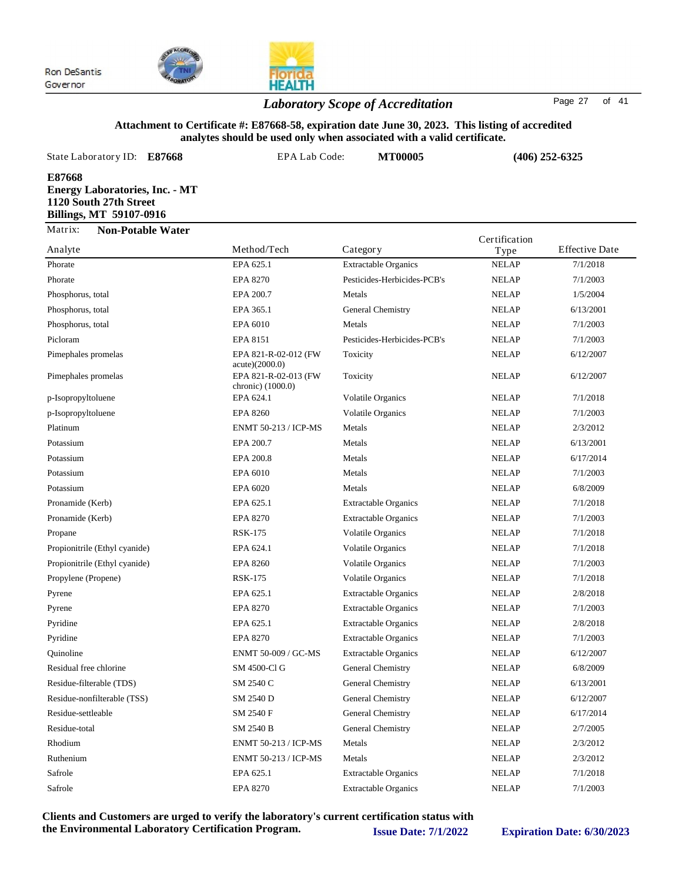

## *Laboratory Scope of Accreditation* Page <sup>27</sup> of <sup>41</sup>

#### **Attachment to Certificate #: E87668-58, expiration date June 30, 2023. This listing of accredited analytes should be used only when associated with a valid certificate.**

| State Laboratory ID: E87668                                                                          | EPA Lab Code: | <b>MT00005</b>              | $(406)$ 252-6325      |                       |
|------------------------------------------------------------------------------------------------------|---------------|-----------------------------|-----------------------|-----------------------|
| E87668<br><b>Energy Laboratories, Inc. - MT</b><br>1120 South 27th Street<br>Billings, MT 59107-0916 |               |                             |                       |                       |
| Matrix:<br><b>Non-Potable Water</b><br>Analyte                                                       | Method/Tech   | Category                    | Certification<br>Type | <b>Effective Date</b> |
| Phorate                                                                                              | EPA 625.1     | <b>Extractable Organics</b> | <b>NELAP</b>          | 7/1/2018              |

|                               |                                           |                             | ⊤ י          |           |
|-------------------------------|-------------------------------------------|-----------------------------|--------------|-----------|
| Phorate                       | EPA 625.1                                 | <b>Extractable Organics</b> | <b>NELAP</b> | 7/1/2018  |
| Phorate                       | <b>EPA 8270</b>                           | Pesticides-Herbicides-PCB's | <b>NELAP</b> | 7/1/2003  |
| Phosphorus, total             | EPA 200.7                                 | Metals                      | <b>NELAP</b> | 1/5/2004  |
| Phosphorus, total             | EPA 365.1                                 | General Chemistry           | <b>NELAP</b> | 6/13/2001 |
| Phosphorus, total             | EPA 6010                                  | Metals                      | <b>NELAP</b> | 7/1/2003  |
| Picloram                      | EPA 8151                                  | Pesticides-Herbicides-PCB's | <b>NELAP</b> | 7/1/2003  |
| Pimephales promelas           | EPA 821-R-02-012 (FW<br>acute)(2000.0)    | Toxicity                    | <b>NELAP</b> | 6/12/2007 |
| Pimephales promelas           | EPA 821-R-02-013 (FW<br>chronic) (1000.0) | Toxicity                    | <b>NELAP</b> | 6/12/2007 |
| p-Isopropyltoluene            | EPA 624.1                                 | <b>Volatile Organics</b>    | <b>NELAP</b> | 7/1/2018  |
| p-Isopropyltoluene            | <b>EPA 8260</b>                           | <b>Volatile Organics</b>    | <b>NELAP</b> | 7/1/2003  |
| Platinum                      | <b>ENMT 50-213 / ICP-MS</b>               | Metals                      | <b>NELAP</b> | 2/3/2012  |
| Potassium                     | EPA 200.7                                 | Metals                      | <b>NELAP</b> | 6/13/2001 |
| Potassium                     | EPA 200.8                                 | Metals                      | <b>NELAP</b> | 6/17/2014 |
| Potassium                     | EPA 6010                                  | Metals                      | <b>NELAP</b> | 7/1/2003  |
| Potassium                     | EPA 6020                                  | Metals                      | <b>NELAP</b> | 6/8/2009  |
| Pronamide (Kerb)              | EPA 625.1                                 | <b>Extractable Organics</b> | <b>NELAP</b> | 7/1/2018  |
| Pronamide (Kerb)              | <b>EPA 8270</b>                           | <b>Extractable Organics</b> | NELAP        | 7/1/2003  |
| Propane                       | <b>RSK-175</b>                            | <b>Volatile Organics</b>    | <b>NELAP</b> | 7/1/2018  |
| Propionitrile (Ethyl cyanide) | EPA 624.1                                 | <b>Volatile Organics</b>    | <b>NELAP</b> | 7/1/2018  |
| Propionitrile (Ethyl cyanide) | <b>EPA 8260</b>                           | <b>Volatile Organics</b>    | <b>NELAP</b> | 7/1/2003  |
| Propylene (Propene)           | <b>RSK-175</b>                            | <b>Volatile Organics</b>    | <b>NELAP</b> | 7/1/2018  |
| Pyrene                        | EPA 625.1                                 | <b>Extractable Organics</b> | <b>NELAP</b> | 2/8/2018  |
| Pyrene                        | <b>EPA 8270</b>                           | <b>Extractable Organics</b> | <b>NELAP</b> | 7/1/2003  |
| Pyridine                      | EPA 625.1                                 | <b>Extractable Organics</b> | <b>NELAP</b> | 2/8/2018  |
| Pyridine                      | <b>EPA 8270</b>                           | <b>Extractable Organics</b> | <b>NELAP</b> | 7/1/2003  |
| Quinoline                     | ENMT 50-009 / GC-MS                       | <b>Extractable Organics</b> | <b>NELAP</b> | 6/12/2007 |
| Residual free chlorine        | SM 4500-Cl G                              | General Chemistry           | <b>NELAP</b> | 6/8/2009  |
| Residue-filterable (TDS)      | SM 2540 C                                 | General Chemistry           | <b>NELAP</b> | 6/13/2001 |
| Residue-nonfilterable (TSS)   | SM 2540 D                                 | General Chemistry           | <b>NELAP</b> | 6/12/2007 |
| Residue-settleable            | SM 2540 F                                 | General Chemistry           | <b>NELAP</b> | 6/17/2014 |
| Residue-total                 | SM 2540 B                                 | General Chemistry           | <b>NELAP</b> | 2/7/2005  |
| Rhodium                       | ENMT 50-213 / ICP-MS                      | Metals                      | <b>NELAP</b> | 2/3/2012  |
| Ruthenium                     | ENMT 50-213 / ICP-MS                      | Metals                      | <b>NELAP</b> | 2/3/2012  |
| Safrole                       | EPA 625.1                                 | <b>Extractable Organics</b> | <b>NELAP</b> | 7/1/2018  |
| Safrole                       | <b>EPA 8270</b>                           | <b>Extractable Organics</b> | <b>NELAP</b> | 7/1/2003  |
|                               |                                           |                             |              |           |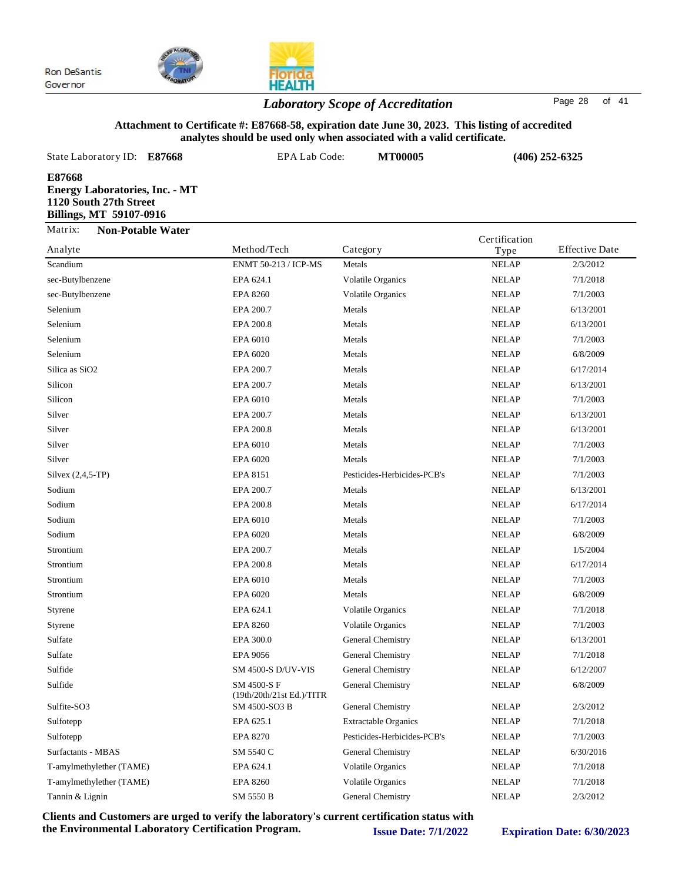

## **HEALTH** *Laboratory Scope of Accreditation* Page <sup>28</sup> of <sup>41</sup>

#### **Attachment to Certificate #: E87668-58, expiration date June 30, 2023. This listing of accredited analytes should be used only when associated with a valid certificate.**

| State Laboratory ID:<br>E87668                                                                       | EPA Lab Code:               | <b>MT00005</b>           | $(406)$ 252-6325 |                       |
|------------------------------------------------------------------------------------------------------|-----------------------------|--------------------------|------------------|-----------------------|
| E87668<br><b>Energy Laboratories, Inc. - MT</b><br>1120 South 27th Street<br>Billings, MT 59107-0916 |                             |                          |                  |                       |
| Matrix:<br><b>Non-Potable Water</b>                                                                  |                             |                          | Certification    |                       |
| Analyte                                                                                              | Method/Tech                 | Category                 | Type             | <b>Effective Date</b> |
| Scandium                                                                                             | <b>ENMT 50-213 / ICP-MS</b> | Metals                   | <b>NELAP</b>     | 2/3/2012              |
| sec-Butylbenzene                                                                                     | EPA 624.1                   | <b>Volatile Organics</b> | <b>NELAP</b>     | 7/1/2018              |

| sec-Butylbenzene           | EPA 624.1                                | <b>Volatile Organics</b>    | <b>NELAP</b> | 7/1/2018  |
|----------------------------|------------------------------------------|-----------------------------|--------------|-----------|
| sec-Butylbenzene           | <b>EPA 8260</b>                          | <b>Volatile Organics</b>    | <b>NELAP</b> | 7/1/2003  |
| Selenium                   | EPA 200.7                                | Metals                      | <b>NELAP</b> | 6/13/2001 |
| Selenium                   | EPA 200.8                                | Metals                      | <b>NELAP</b> | 6/13/2001 |
| Selenium                   | EPA 6010                                 | Metals                      | <b>NELAP</b> | 7/1/2003  |
| Selenium                   | EPA 6020                                 | Metals                      | <b>NELAP</b> | 6/8/2009  |
| Silica as SiO <sub>2</sub> | EPA 200.7                                | Metals                      | <b>NELAP</b> | 6/17/2014 |
| Silicon                    | EPA 200.7                                | Metals                      | <b>NELAP</b> | 6/13/2001 |
| Silicon                    | EPA 6010                                 | Metals                      | <b>NELAP</b> | 7/1/2003  |
| Silver                     | EPA 200.7                                | Metals                      | <b>NELAP</b> | 6/13/2001 |
| Silver                     | EPA 200.8                                | Metals                      | <b>NELAP</b> | 6/13/2001 |
| Silver                     | EPA 6010                                 | Metals                      | <b>NELAP</b> | 7/1/2003  |
| Silver                     | EPA 6020                                 | Metals                      | <b>NELAP</b> | 7/1/2003  |
| Silvex $(2,4,5-TP)$        | EPA 8151                                 | Pesticides-Herbicides-PCB's | <b>NELAP</b> | 7/1/2003  |
| Sodium                     | EPA 200.7                                | Metals                      | <b>NELAP</b> | 6/13/2001 |
| Sodium                     | EPA 200.8                                | Metals                      | <b>NELAP</b> | 6/17/2014 |
| Sodium                     | EPA 6010                                 | Metals                      | <b>NELAP</b> | 7/1/2003  |
| Sodium                     | EPA 6020                                 | Metals                      | <b>NELAP</b> | 6/8/2009  |
| Strontium                  | EPA 200.7                                | Metals                      | <b>NELAP</b> | 1/5/2004  |
| Strontium                  | EPA 200.8                                | Metals                      | <b>NELAP</b> | 6/17/2014 |
| Strontium                  | EPA 6010                                 | Metals                      | <b>NELAP</b> | 7/1/2003  |
| Strontium                  | EPA 6020                                 | Metals                      | <b>NELAP</b> | 6/8/2009  |
| Styrene                    | EPA 624.1                                | <b>Volatile Organics</b>    | <b>NELAP</b> | 7/1/2018  |
| Styrene                    | <b>EPA 8260</b>                          | <b>Volatile Organics</b>    | <b>NELAP</b> | 7/1/2003  |
| Sulfate                    | EPA 300.0                                | General Chemistry           | <b>NELAP</b> | 6/13/2001 |
| Sulfate                    | <b>EPA 9056</b>                          | General Chemistry           | <b>NELAP</b> | 7/1/2018  |
| Sulfide                    | <b>SM 4500-S D/UV-VIS</b>                | General Chemistry           | <b>NELAP</b> | 6/12/2007 |
| Sulfide                    | SM 4500-S F<br>(19th/20th/21st Ed.)/TITR | General Chemistry           | <b>NELAP</b> | 6/8/2009  |
| Sulfite-SO3                | SM 4500-SO3 B                            | General Chemistry           | <b>NELAP</b> | 2/3/2012  |
| Sulfotepp                  | EPA 625.1                                | <b>Extractable Organics</b> | <b>NELAP</b> | 7/1/2018  |
| Sulfotepp                  | <b>EPA 8270</b>                          | Pesticides-Herbicides-PCB's | <b>NELAP</b> | 7/1/2003  |
| Surfactants - MBAS         | SM 5540 C                                | General Chemistry           | <b>NELAP</b> | 6/30/2016 |
| T-amylmethylether (TAME)   | EPA 624.1                                | <b>Volatile Organics</b>    | <b>NELAP</b> | 7/1/2018  |
| T-amylmethylether (TAME)   | <b>EPA 8260</b>                          | <b>Volatile Organics</b>    | <b>NELAP</b> | 7/1/2018  |
| Tannin & Lignin            | SM 5550 B                                | General Chemistry           | <b>NELAP</b> | 2/3/2012  |
|                            |                                          |                             |              |           |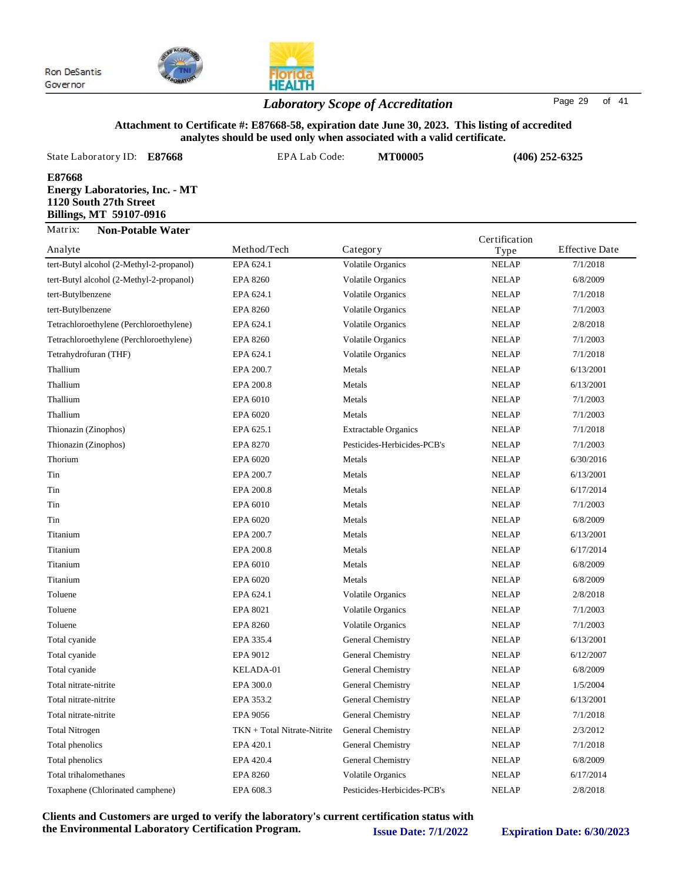

## *Laboratory Scope of Accreditation* Page <sup>29</sup> of <sup>41</sup>

#### **Attachment to Certificate #: E87668-58, expiration date June 30, 2023. This listing of accredited analytes should be used only when associated with a valid certificate.**

| State Laboratory ID:<br>E87668                                                                              | EPA Lab Code:<br><b>MT00005</b> |                          |                      | $(406)$ 252-6325      |  |
|-------------------------------------------------------------------------------------------------------------|---------------------------------|--------------------------|----------------------|-----------------------|--|
| E87668<br><b>Energy Laboratories, Inc. - MT</b><br>1120 South 27th Street<br><b>Billings, MT 59107-0916</b> |                                 |                          |                      |                       |  |
| Matrix:<br><b>Non-Potable Water</b><br>Analyte                                                              | Method/Tech                     | Category                 | Certification        | <b>Effective Date</b> |  |
| tert-Butyl alcohol (2-Methyl-2-propanol)                                                                    | EPA 624.1                       | <b>Volatile Organics</b> | Type<br><b>NELAP</b> | 7/1/2018              |  |
| tert-Butyl alcohol (2-Methyl-2-propanol)                                                                    | EPA 8260                        | <b>Volatile Organics</b> | <b>NELAP</b>         | 6/8/2009              |  |
| tert-Butylbenzene                                                                                           | EPA 624.1                       | <b>Volatile Organics</b> | <b>NELAP</b>         | 7/1/2018              |  |
| tert-Butylbenzene                                                                                           | EPA 8260                        | <b>Volatile Organics</b> | <b>NELAP</b>         | 7/1/2003              |  |
| Tetrachloroethylene (Perchloroethylene)                                                                     | EPA 624.1                       | <b>Volatile Organics</b> | <b>NELAP</b>         | 2/8/2018              |  |
| Tetrachloroethylene (Perchloroethylene)                                                                     | FPA 8260                        | Volatile Organics        | NEL AP               | 7/1/2003              |  |

| tert-Butylbenzene                       | EPA 8260                    | Volatile Organics           | <b>NELAP</b> | 7/1/2003  |
|-----------------------------------------|-----------------------------|-----------------------------|--------------|-----------|
| Tetrachloroethylene (Perchloroethylene) | EPA 624.1                   | <b>Volatile Organics</b>    | <b>NELAP</b> | 2/8/2018  |
| Tetrachloroethylene (Perchloroethylene) | <b>EPA 8260</b>             | <b>Volatile Organics</b>    | <b>NELAP</b> | 7/1/2003  |
| Tetrahydrofuran (THF)                   | EPA 624.1                   | <b>Volatile Organics</b>    | <b>NELAP</b> | 7/1/2018  |
| Thallium                                | EPA 200.7                   | Metals                      | <b>NELAP</b> | 6/13/2001 |
| Thallium                                | EPA 200.8                   | Metals                      | <b>NELAP</b> | 6/13/2001 |
| Thallium                                | EPA 6010                    | Metals                      | <b>NELAP</b> | 7/1/2003  |
| Thallium                                | EPA 6020                    | Metals                      | <b>NELAP</b> | 7/1/2003  |
| Thionazin (Zinophos)                    | EPA 625.1                   | <b>Extractable Organics</b> | <b>NELAP</b> | 7/1/2018  |
| Thionazin (Zinophos)                    | <b>EPA 8270</b>             | Pesticides-Herbicides-PCB's | <b>NELAP</b> | 7/1/2003  |
| Thorium                                 | EPA 6020                    | Metals                      | <b>NELAP</b> | 6/30/2016 |
| Tin                                     | EPA 200.7                   | Metals                      | <b>NELAP</b> | 6/13/2001 |
| Tin                                     | EPA 200.8                   | Metals                      | <b>NELAP</b> | 6/17/2014 |
| Tin                                     | EPA 6010                    | Metals                      | <b>NELAP</b> | 7/1/2003  |
| Tin                                     | EPA 6020                    | Metals                      | <b>NELAP</b> | 6/8/2009  |
| Titanium                                | EPA 200.7                   | Metals                      | <b>NELAP</b> | 6/13/2001 |
| Titanium                                | EPA 200.8                   | Metals                      | <b>NELAP</b> | 6/17/2014 |
| Titanium                                | EPA 6010                    | Metals                      | <b>NELAP</b> | 6/8/2009  |
| Titanium                                | EPA 6020                    | Metals                      | <b>NELAP</b> | 6/8/2009  |
| Toluene                                 | EPA 624.1                   | Volatile Organics           | <b>NELAP</b> | 2/8/2018  |
| Toluene                                 | EPA 8021                    | <b>Volatile Organics</b>    | <b>NELAP</b> | 7/1/2003  |
| Toluene                                 | <b>EPA 8260</b>             | Volatile Organics           | <b>NELAP</b> | 7/1/2003  |
| Total cyanide                           | EPA 335.4                   | General Chemistry           | <b>NELAP</b> | 6/13/2001 |
| Total cyanide                           | EPA 9012                    | General Chemistry           | <b>NELAP</b> | 6/12/2007 |
| Total cyanide                           | KELADA-01                   | General Chemistry           | <b>NELAP</b> | 6/8/2009  |
| Total nitrate-nitrite                   | EPA 300.0                   | General Chemistry           | <b>NELAP</b> | 1/5/2004  |
| Total nitrate-nitrite                   | EPA 353.2                   | General Chemistry           | <b>NELAP</b> | 6/13/2001 |
| Total nitrate-nitrite                   | <b>EPA 9056</b>             | General Chemistry           | <b>NELAP</b> | 7/1/2018  |
| <b>Total Nitrogen</b>                   | TKN + Total Nitrate-Nitrite | General Chemistry           | <b>NELAP</b> | 2/3/2012  |
| Total phenolics                         | EPA 420.1                   | General Chemistry           | <b>NELAP</b> | 7/1/2018  |
| Total phenolics                         | EPA 420.4                   | General Chemistry           | <b>NELAP</b> | 6/8/2009  |
| Total trihalomethanes                   | <b>EPA 8260</b>             | Volatile Organics           | <b>NELAP</b> | 6/17/2014 |
| Toxaphene (Chlorinated camphene)        | EPA 608.3                   | Pesticides-Herbicides-PCB's | <b>NELAP</b> | 2/8/2018  |
|                                         |                             |                             |              |           |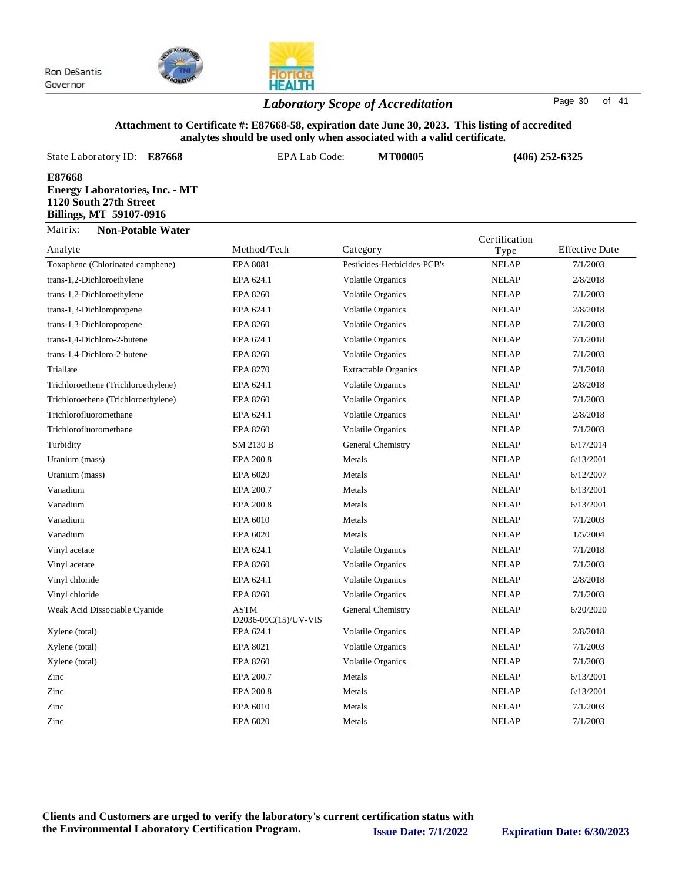

## **HEALTH** *Laboratory Scope of Accreditation* Page <sup>30</sup> of <sup>41</sup>

#### **Attachment to Certificate #: E87668-58, expiration date June 30, 2023. This listing of accredited analytes should be used only when associated with a valid certificate.**

| State Laboratory ID: E87668                                                                                 | EPA Lab Code:    | <b>MT00005</b> |               | $(406)$ 252-6325                                                                |
|-------------------------------------------------------------------------------------------------------------|------------------|----------------|---------------|---------------------------------------------------------------------------------|
| E87668<br><b>Energy Laboratories, Inc. - MT</b><br>1120 South 27th Street<br><b>Billings, MT 59107-0916</b> |                  |                |               |                                                                                 |
| Matrix:<br><b>Non-Potable Water</b><br>$A = -1 - 4$                                                         | $M - 1 - 3T - 1$ | $C_{\alpha}$   | Certification | $E_{\text{L}}$ $\mathbf{L}$ $\mathbf{L}$ $\mathbf{L}$ $\mathbf{L}$ $\mathbf{L}$ |

| Analyte                             | Method/Tech<br>Category             |                             | Type         | <b>Effective Date</b> |  |
|-------------------------------------|-------------------------------------|-----------------------------|--------------|-----------------------|--|
| Toxaphene (Chlorinated camphene)    | <b>EPA 8081</b>                     | Pesticides-Herbicides-PCB's | <b>NELAP</b> | 7/1/2003              |  |
| trans-1,2-Dichloroethylene          | EPA 624.1                           | <b>Volatile Organics</b>    | <b>NELAP</b> | 2/8/2018              |  |
| trans-1,2-Dichloroethylene          | <b>EPA 8260</b>                     | <b>Volatile Organics</b>    | <b>NELAP</b> | 7/1/2003              |  |
| trans-1,3-Dichloropropene           | EPA 624.1                           | <b>Volatile Organics</b>    | <b>NELAP</b> | 2/8/2018              |  |
| trans-1,3-Dichloropropene           | <b>EPA 8260</b>                     | Volatile Organics           | <b>NELAP</b> | 7/1/2003              |  |
| trans-1,4-Dichloro-2-butene         | EPA 624.1                           | <b>Volatile Organics</b>    | <b>NELAP</b> | 7/1/2018              |  |
| trans-1,4-Dichloro-2-butene         | <b>EPA 8260</b>                     | <b>Volatile Organics</b>    | <b>NELAP</b> | 7/1/2003              |  |
| Triallate                           | <b>EPA 8270</b>                     | <b>Extractable Organics</b> | <b>NELAP</b> | 7/1/2018              |  |
| Trichloroethene (Trichloroethylene) | EPA 624.1                           | Volatile Organics           | <b>NELAP</b> | 2/8/2018              |  |
| Trichloroethene (Trichloroethylene) | <b>EPA 8260</b>                     | <b>Volatile Organics</b>    | <b>NELAP</b> | 7/1/2003              |  |
| Trichlorofluoromethane              | EPA 624.1                           | <b>Volatile Organics</b>    | <b>NELAP</b> | 2/8/2018              |  |
| Trichlorofluoromethane              | <b>EPA 8260</b>                     | <b>Volatile Organics</b>    | <b>NELAP</b> | 7/1/2003              |  |
| Turbidity                           | SM 2130 B                           | General Chemistry           | <b>NELAP</b> | 6/17/2014             |  |
| Uranium (mass)                      | EPA 200.8                           | Metals                      | <b>NELAP</b> | 6/13/2001             |  |
| Uranium (mass)                      | EPA 6020                            | Metals                      | <b>NELAP</b> | 6/12/2007             |  |
| Vanadium                            | EPA 200.7                           | Metals                      | <b>NELAP</b> | 6/13/2001             |  |
| Vanadium                            | EPA 200.8                           | Metals                      | <b>NELAP</b> | 6/13/2001             |  |
| Vanadium                            | EPA 6010                            | Metals                      | <b>NELAP</b> | 7/1/2003              |  |
| Vanadium                            | EPA 6020                            | Metals                      | <b>NELAP</b> | 1/5/2004              |  |
| Vinyl acetate                       | EPA 624.1                           | <b>Volatile Organics</b>    | <b>NELAP</b> | 7/1/2018              |  |
| Vinyl acetate                       | <b>EPA 8260</b>                     | Volatile Organics           | <b>NELAP</b> | 7/1/2003              |  |
| Vinyl chloride                      | EPA 624.1                           | <b>Volatile Organics</b>    | <b>NELAP</b> | 2/8/2018              |  |
| Vinyl chloride                      | <b>EPA 8260</b>                     | <b>Volatile Organics</b>    | <b>NELAP</b> | 7/1/2003              |  |
| Weak Acid Dissociable Cyanide       | <b>ASTM</b><br>D2036-09C(15)/UV-VIS | General Chemistry           | <b>NELAP</b> | 6/20/2020             |  |
| Xylene (total)                      | EPA 624.1                           | <b>Volatile Organics</b>    | <b>NELAP</b> | 2/8/2018              |  |
| Xylene (total)                      | EPA 8021                            | <b>Volatile Organics</b>    | <b>NELAP</b> | 7/1/2003              |  |
| Xylene (total)                      | <b>EPA 8260</b>                     | Volatile Organics           | <b>NELAP</b> | 7/1/2003              |  |
| Zinc                                | EPA 200.7                           | Metals                      | <b>NELAP</b> | 6/13/2001             |  |
| Zinc                                | EPA 200.8                           | Metals                      | <b>NELAP</b> | 6/13/2001             |  |
| Zinc                                | EPA 6010                            | Metals                      | <b>NELAP</b> | 7/1/2003              |  |
| Zinc                                | EPA 6020                            | Metals                      | <b>NELAP</b> | 7/1/2003              |  |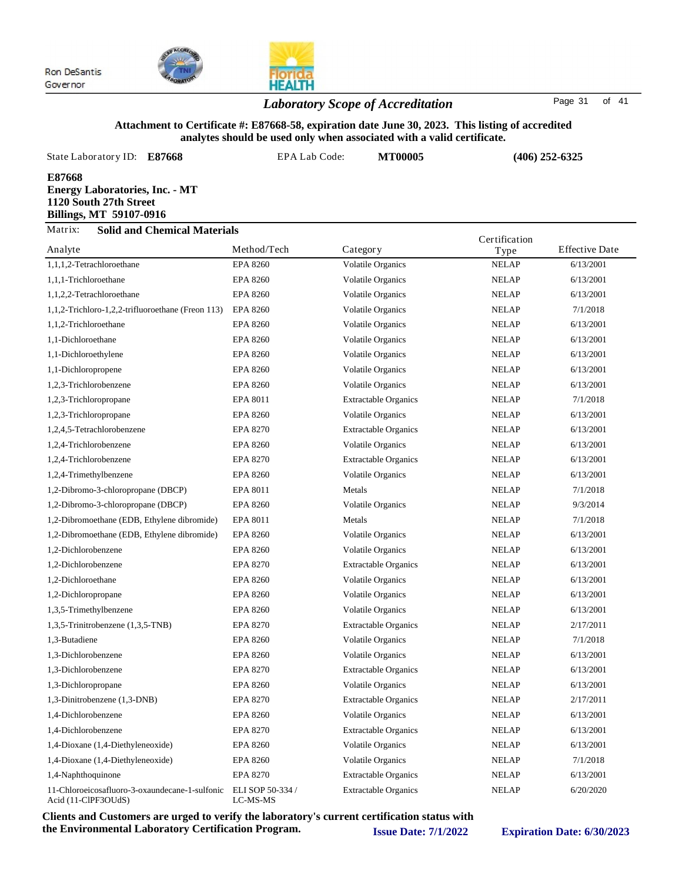

## *Laboratory Scope of Accreditation* Page <sup>31</sup> of <sup>41</sup>

#### **Attachment to Certificate #: E87668-58, expiration date June 30, 2023. This listing of accredited analytes should be used only when associated with a valid certificate.**

| State Laboratory ID:                                                                                        | E87668                                               | EPA Lab Code: |                          | <b>MT00005</b> | $(406)$ 252-6325 |                       |  |
|-------------------------------------------------------------------------------------------------------------|------------------------------------------------------|---------------|--------------------------|----------------|------------------|-----------------------|--|
| E87668<br><b>Energy Laboratories, Inc. - MT</b><br>1120 South 27th Street<br><b>Billings, MT 59107-0916</b> |                                                      |               |                          |                |                  |                       |  |
| Matrix:                                                                                                     | <b>Solid and Chemical Materials</b><br>Certification |               |                          |                |                  |                       |  |
| Analyte                                                                                                     |                                                      | Method/Tech   | Category                 |                | Type             | <b>Effective Date</b> |  |
| 1,1,1,2-Tetrachloroethane                                                                                   |                                                      | EPA 8260      | <b>Volatile Organics</b> |                | <b>NELAP</b>     | 6/13/2001             |  |

| 1,1,1,2-Tetrachloroethane                                             | <b>EPA 8260</b>              | <b>Volatile Organics</b>    | <b>NELAP</b> | 6/13/2001 |
|-----------------------------------------------------------------------|------------------------------|-----------------------------|--------------|-----------|
| 1,1,1-Trichloroethane                                                 | <b>EPA 8260</b>              | <b>Volatile Organics</b>    | <b>NELAP</b> | 6/13/2001 |
| 1,1,2,2-Tetrachloroethane                                             | <b>EPA 8260</b>              | <b>Volatile Organics</b>    | <b>NELAP</b> | 6/13/2001 |
| 1,1,2-Trichloro-1,2,2-trifluoroethane (Freon 113)                     | <b>EPA 8260</b>              | <b>Volatile Organics</b>    | <b>NELAP</b> | 7/1/2018  |
| 1,1,2-Trichloroethane                                                 | <b>EPA 8260</b>              | <b>Volatile Organics</b>    | <b>NELAP</b> | 6/13/2001 |
| 1,1-Dichloroethane                                                    | <b>EPA 8260</b>              | <b>Volatile Organics</b>    | <b>NELAP</b> | 6/13/2001 |
| 1,1-Dichloroethylene                                                  | <b>EPA 8260</b>              | <b>Volatile Organics</b>    | <b>NELAP</b> | 6/13/2001 |
| 1,1-Dichloropropene                                                   | <b>EPA 8260</b>              | <b>Volatile Organics</b>    | <b>NELAP</b> | 6/13/2001 |
| 1,2,3-Trichlorobenzene                                                | <b>EPA 8260</b>              | <b>Volatile Organics</b>    | <b>NELAP</b> | 6/13/2001 |
| 1,2,3-Trichloropropane                                                | EPA 8011                     | <b>Extractable Organics</b> | <b>NELAP</b> | 7/1/2018  |
| 1,2,3-Trichloropropane                                                | <b>EPA 8260</b>              | Volatile Organics           | <b>NELAP</b> | 6/13/2001 |
| 1,2,4,5-Tetrachlorobenzene                                            | <b>EPA 8270</b>              | <b>Extractable Organics</b> | <b>NELAP</b> | 6/13/2001 |
| 1,2,4-Trichlorobenzene                                                | <b>EPA 8260</b>              | <b>Volatile Organics</b>    | <b>NELAP</b> | 6/13/2001 |
| 1,2,4-Trichlorobenzene                                                | <b>EPA 8270</b>              | <b>Extractable Organics</b> | <b>NELAP</b> | 6/13/2001 |
| 1,2,4-Trimethylbenzene                                                | <b>EPA 8260</b>              | <b>Volatile Organics</b>    | <b>NELAP</b> | 6/13/2001 |
| 1,2-Dibromo-3-chloropropane (DBCP)                                    | <b>EPA 8011</b>              | Metals                      | <b>NELAP</b> | 7/1/2018  |
| 1,2-Dibromo-3-chloropropane (DBCP)                                    | <b>EPA 8260</b>              | <b>Volatile Organics</b>    | <b>NELAP</b> | 9/3/2014  |
| 1,2-Dibromoethane (EDB, Ethylene dibromide)                           | <b>EPA 8011</b>              | Metals                      | <b>NELAP</b> | 7/1/2018  |
| 1,2-Dibromoethane (EDB, Ethylene dibromide)                           | <b>EPA 8260</b>              | Volatile Organics           | <b>NELAP</b> | 6/13/2001 |
| 1,2-Dichlorobenzene                                                   | <b>EPA 8260</b>              | <b>Volatile Organics</b>    | <b>NELAP</b> | 6/13/2001 |
| 1,2-Dichlorobenzene                                                   | <b>EPA 8270</b>              | <b>Extractable Organics</b> | <b>NELAP</b> | 6/13/2001 |
| 1,2-Dichloroethane                                                    | <b>EPA 8260</b>              | <b>Volatile Organics</b>    | <b>NELAP</b> | 6/13/2001 |
| 1,2-Dichloropropane                                                   | <b>EPA 8260</b>              | <b>Volatile Organics</b>    | <b>NELAP</b> | 6/13/2001 |
| 1,3,5-Trimethylbenzene                                                | <b>EPA 8260</b>              | <b>Volatile Organics</b>    | <b>NELAP</b> | 6/13/2001 |
| 1,3,5-Trinitrobenzene (1,3,5-TNB)                                     | EPA 8270                     | <b>Extractable Organics</b> | <b>NELAP</b> | 2/17/2011 |
| 1,3-Butadiene                                                         | <b>EPA 8260</b>              | <b>Volatile Organics</b>    | <b>NELAP</b> | 7/1/2018  |
| 1,3-Dichlorobenzene                                                   | <b>EPA 8260</b>              | <b>Volatile Organics</b>    | <b>NELAP</b> | 6/13/2001 |
| 1,3-Dichlorobenzene                                                   | <b>EPA 8270</b>              | <b>Extractable Organics</b> | <b>NELAP</b> | 6/13/2001 |
| 1,3-Dichloropropane                                                   | <b>EPA 8260</b>              | <b>Volatile Organics</b>    | <b>NELAP</b> | 6/13/2001 |
| 1,3-Dinitrobenzene (1,3-DNB)                                          | <b>EPA 8270</b>              | <b>Extractable Organics</b> | <b>NELAP</b> | 2/17/2011 |
| 1,4-Dichlorobenzene                                                   | <b>EPA 8260</b>              | <b>Volatile Organics</b>    | <b>NELAP</b> | 6/13/2001 |
| 1,4-Dichlorobenzene                                                   | <b>EPA 8270</b>              | <b>Extractable Organics</b> | <b>NELAP</b> | 6/13/2001 |
| 1,4-Dioxane (1,4-Diethyleneoxide)                                     | <b>EPA 8260</b>              | <b>Volatile Organics</b>    | <b>NELAP</b> | 6/13/2001 |
| 1,4-Dioxane (1,4-Diethyleneoxide)                                     | <b>EPA 8260</b>              | <b>Volatile Organics</b>    | <b>NELAP</b> | 7/1/2018  |
| 1,4-Naphthoquinone                                                    | <b>EPA 8270</b>              | <b>Extractable Organics</b> | <b>NELAP</b> | 6/13/2001 |
| 11-Chloroeicosafluoro-3-oxaundecane-1-sulfonic<br>Acid (11-ClPF3OUdS) | ELI SOP 50-334 /<br>LC-MS-MS | <b>Extractable Organics</b> | <b>NELAP</b> | 6/20/2020 |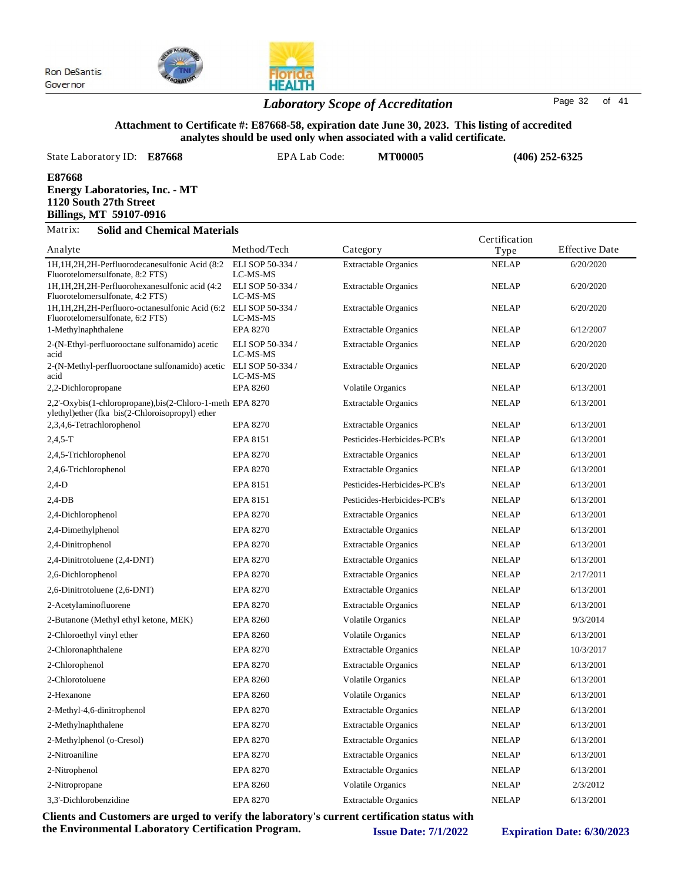

## *Laboratory Scope of Accreditation* Page <sup>32</sup> of <sup>41</sup>

**HEALTH** 

#### **Attachment to Certificate #: E87668-58, expiration date June 30, 2023. This listing of accredited analytes should be used only when associated with a valid certificate.**

| State Laboratory ID:<br>E87668                                                                       | EPA Lab Code:                | <b>MT00005</b>                                 |                       | $(406)$ 252-6325      |  |
|------------------------------------------------------------------------------------------------------|------------------------------|------------------------------------------------|-----------------------|-----------------------|--|
| E87668<br><b>Energy Laboratories, Inc. - MT</b><br>1120 South 27th Street<br>Billings, MT 59107-0916 |                              |                                                |                       |                       |  |
| Matrix:<br><b>Solid and Chemical Materials</b>                                                       |                              |                                                |                       |                       |  |
| Analyte                                                                                              | Method/Tech                  | Category                                       | Certification<br>Type | <b>Effective Date</b> |  |
| 1H, 1H, 2H, 2H-Perfluorodecanesulfonic Acid (8:2)<br>Fluorotelomersulfonate, 8:2 FTS)                | ELI SOP 50-334/<br>LC-MS-MS  | <b>Extractable Organics</b>                    | <b>NELAP</b>          | 6/20/2020             |  |
| 1H, 1H, 2H, 2H-Perfluorohexanesulfonic acid (4:2)<br>Fluorotelomersulfonate, 4:2 FTS)                | ELI SOP 50-334 /<br>LC-MS-MS | <b>Extractable Organics</b>                    | <b>NELAP</b>          | 6/20/2020             |  |
| 1H, 1H, 2H, 2H-Perfluoro-octanesulfonic Acid (6:2)<br>Fluorotelomersulfonate, 6:2 FTS)               | ELI SOP 50-334 /<br>LC-MS-MS | <b>Extractable Organics</b>                    | <b>NELAP</b>          | 6/20/2020             |  |
|                                                                                                      | <b>FDA 0070</b>              | $P_{i}$ $\rightarrow$ 11 $\land$ $\rightarrow$ | ATTT AD               | (10000                |  |

| Fluorotelomersulfonate, 4:2 FTS)                                                                              | LC-MS-MS                                                                                                             |                             |              |           |
|---------------------------------------------------------------------------------------------------------------|----------------------------------------------------------------------------------------------------------------------|-----------------------------|--------------|-----------|
| 1H, 1H, 2H, 2H-Perfluoro-octanesulfonic Acid (6:2 ELI SOP 50-334 /<br>Fluorotelomersulfonate, 6:2 FTS)        | LC-MS-MS                                                                                                             | <b>Extractable Organics</b> | <b>NELAP</b> | 6/20/2020 |
| 1-Methylnaphthalene                                                                                           | <b>EPA 8270</b>                                                                                                      | <b>Extractable Organics</b> | <b>NELAP</b> | 6/12/2007 |
| 2-(N-Ethyl-perfluorooctane sulfonamido) acetic<br>acid                                                        | ELI SOP 50-334 /<br>LC-MS-MS                                                                                         | <b>Extractable Organics</b> | <b>NELAP</b> | 6/20/2020 |
| 2-(N-Methyl-perfluorooctane sulfonamido) acetic ELI SOP 50-334 /<br>acid                                      | LC-MS-MS                                                                                                             | <b>Extractable Organics</b> | <b>NELAP</b> | 6/20/2020 |
| 2,2-Dichloropropane                                                                                           | <b>EPA 8260</b>                                                                                                      | <b>Volatile Organics</b>    | <b>NELAP</b> | 6/13/2001 |
| 2,2'-Oxybis(1-chloropropane),bis(2-Chloro-1-meth EPA 8270<br>ylethyl) ether (fka bis(2-Chloroisopropyl) ether |                                                                                                                      | <b>Extractable Organics</b> | <b>NELAP</b> | 6/13/2001 |
| 2,3,4,6-Tetrachlorophenol                                                                                     | EPA 8270                                                                                                             | <b>Extractable Organics</b> | <b>NELAP</b> | 6/13/2001 |
| $2,4,5-T$                                                                                                     | EPA 8151                                                                                                             | Pesticides-Herbicides-PCB's | <b>NELAP</b> | 6/13/2001 |
| 2,4,5-Trichlorophenol                                                                                         | <b>EPA 8270</b>                                                                                                      | <b>Extractable Organics</b> | <b>NELAP</b> | 6/13/2001 |
| 2,4,6-Trichlorophenol                                                                                         | <b>EPA 8270</b>                                                                                                      | <b>Extractable Organics</b> | <b>NELAP</b> | 6/13/2001 |
| $2,4-D$                                                                                                       | EPA 8151                                                                                                             | Pesticides-Herbicides-PCB's | <b>NELAP</b> | 6/13/2001 |
| $2,4-DB$                                                                                                      | EPA 8151                                                                                                             | Pesticides-Herbicides-PCB's | <b>NELAP</b> | 6/13/2001 |
| 2,4-Dichlorophenol                                                                                            | <b>EPA 8270</b>                                                                                                      | <b>Extractable Organics</b> | <b>NELAP</b> | 6/13/2001 |
| 2,4-Dimethylphenol                                                                                            | EPA 8270                                                                                                             | <b>Extractable Organics</b> | <b>NELAP</b> | 6/13/2001 |
| 2,4-Dinitrophenol                                                                                             | <b>EPA 8270</b>                                                                                                      | <b>Extractable Organics</b> | <b>NELAP</b> | 6/13/2001 |
| 2,4-Dinitrotoluene (2,4-DNT)                                                                                  | EPA 8270                                                                                                             | <b>Extractable Organics</b> | <b>NELAP</b> | 6/13/2001 |
| 2,6-Dichlorophenol                                                                                            | <b>EPA 8270</b>                                                                                                      | <b>Extractable Organics</b> | <b>NELAP</b> | 2/17/2011 |
| 2,6-Dinitrotoluene (2,6-DNT)                                                                                  | <b>EPA 8270</b>                                                                                                      | <b>Extractable Organics</b> | <b>NELAP</b> | 6/13/2001 |
| 2-Acetylaminofluorene                                                                                         | <b>EPA 8270</b>                                                                                                      | <b>Extractable Organics</b> | <b>NELAP</b> | 6/13/2001 |
| 2-Butanone (Methyl ethyl ketone, MEK)                                                                         | <b>EPA 8260</b>                                                                                                      | <b>Volatile Organics</b>    | <b>NELAP</b> | 9/3/2014  |
| 2-Chloroethyl vinyl ether                                                                                     | <b>EPA 8260</b>                                                                                                      | <b>Volatile Organics</b>    | <b>NELAP</b> | 6/13/2001 |
| 2-Chloronaphthalene                                                                                           | EPA 8270                                                                                                             | <b>Extractable Organics</b> | <b>NELAP</b> | 10/3/2017 |
| 2-Chlorophenol                                                                                                | <b>EPA 8270</b>                                                                                                      | <b>Extractable Organics</b> | <b>NELAP</b> | 6/13/2001 |
| 2-Chlorotoluene                                                                                               | <b>EPA 8260</b>                                                                                                      | <b>Volatile Organics</b>    | <b>NELAP</b> | 6/13/2001 |
| 2-Hexanone                                                                                                    | <b>EPA 8260</b>                                                                                                      | Volatile Organics           | <b>NELAP</b> | 6/13/2001 |
| 2-Methyl-4,6-dinitrophenol                                                                                    | <b>EPA 8270</b>                                                                                                      | <b>Extractable Organics</b> | <b>NELAP</b> | 6/13/2001 |
| 2-Methylnaphthalene                                                                                           | EPA 8270                                                                                                             | <b>Extractable Organics</b> | <b>NELAP</b> | 6/13/2001 |
| 2-Methylphenol (o-Cresol)                                                                                     | <b>EPA 8270</b>                                                                                                      | <b>Extractable Organics</b> | <b>NELAP</b> | 6/13/2001 |
| 2-Nitroaniline                                                                                                | <b>EPA 8270</b>                                                                                                      | <b>Extractable Organics</b> | <b>NELAP</b> | 6/13/2001 |
| 2-Nitrophenol                                                                                                 | <b>EPA 8270</b>                                                                                                      | <b>Extractable Organics</b> | <b>NELAP</b> | 6/13/2001 |
| 2-Nitropropane                                                                                                | <b>EPA 8260</b>                                                                                                      | Volatile Organics           | <b>NELAP</b> | 2/3/2012  |
| 3,3'-Dichlorobenzidine                                                                                        | <b>EPA 8270</b>                                                                                                      | <b>Extractable Organics</b> | <b>NELAP</b> | 6/13/2001 |
| $\overline{\phantom{a}}$                                                                                      | $\mathbf{r}$ $\mathbf{r}$ $\mathbf{r}$ $\mathbf{r}$ $\mathbf{r}$ $\mathbf{r}$ $\mathbf{r}$ $\mathbf{r}$ $\mathbf{r}$ | $\cdots$                    |              |           |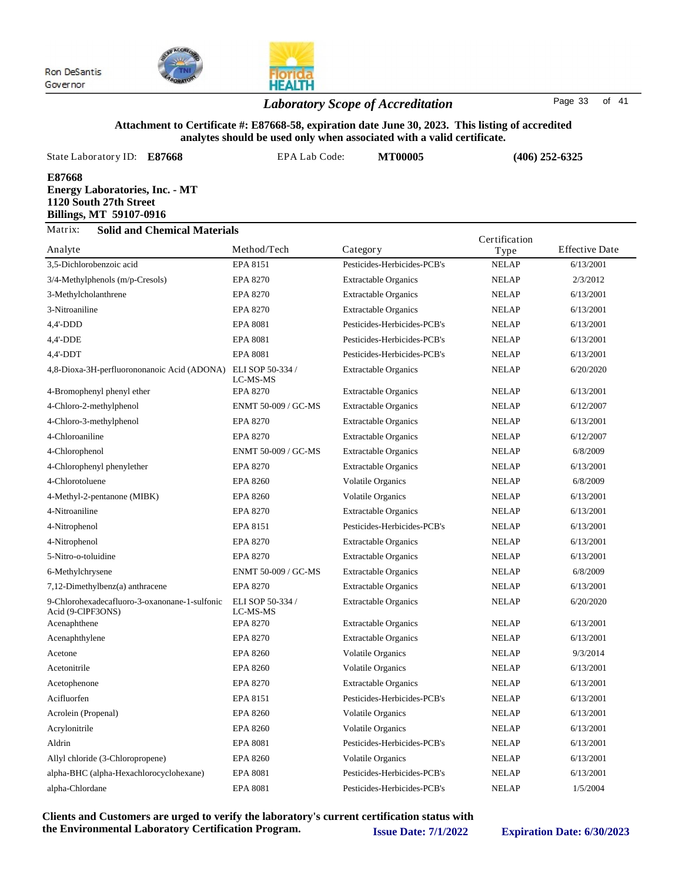

## *Laboratory Scope of Accreditation* Page <sup>33</sup> of <sup>41</sup>

#### **Attachment to Certificate #: E87668-58, expiration date June 30, 2023. This listing of accredited analytes should be used only when associated with a valid certificate.**

| State Laboratory ID:                                                                                 | E87668 | EPA Lab Code: |          | <b>MT00005</b>              |              | $(406)$ 252-6325      |  |
|------------------------------------------------------------------------------------------------------|--------|---------------|----------|-----------------------------|--------------|-----------------------|--|
| E87668<br><b>Energy Laboratories, Inc. - MT</b><br>1120 South 27th Street<br>Billings, MT 59107-0916 |        |               |          |                             |              |                       |  |
| Matrix:<br><b>Solid and Chemical Materials</b><br>Certification                                      |        |               |          |                             |              |                       |  |
| Analyte                                                                                              |        | Method/Tech   | Category |                             | Type         | <b>Effective Date</b> |  |
| 3.5-Dichlorobenzoic acid                                                                             |        | EPA 8151      |          | Pesticides-Herbicides-PCB's | <b>NELAP</b> | 6/13/2001             |  |
| $3/4$ -Methylphenols (m/p-Cresols)                                                                   |        | EPA 8270      |          | <b>Extractable Organics</b> | <b>NELAP</b> | 2/3/2012              |  |
| 3-Methylcholanthrene                                                                                 |        | EPA 8270      |          | <b>Extractable Organics</b> | <b>NELAP</b> | 6/13/2001             |  |
| 3-Nitroaniline                                                                                       |        | EPA 8270      |          | <b>Extractable Organics</b> | <b>NELAP</b> | 6/13/2001             |  |

| $4,4'$ -DDD                                                        | <b>EPA 8081</b>              | Pesticides-Herbicides-PCB's | <b>NELAP</b> | 6/13/2001 |
|--------------------------------------------------------------------|------------------------------|-----------------------------|--------------|-----------|
| 4,4'-DDE                                                           | <b>EPA 8081</b>              | Pesticides-Herbicides-PCB's | <b>NELAP</b> | 6/13/2001 |
| $4,4'-DDT$                                                         | <b>EPA 8081</b>              | Pesticides-Herbicides-PCB's | <b>NELAP</b> | 6/13/2001 |
| 4,8-Dioxa-3H-perfluorononanoic Acid (ADONA)                        | ELI SOP 50-334 /<br>LC-MS-MS | <b>Extractable Organics</b> | <b>NELAP</b> | 6/20/2020 |
| 4-Bromophenyl phenyl ether                                         | <b>EPA 8270</b>              | <b>Extractable Organics</b> | <b>NELAP</b> | 6/13/2001 |
| 4-Chloro-2-methylphenol                                            | ENMT 50-009 / GC-MS          | <b>Extractable Organics</b> | <b>NELAP</b> | 6/12/2007 |
| 4-Chloro-3-methylphenol                                            | <b>EPA 8270</b>              | <b>Extractable Organics</b> | <b>NELAP</b> | 6/13/2001 |
| 4-Chloroaniline                                                    | EPA 8270                     | <b>Extractable Organics</b> | <b>NELAP</b> | 6/12/2007 |
| 4-Chlorophenol                                                     | <b>ENMT 50-009 / GC-MS</b>   | <b>Extractable Organics</b> | <b>NELAP</b> | 6/8/2009  |
| 4-Chlorophenyl phenylether                                         | EPA 8270                     | <b>Extractable Organics</b> | <b>NELAP</b> | 6/13/2001 |
| 4-Chlorotoluene                                                    | EPA 8260                     | <b>Volatile Organics</b>    | <b>NELAP</b> | 6/8/2009  |
| 4-Methyl-2-pentanone (MIBK)                                        | <b>EPA 8260</b>              | Volatile Organics           | <b>NELAP</b> | 6/13/2001 |
| 4-Nitroaniline                                                     | EPA 8270                     | <b>Extractable Organics</b> | <b>NELAP</b> | 6/13/2001 |
| 4-Nitrophenol                                                      | EPA 8151                     | Pesticides-Herbicides-PCB's | <b>NELAP</b> | 6/13/2001 |
| 4-Nitrophenol                                                      | <b>EPA 8270</b>              | <b>Extractable Organics</b> | <b>NELAP</b> | 6/13/2001 |
| 5-Nitro-o-toluidine                                                | <b>EPA 8270</b>              | <b>Extractable Organics</b> | <b>NELAP</b> | 6/13/2001 |
| 6-Methylchrysene                                                   | ENMT 50-009 / GC-MS          | <b>Extractable Organics</b> | <b>NELAP</b> | 6/8/2009  |
| 7,12-Dimethylbenz(a) anthracene                                    | <b>EPA 8270</b>              | <b>Extractable Organics</b> | <b>NELAP</b> | 6/13/2001 |
| 9-Chlorohexadecafluoro-3-oxanonane-1-sulfonic<br>Acid (9-ClPF3ONS) | ELI SOP 50-334 /<br>LC-MS-MS | <b>Extractable Organics</b> | <b>NELAP</b> | 6/20/2020 |
| Acenaphthene                                                       | <b>EPA 8270</b>              | <b>Extractable Organics</b> | <b>NELAP</b> | 6/13/2001 |
| Acenaphthylene                                                     | EPA 8270                     | <b>Extractable Organics</b> | <b>NELAP</b> | 6/13/2001 |
| Acetone                                                            | EPA 8260                     | <b>Volatile Organics</b>    | <b>NELAP</b> | 9/3/2014  |
| Acetonitrile                                                       | EPA 8260                     | <b>Volatile Organics</b>    | <b>NELAP</b> | 6/13/2001 |
| Acetophenone                                                       | EPA 8270                     | <b>Extractable Organics</b> | <b>NELAP</b> | 6/13/2001 |
| Acifluorfen                                                        | EPA 8151                     | Pesticides-Herbicides-PCB's | <b>NELAP</b> | 6/13/2001 |
| Acrolein (Propenal)                                                | <b>EPA 8260</b>              | <b>Volatile Organics</b>    | <b>NELAP</b> | 6/13/2001 |
| Acrylonitrile                                                      | <b>EPA 8260</b>              | <b>Volatile Organics</b>    | <b>NELAP</b> | 6/13/2001 |
| Aldrin                                                             | <b>EPA 8081</b>              | Pesticides-Herbicides-PCB's | <b>NELAP</b> | 6/13/2001 |
| Allyl chloride (3-Chloropropene)                                   | <b>EPA 8260</b>              | Volatile Organics           | <b>NELAP</b> | 6/13/2001 |
| alpha-BHC (alpha-Hexachlorocyclohexane)                            | <b>EPA 8081</b>              | Pesticides-Herbicides-PCB's | <b>NELAP</b> | 6/13/2001 |
| alpha-Chlordane                                                    | <b>EPA 8081</b>              | Pesticides-Herbicides-PCB's | <b>NELAP</b> | 1/5/2004  |
|                                                                    |                              |                             |              |           |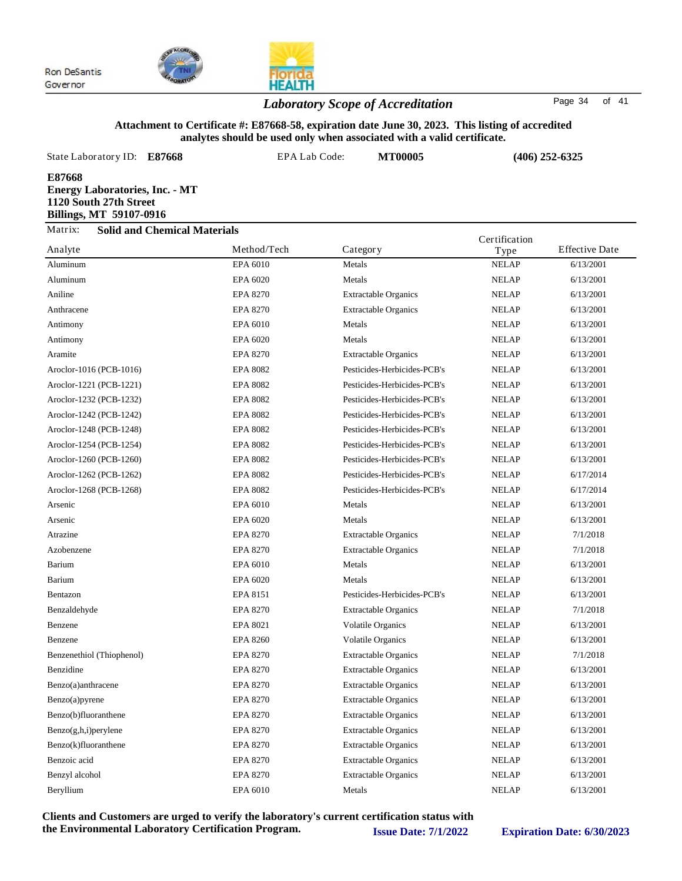

## **HEALTH** *Laboratory Scope of Accreditation* Page <sup>34</sup> of <sup>41</sup>

#### **Attachment to Certificate #: E87668-58, expiration date June 30, 2023. This listing of accredited analytes should be used only when associated with a valid certificate.**

| State Laboratory ID: E87668                                                                                 |                                     | EPA Lab Code:  | <b>MT00005</b> |               | $(406)$ 252-6325      |
|-------------------------------------------------------------------------------------------------------------|-------------------------------------|----------------|----------------|---------------|-----------------------|
| E87668<br><b>Energy Laboratories, Inc. - MT</b><br>1120 South 27th Street<br><b>Billings, MT 59107-0916</b> |                                     |                |                |               |                       |
| Matrix:                                                                                                     | <b>Solid and Chemical Materials</b> |                |                | Certification |                       |
| Analyte                                                                                                     |                                     | Method/Tech    | Category       | Type          | <b>Effective Date</b> |
| $A$ 1 $\ldots$                                                                                              |                                     | $EDA$ $(0.10)$ | $M - 1$        | MEL AD        | (120001               |

|                           |                 | ניים                        | $\mathbf{1}$ y p $\sim$ |           |
|---------------------------|-----------------|-----------------------------|-------------------------|-----------|
| Aluminum                  | EPA 6010        | Metals                      | <b>NELAP</b>            | 6/13/2001 |
| Aluminum                  | EPA 6020        | Metals                      | <b>NELAP</b>            | 6/13/2001 |
| Aniline                   | <b>EPA 8270</b> | <b>Extractable Organics</b> | <b>NELAP</b>            | 6/13/2001 |
| Anthracene                | <b>EPA 8270</b> | <b>Extractable Organics</b> | <b>NELAP</b>            | 6/13/2001 |
| Antimony                  | EPA 6010        | Metals                      | <b>NELAP</b>            | 6/13/2001 |
| Antimony                  | EPA 6020        | Metals                      | <b>NELAP</b>            | 6/13/2001 |
| Aramite                   | <b>EPA 8270</b> | <b>Extractable Organics</b> | <b>NELAP</b>            | 6/13/2001 |
| Aroclor-1016 (PCB-1016)   | <b>EPA 8082</b> | Pesticides-Herbicides-PCB's | <b>NELAP</b>            | 6/13/2001 |
| Aroclor-1221 (PCB-1221)   | <b>EPA 8082</b> | Pesticides-Herbicides-PCB's | <b>NELAP</b>            | 6/13/2001 |
| Aroclor-1232 (PCB-1232)   | <b>EPA 8082</b> | Pesticides-Herbicides-PCB's | <b>NELAP</b>            | 6/13/2001 |
| Aroclor-1242 (PCB-1242)   | <b>EPA 8082</b> | Pesticides-Herbicides-PCB's | <b>NELAP</b>            | 6/13/2001 |
| Aroclor-1248 (PCB-1248)   | <b>EPA 8082</b> | Pesticides-Herbicides-PCB's | <b>NELAP</b>            | 6/13/2001 |
| Aroclor-1254 (PCB-1254)   | <b>EPA 8082</b> | Pesticides-Herbicides-PCB's | <b>NELAP</b>            | 6/13/2001 |
| Aroclor-1260 (PCB-1260)   | <b>EPA 8082</b> | Pesticides-Herbicides-PCB's | <b>NELAP</b>            | 6/13/2001 |
| Aroclor-1262 (PCB-1262)   | <b>EPA 8082</b> | Pesticides-Herbicides-PCB's | <b>NELAP</b>            | 6/17/2014 |
| Aroclor-1268 (PCB-1268)   | <b>EPA 8082</b> | Pesticides-Herbicides-PCB's | <b>NELAP</b>            | 6/17/2014 |
| Arsenic                   | EPA 6010        | Metals                      | <b>NELAP</b>            | 6/13/2001 |
| Arsenic                   | EPA 6020        | Metals                      | <b>NELAP</b>            | 6/13/2001 |
| Atrazine                  | <b>EPA 8270</b> | <b>Extractable Organics</b> | <b>NELAP</b>            | 7/1/2018  |
| Azobenzene                | <b>EPA 8270</b> | <b>Extractable Organics</b> | <b>NELAP</b>            | 7/1/2018  |
| Barium                    | EPA 6010        | Metals                      | <b>NELAP</b>            | 6/13/2001 |
| Barium                    | EPA 6020        | Metals                      | <b>NELAP</b>            | 6/13/2001 |
| Bentazon                  | EPA 8151        | Pesticides-Herbicides-PCB's | <b>NELAP</b>            | 6/13/2001 |
| Benzaldehyde              | <b>EPA 8270</b> | <b>Extractable Organics</b> | <b>NELAP</b>            | 7/1/2018  |
| Benzene                   | EPA 8021        | <b>Volatile Organics</b>    | <b>NELAP</b>            | 6/13/2001 |
| Benzene                   | <b>EPA 8260</b> | <b>Volatile Organics</b>    | <b>NELAP</b>            | 6/13/2001 |
| Benzenethiol (Thiophenol) | <b>EPA 8270</b> | <b>Extractable Organics</b> | <b>NELAP</b>            | 7/1/2018  |
| Benzidine                 | <b>EPA 8270</b> | <b>Extractable Organics</b> | <b>NELAP</b>            | 6/13/2001 |
| Benzo(a)anthracene        | <b>EPA 8270</b> | <b>Extractable Organics</b> | <b>NELAP</b>            | 6/13/2001 |
| Benzo(a)pyrene            | <b>EPA 8270</b> | <b>Extractable Organics</b> | <b>NELAP</b>            | 6/13/2001 |
| Benzo(b)fluoranthene      | EPA 8270        | <b>Extractable Organics</b> | <b>NELAP</b>            | 6/13/2001 |
| $Benzo(g,h,i)$ perylene   | <b>EPA 8270</b> | <b>Extractable Organics</b> | <b>NELAP</b>            | 6/13/2001 |
| Benzo(k)fluoranthene      | EPA 8270        | <b>Extractable Organics</b> | <b>NELAP</b>            | 6/13/2001 |
| Benzoic acid              | <b>EPA 8270</b> | <b>Extractable Organics</b> | <b>NELAP</b>            | 6/13/2001 |
| Benzyl alcohol            | <b>EPA 8270</b> | <b>Extractable Organics</b> | <b>NELAP</b>            | 6/13/2001 |
| Beryllium                 | EPA 6010        | Metals                      | <b>NELAP</b>            | 6/13/2001 |
|                           |                 |                             |                         |           |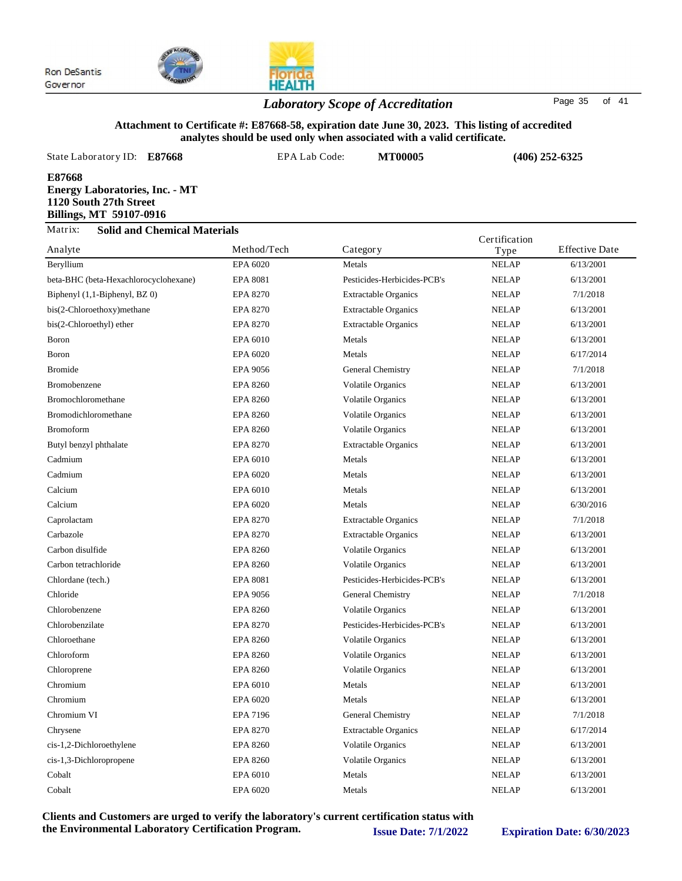

## *Laboratory Scope of Accreditation* Page <sup>35</sup> of <sup>41</sup>

#### **Attachment to Certificate #: E87668-58, expiration date June 30, 2023. This listing of accredited analytes should be used only when associated with a valid certificate.**

|         | State Laboratory ID: E87668                                                                | EPA Lab Code: | <b>MT00005</b> |               | $(406)$ 252-6325      |
|---------|--------------------------------------------------------------------------------------------|---------------|----------------|---------------|-----------------------|
| E87668  | <b>Energy Laboratories, Inc. - MT</b><br>1120 South 27th Street<br>Billings, MT 59107-0916 |               |                |               |                       |
| Matrix: | <b>Solid and Chemical Materials</b>                                                        |               |                | Certification |                       |
| Analyte |                                                                                            | Method/Tech   | Category       | Type          | <b>Effective Date</b> |

| Analyte                               | Method/I ech    | Category                    | Type         | Effective Date |
|---------------------------------------|-----------------|-----------------------------|--------------|----------------|
| Beryllium                             | EPA 6020        | Metals                      | <b>NELAP</b> | 6/13/2001      |
| beta-BHC (beta-Hexachlorocyclohexane) | <b>EPA 8081</b> | Pesticides-Herbicides-PCB's | <b>NELAP</b> | 6/13/2001      |
| Biphenyl (1,1-Biphenyl, BZ 0)         | <b>EPA 8270</b> | <b>Extractable Organics</b> | <b>NELAP</b> | 7/1/2018       |
| bis(2-Chloroethoxy)methane            | <b>EPA 8270</b> | <b>Extractable Organics</b> | <b>NELAP</b> | 6/13/2001      |
| bis(2-Chloroethyl) ether              | <b>EPA 8270</b> | <b>Extractable Organics</b> | <b>NELAP</b> | 6/13/2001      |
| <b>Boron</b>                          | EPA 6010        | Metals                      | <b>NELAP</b> | 6/13/2001      |
| Boron                                 | EPA 6020        | Metals                      | <b>NELAP</b> | 6/17/2014      |
| <b>Bromide</b>                        | <b>EPA 9056</b> | General Chemistry           | <b>NELAP</b> | 7/1/2018       |
| Bromobenzene                          | <b>EPA 8260</b> | <b>Volatile Organics</b>    | <b>NELAP</b> | 6/13/2001      |
| Bromochloromethane                    | <b>EPA 8260</b> | <b>Volatile Organics</b>    | <b>NELAP</b> | 6/13/2001      |
| Bromodichloromethane                  | <b>EPA 8260</b> | <b>Volatile Organics</b>    | <b>NELAP</b> | 6/13/2001      |
| <b>Bromoform</b>                      | <b>EPA 8260</b> | <b>Volatile Organics</b>    | <b>NELAP</b> | 6/13/2001      |
| Butyl benzyl phthalate                | <b>EPA 8270</b> | <b>Extractable Organics</b> | <b>NELAP</b> | 6/13/2001      |
| Cadmium                               | EPA 6010        | Metals                      | <b>NELAP</b> | 6/13/2001      |
| Cadmium                               | EPA 6020        | Metals                      | <b>NELAP</b> | 6/13/2001      |
| Calcium                               | EPA 6010        | Metals                      | <b>NELAP</b> | 6/13/2001      |
| Calcium                               | EPA 6020        | Metals                      | <b>NELAP</b> | 6/30/2016      |
| Caprolactam                           | <b>EPA 8270</b> | <b>Extractable Organics</b> | <b>NELAP</b> | 7/1/2018       |
| Carbazole                             | <b>EPA 8270</b> | <b>Extractable Organics</b> | <b>NELAP</b> | 6/13/2001      |
| Carbon disulfide                      | <b>EPA 8260</b> | <b>Volatile Organics</b>    | <b>NELAP</b> | 6/13/2001      |
| Carbon tetrachloride                  | <b>EPA 8260</b> | <b>Volatile Organics</b>    | <b>NELAP</b> | 6/13/2001      |
| Chlordane (tech.)                     | <b>EPA 8081</b> | Pesticides-Herbicides-PCB's | <b>NELAP</b> | 6/13/2001      |
| Chloride                              | EPA 9056        | General Chemistry           | <b>NELAP</b> | 7/1/2018       |
| Chlorobenzene                         | <b>EPA 8260</b> | <b>Volatile Organics</b>    | <b>NELAP</b> | 6/13/2001      |
| Chlorobenzilate                       | <b>EPA 8270</b> | Pesticides-Herbicides-PCB's | <b>NELAP</b> | 6/13/2001      |
| Chloroethane                          | <b>EPA 8260</b> | <b>Volatile Organics</b>    | <b>NELAP</b> | 6/13/2001      |
| Chloroform                            | <b>EPA 8260</b> | <b>Volatile Organics</b>    | <b>NELAP</b> | 6/13/2001      |
| Chloroprene                           | <b>EPA 8260</b> | <b>Volatile Organics</b>    | <b>NELAP</b> | 6/13/2001      |
| Chromium                              | EPA 6010        | Metals                      | <b>NELAP</b> | 6/13/2001      |
| Chromium                              | EPA 6020        | Metals                      | <b>NELAP</b> | 6/13/2001      |
| Chromium VI                           | <b>EPA 7196</b> | General Chemistry           | <b>NELAP</b> | 7/1/2018       |
| Chrysene                              | <b>EPA 8270</b> | <b>Extractable Organics</b> | <b>NELAP</b> | 6/17/2014      |
| cis-1,2-Dichloroethylene              | <b>EPA 8260</b> | <b>Volatile Organics</b>    | <b>NELAP</b> | 6/13/2001      |
| cis-1,3-Dichloropropene               | <b>EPA 8260</b> | Volatile Organics           | <b>NELAP</b> | 6/13/2001      |
| Cobalt                                | EPA 6010        | Metals                      | <b>NELAP</b> | 6/13/2001      |
| Cobalt                                | EPA 6020        | Metals                      | <b>NELAP</b> | 6/13/2001      |
|                                       |                 |                             |              |                |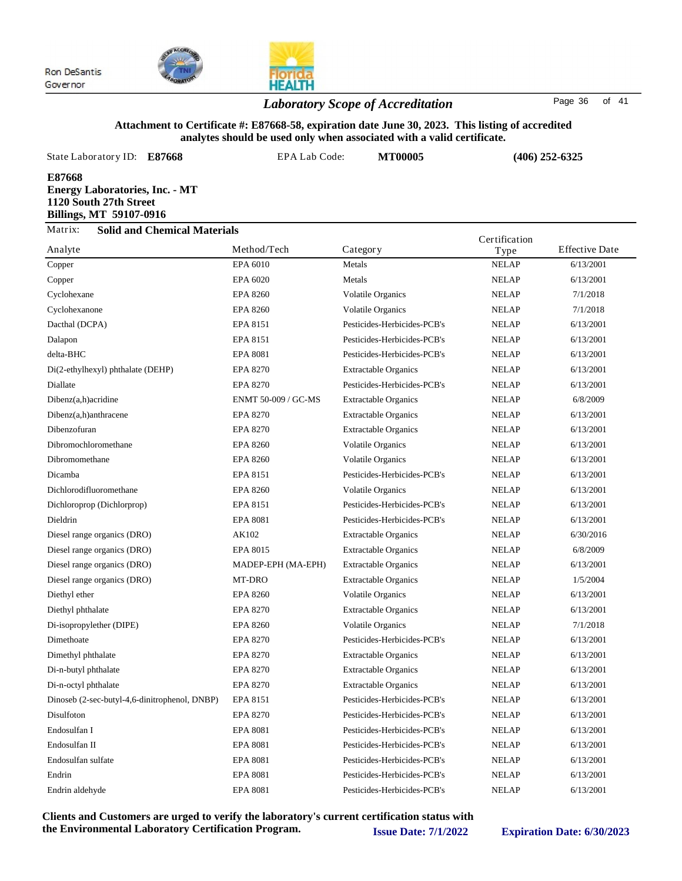

## *Laboratory Scope of Accreditation* Page <sup>36</sup> of <sup>41</sup>

### **Attachment to Certificate #: E87668-58, expiration date June 30, 2023. This listing of accredited analytes should be used only when associated with a valid certificate.**

| State Laboratory ID:<br>E87668                                                                       |                                     |             | EPA Lab Code:<br><b>MT00005</b> |  | $(406)$ 252-6325 |                       |
|------------------------------------------------------------------------------------------------------|-------------------------------------|-------------|---------------------------------|--|------------------|-----------------------|
| E87668<br><b>Energy Laboratories, Inc. - MT</b><br>1120 South 27th Street<br>Billings, MT 59107-0916 |                                     |             |                                 |  |                  |                       |
| Matrix:                                                                                              | <b>Solid and Chemical Materials</b> |             |                                 |  | Certification    |                       |
| Analyte                                                                                              |                                     | Method/Tech | Category                        |  | Type             | <b>Effective Date</b> |
| Copper                                                                                               |                                     | EPA 6010    | Metals                          |  | <b>NELAP</b>     | 6/13/2001             |

| Copper                                        | EPA 6010            | Metals                      | <b>NELAP</b> | 6/13/2001 |
|-----------------------------------------------|---------------------|-----------------------------|--------------|-----------|
| Copper                                        | EPA 6020            | Metals                      | <b>NELAP</b> | 6/13/2001 |
| Cyclohexane                                   | <b>EPA 8260</b>     | Volatile Organics           | <b>NELAP</b> | 7/1/2018  |
| Cyclohexanone                                 | <b>EPA 8260</b>     | <b>Volatile Organics</b>    | <b>NELAP</b> | 7/1/2018  |
| Dacthal (DCPA)                                | EPA 8151            | Pesticides-Herbicides-PCB's | <b>NELAP</b> | 6/13/2001 |
| Dalapon                                       | EPA 8151            | Pesticides-Herbicides-PCB's | <b>NELAP</b> | 6/13/2001 |
| delta-BHC                                     | <b>EPA 8081</b>     | Pesticides-Herbicides-PCB's | <b>NELAP</b> | 6/13/2001 |
| Di(2-ethylhexyl) phthalate (DEHP)             | <b>EPA 8270</b>     | <b>Extractable Organics</b> | <b>NELAP</b> | 6/13/2001 |
| Diallate                                      | <b>EPA 8270</b>     | Pesticides-Herbicides-PCB's | <b>NELAP</b> | 6/13/2001 |
| Dibenz(a,h)acridine                           | ENMT 50-009 / GC-MS | <b>Extractable Organics</b> | <b>NELAP</b> | 6/8/2009  |
| Dibenz(a,h)anthracene                         | <b>EPA 8270</b>     | <b>Extractable Organics</b> | <b>NELAP</b> | 6/13/2001 |
| Dibenzofuran                                  | <b>EPA 8270</b>     | <b>Extractable Organics</b> | <b>NELAP</b> | 6/13/2001 |
| Dibromochloromethane                          | <b>EPA 8260</b>     | <b>Volatile Organics</b>    | <b>NELAP</b> | 6/13/2001 |
| Dibromomethane                                | <b>EPA 8260</b>     | <b>Volatile Organics</b>    | <b>NELAP</b> | 6/13/2001 |
| Dicamba                                       | EPA 8151            | Pesticides-Herbicides-PCB's | <b>NELAP</b> | 6/13/2001 |
| Dichlorodifluoromethane                       | <b>EPA 8260</b>     | <b>Volatile Organics</b>    | <b>NELAP</b> | 6/13/2001 |
| Dichloroprop (Dichlorprop)                    | EPA 8151            | Pesticides-Herbicides-PCB's | <b>NELAP</b> | 6/13/2001 |
| Dieldrin                                      | <b>EPA 8081</b>     | Pesticides-Herbicides-PCB's | <b>NELAP</b> | 6/13/2001 |
| Diesel range organics (DRO)                   | AK102               | <b>Extractable Organics</b> | <b>NELAP</b> | 6/30/2016 |
| Diesel range organics (DRO)                   | EPA 8015            | <b>Extractable Organics</b> | <b>NELAP</b> | 6/8/2009  |
| Diesel range organics (DRO)                   | MADEP-EPH (MA-EPH)  | <b>Extractable Organics</b> | <b>NELAP</b> | 6/13/2001 |
| Diesel range organics (DRO)                   | MT-DRO              | <b>Extractable Organics</b> | <b>NELAP</b> | 1/5/2004  |
| Diethyl ether                                 | <b>EPA 8260</b>     | <b>Volatile Organics</b>    | <b>NELAP</b> | 6/13/2001 |
| Diethyl phthalate                             | EPA 8270            | <b>Extractable Organics</b> | <b>NELAP</b> | 6/13/2001 |
| Di-isopropylether (DIPE)                      | <b>EPA 8260</b>     | <b>Volatile Organics</b>    | <b>NELAP</b> | 7/1/2018  |
| Dimethoate                                    | <b>EPA 8270</b>     | Pesticides-Herbicides-PCB's | <b>NELAP</b> | 6/13/2001 |
| Dimethyl phthalate                            | <b>EPA 8270</b>     | <b>Extractable Organics</b> | <b>NELAP</b> | 6/13/2001 |
| Di-n-butyl phthalate                          | <b>EPA 8270</b>     | <b>Extractable Organics</b> | <b>NELAP</b> | 6/13/2001 |
| Di-n-octyl phthalate                          | <b>EPA 8270</b>     | <b>Extractable Organics</b> | <b>NELAP</b> | 6/13/2001 |
| Dinoseb (2-sec-butyl-4,6-dinitrophenol, DNBP) | EPA 8151            | Pesticides-Herbicides-PCB's | <b>NELAP</b> | 6/13/2001 |
| Disulfoton                                    | <b>EPA 8270</b>     | Pesticides-Herbicides-PCB's | <b>NELAP</b> | 6/13/2001 |
| Endosulfan I                                  | <b>EPA 8081</b>     | Pesticides-Herbicides-PCB's | <b>NELAP</b> | 6/13/2001 |
| Endosulfan II                                 | <b>EPA 8081</b>     | Pesticides-Herbicides-PCB's | <b>NELAP</b> | 6/13/2001 |
| Endosulfan sulfate                            | <b>EPA 8081</b>     | Pesticides-Herbicides-PCB's | <b>NELAP</b> | 6/13/2001 |
| Endrin                                        | <b>EPA 8081</b>     | Pesticides-Herbicides-PCB's | <b>NELAP</b> | 6/13/2001 |
| Endrin aldehyde                               | <b>EPA 8081</b>     | Pesticides-Herbicides-PCB's | <b>NELAP</b> | 6/13/2001 |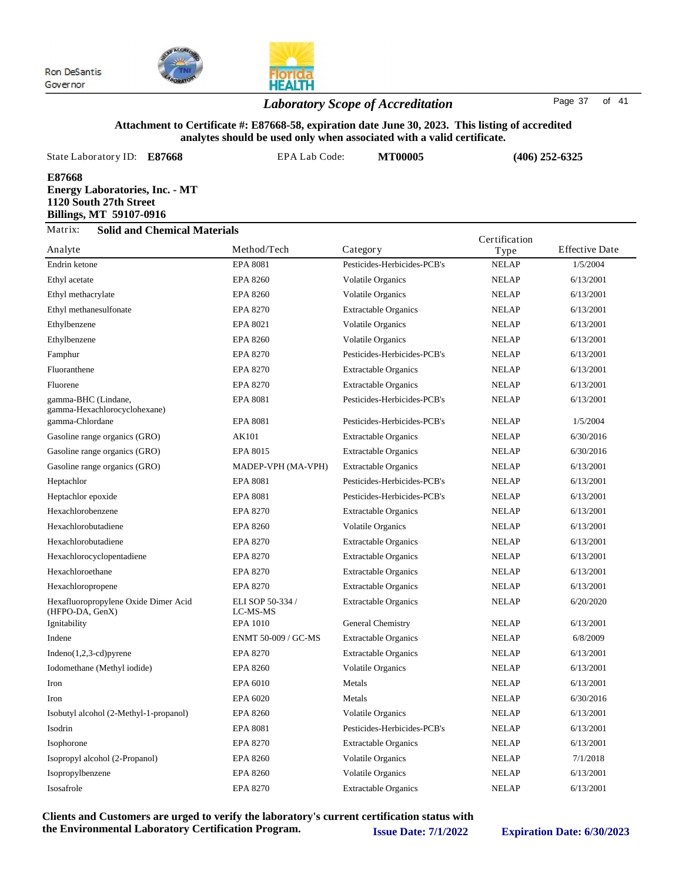

## **HEALTH** *Laboratory Scope of Accreditation* Page <sup>37</sup> of <sup>41</sup>

#### **Attachment to Certificate #: E87668-58, expiration date June 30, 2023. This listing of accredited analytes should be used only when associated with a valid certificate.**

| State Laboratory ID: E87668                                                                          |                                     | EPA Lab Code: |          | <b>MT00005</b> | $(406)$ 252-6325 |                       |
|------------------------------------------------------------------------------------------------------|-------------------------------------|---------------|----------|----------------|------------------|-----------------------|
| E87668<br><b>Energy Laboratories, Inc. - MT</b><br>1120 South 27th Street<br>Billings, MT 59107-0916 |                                     |               |          |                |                  |                       |
| Matrix:                                                                                              | <b>Solid and Chemical Materials</b> |               |          |                | Certification    |                       |
| Analyte                                                                                              |                                     | Method/Tech   | Category |                | Type             | <b>Effective Date</b> |

| <b>NELAP</b><br><b>NELAP</b><br><b>NELAP</b><br><b>NELAP</b><br><b>NELAP</b><br><b>NELAP</b><br><b>NELAP</b><br><b>NELAP</b><br><b>NELAP</b><br><b>NELAP</b><br><b>NELAP</b><br><b>NELAP</b><br><b>NELAP</b> | 1/5/2004<br>6/13/2001<br>6/13/2001<br>6/13/2001<br>6/13/2001<br>6/13/2001<br>6/13/2001<br>6/13/2001<br>6/13/2001<br>6/13/2001<br>1/5/2004 |
|--------------------------------------------------------------------------------------------------------------------------------------------------------------------------------------------------------------|-------------------------------------------------------------------------------------------------------------------------------------------|
|                                                                                                                                                                                                              |                                                                                                                                           |
|                                                                                                                                                                                                              |                                                                                                                                           |
|                                                                                                                                                                                                              |                                                                                                                                           |
|                                                                                                                                                                                                              |                                                                                                                                           |
|                                                                                                                                                                                                              |                                                                                                                                           |
|                                                                                                                                                                                                              |                                                                                                                                           |
|                                                                                                                                                                                                              |                                                                                                                                           |
|                                                                                                                                                                                                              |                                                                                                                                           |
|                                                                                                                                                                                                              |                                                                                                                                           |
|                                                                                                                                                                                                              |                                                                                                                                           |
|                                                                                                                                                                                                              |                                                                                                                                           |
|                                                                                                                                                                                                              | 6/30/2016                                                                                                                                 |
|                                                                                                                                                                                                              | 6/30/2016                                                                                                                                 |
| <b>NELAP</b>                                                                                                                                                                                                 | 6/13/2001                                                                                                                                 |
| <b>NELAP</b>                                                                                                                                                                                                 | 6/13/2001                                                                                                                                 |
| <b>NELAP</b>                                                                                                                                                                                                 | 6/13/2001                                                                                                                                 |
| <b>NELAP</b>                                                                                                                                                                                                 | 6/13/2001                                                                                                                                 |
| <b>NELAP</b>                                                                                                                                                                                                 | 6/13/2001                                                                                                                                 |
| <b>NELAP</b>                                                                                                                                                                                                 | 6/13/2001                                                                                                                                 |
| <b>NELAP</b>                                                                                                                                                                                                 | 6/13/2001                                                                                                                                 |
| <b>NELAP</b>                                                                                                                                                                                                 | 6/13/2001                                                                                                                                 |
| <b>NELAP</b>                                                                                                                                                                                                 | 6/13/2001                                                                                                                                 |
| <b>NELAP</b>                                                                                                                                                                                                 | 6/20/2020                                                                                                                                 |
| <b>NELAP</b>                                                                                                                                                                                                 | 6/13/2001                                                                                                                                 |
| <b>NELAP</b>                                                                                                                                                                                                 | 6/8/2009                                                                                                                                  |
| <b>NELAP</b>                                                                                                                                                                                                 | 6/13/2001                                                                                                                                 |
| <b>NELAP</b>                                                                                                                                                                                                 | 6/13/2001                                                                                                                                 |
| <b>NELAP</b>                                                                                                                                                                                                 | 6/13/2001                                                                                                                                 |
| <b>NELAP</b>                                                                                                                                                                                                 | 6/30/2016                                                                                                                                 |
| <b>NELAP</b>                                                                                                                                                                                                 | 6/13/2001                                                                                                                                 |
| <b>NELAP</b>                                                                                                                                                                                                 | 6/13/2001                                                                                                                                 |
| <b>NELAP</b>                                                                                                                                                                                                 | 6/13/2001                                                                                                                                 |
| <b>NELAP</b>                                                                                                                                                                                                 | 7/1/2018                                                                                                                                  |
| <b>NELAP</b>                                                                                                                                                                                                 | 6/13/2001                                                                                                                                 |
| <b>NELAP</b>                                                                                                                                                                                                 | 6/13/2001                                                                                                                                 |
|                                                                                                                                                                                                              |                                                                                                                                           |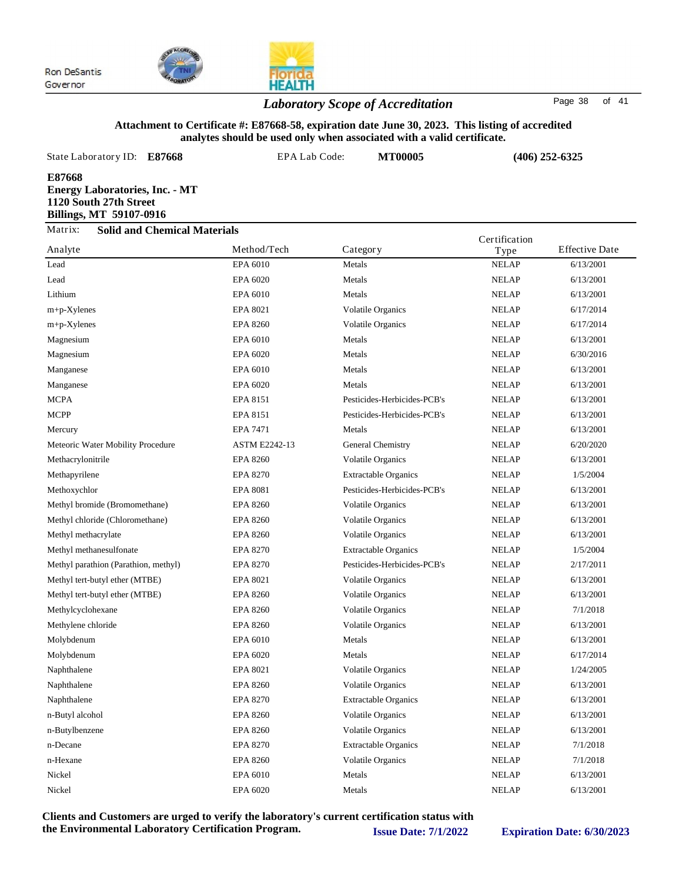

## *Laboratory Scope of Accreditation* Page <sup>38</sup> of <sup>41</sup>

### **Attachment to Certificate #: E87668-58, expiration date June 30, 2023. This listing of accredited analytes should be used only when associated with a valid certificate.**

**HEALTH** 

| State Laboratory ID:                                                                                        | E87668                              | EPA Lab Code: | <b>MT00005</b> | $(406)$ 252-6325      |
|-------------------------------------------------------------------------------------------------------------|-------------------------------------|---------------|----------------|-----------------------|
| E87668<br><b>Energy Laboratories, Inc. - MT</b><br>1120 South 27th Street<br><b>Billings, MT 59107-0916</b> |                                     |               |                |                       |
| Matrix:                                                                                                     | <b>Solid and Chemical Materials</b> |               | Certification  |                       |
| Analyte                                                                                                     | Method/Tech                         | Category      | Type           | <b>Effective Date</b> |
| Lead.                                                                                                       | <b>FPA 6010</b>                     | Metale        | NFI AP         | 6/13/2001             |

|                                      |                      | 0<br>ر -                    | $\mathbf{y}$ |           |
|--------------------------------------|----------------------|-----------------------------|--------------|-----------|
| Lead                                 | EPA 6010             | Metals                      | <b>NELAP</b> | 6/13/2001 |
| Lead                                 | EPA 6020             | Metals                      | <b>NELAP</b> | 6/13/2001 |
| Lithium                              | EPA 6010             | Metals                      | <b>NELAP</b> | 6/13/2001 |
| $m+p$ -Xylenes                       | EPA 8021             | <b>Volatile Organics</b>    | <b>NELAP</b> | 6/17/2014 |
| $m+p$ -Xylenes                       | <b>EPA 8260</b>      | <b>Volatile Organics</b>    | <b>NELAP</b> | 6/17/2014 |
| Magnesium                            | EPA 6010             | Metals                      | <b>NELAP</b> | 6/13/2001 |
| Magnesium                            | EPA 6020             | Metals                      | <b>NELAP</b> | 6/30/2016 |
| Manganese                            | EPA 6010             | Metals                      | <b>NELAP</b> | 6/13/2001 |
| Manganese                            | EPA 6020             | Metals                      | <b>NELAP</b> | 6/13/2001 |
| <b>MCPA</b>                          | EPA 8151             | Pesticides-Herbicides-PCB's | <b>NELAP</b> | 6/13/2001 |
| <b>MCPP</b>                          | EPA 8151             | Pesticides-Herbicides-PCB's | <b>NELAP</b> | 6/13/2001 |
| Mercury                              | EPA 7471             | Metals                      | <b>NELAP</b> | 6/13/2001 |
| Meteoric Water Mobility Procedure    | <b>ASTM E2242-13</b> | General Chemistry           | <b>NELAP</b> | 6/20/2020 |
| Methacrylonitrile                    | <b>EPA 8260</b>      | <b>Volatile Organics</b>    | <b>NELAP</b> | 6/13/2001 |
| Methapyrilene                        | <b>EPA 8270</b>      | <b>Extractable Organics</b> | <b>NELAP</b> | 1/5/2004  |
| Methoxychlor                         | <b>EPA 8081</b>      | Pesticides-Herbicides-PCB's | <b>NELAP</b> | 6/13/2001 |
| Methyl bromide (Bromomethane)        | <b>EPA 8260</b>      | <b>Volatile Organics</b>    | <b>NELAP</b> | 6/13/2001 |
| Methyl chloride (Chloromethane)      | <b>EPA 8260</b>      | Volatile Organics           | <b>NELAP</b> | 6/13/2001 |
| Methyl methacrylate                  | <b>EPA 8260</b>      | Volatile Organics           | <b>NELAP</b> | 6/13/2001 |
| Methyl methanesulfonate              | <b>EPA 8270</b>      | <b>Extractable Organics</b> | <b>NELAP</b> | 1/5/2004  |
| Methyl parathion (Parathion, methyl) | <b>EPA 8270</b>      | Pesticides-Herbicides-PCB's | <b>NELAP</b> | 2/17/2011 |
| Methyl tert-butyl ether (MTBE)       | EPA 8021             | <b>Volatile Organics</b>    | <b>NELAP</b> | 6/13/2001 |
| Methyl tert-butyl ether (MTBE)       | <b>EPA 8260</b>      | <b>Volatile Organics</b>    | <b>NELAP</b> | 6/13/2001 |
| Methylcyclohexane                    | <b>EPA 8260</b>      | <b>Volatile Organics</b>    | <b>NELAP</b> | 7/1/2018  |
| Methylene chloride                   | <b>EPA 8260</b>      | <b>Volatile Organics</b>    | <b>NELAP</b> | 6/13/2001 |
| Molybdenum                           | EPA 6010             | Metals                      | <b>NELAP</b> | 6/13/2001 |
| Molybdenum                           | EPA 6020             | Metals                      | <b>NELAP</b> | 6/17/2014 |
| Naphthalene                          | EPA 8021             | <b>Volatile Organics</b>    | <b>NELAP</b> | 1/24/2005 |
| Naphthalene                          | <b>EPA 8260</b>      | <b>Volatile Organics</b>    | <b>NELAP</b> | 6/13/2001 |
| Naphthalene                          | <b>EPA 8270</b>      | <b>Extractable Organics</b> | <b>NELAP</b> | 6/13/2001 |
| n-Butyl alcohol                      | <b>EPA 8260</b>      | Volatile Organics           | <b>NELAP</b> | 6/13/2001 |
| n-Butylbenzene                       | <b>EPA 8260</b>      | Volatile Organics           | <b>NELAP</b> | 6/13/2001 |
| n-Decane                             | <b>EPA 8270</b>      | <b>Extractable Organics</b> | <b>NELAP</b> | 7/1/2018  |
| n-Hexane                             | <b>EPA 8260</b>      | Volatile Organics           | <b>NELAP</b> | 7/1/2018  |
| Nickel                               | EPA 6010             | Metals                      | <b>NELAP</b> | 6/13/2001 |
| Nickel                               | EPA 6020             | Metals                      | <b>NELAP</b> | 6/13/2001 |
|                                      |                      |                             |              |           |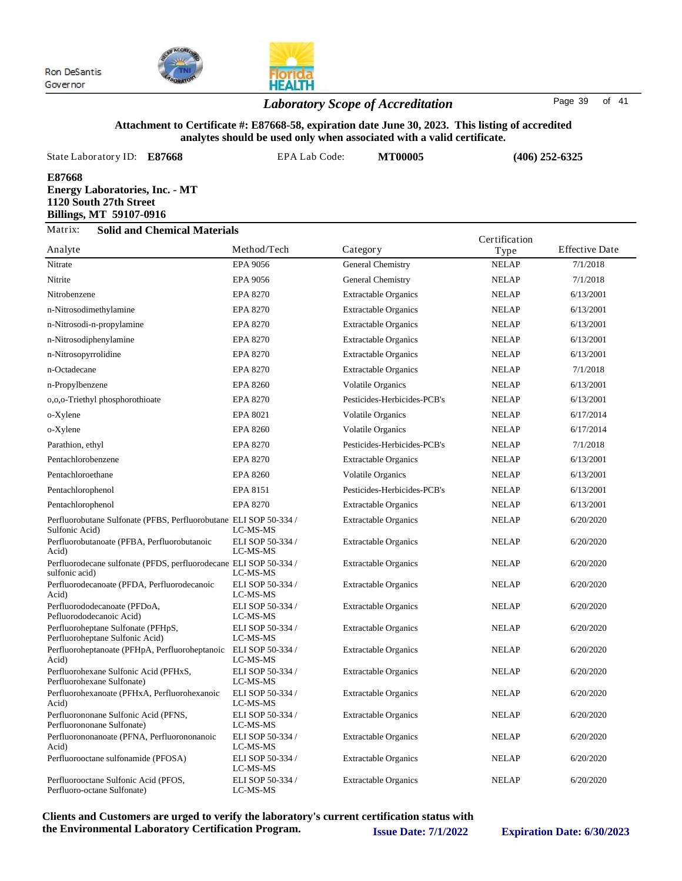

## *Laboratory Scope of Accreditation* Page <sup>39</sup> of <sup>41</sup>

**HEALTH** 

### **Attachment to Certificate #: E87668-58, expiration date June 30, 2023. This listing of accredited analytes should be used only when associated with a valid certificate.**

| State Laboratory ID:                                                                                        | E87668                              | EPA Lab Code: | <b>MT00005</b>    | $(406)$ 252-6325 |                       |
|-------------------------------------------------------------------------------------------------------------|-------------------------------------|---------------|-------------------|------------------|-----------------------|
| E87668<br><b>Energy Laboratories, Inc. - MT</b><br>1120 South 27th Street<br><b>Billings, MT 59107-0916</b> |                                     |               |                   |                  |                       |
| Matrix:                                                                                                     | <b>Solid and Chemical Materials</b> |               |                   | Certification    |                       |
| Analyte                                                                                                     |                                     | Method/Tech   | Category          | Type             | <b>Effective Date</b> |
| Nitrate                                                                                                     |                                     | EPA 9056      | General Chemistry | <b>NELAP</b>     | 7/1/2018              |

| $\ldots$ $\ldots$                                                                   |                                          | $\mathbf{u} \cdot \mathbf{v}$ | $\mathbf{1}$ y p $\sim$ |           |
|-------------------------------------------------------------------------------------|------------------------------------------|-------------------------------|-------------------------|-----------|
| Nitrate                                                                             | <b>EPA 9056</b>                          | General Chemistry             | <b>NELAP</b>            | 7/1/2018  |
| Nitrite                                                                             | EPA 9056                                 | General Chemistry             | <b>NELAP</b>            | 7/1/2018  |
| Nitrobenzene                                                                        | <b>EPA 8270</b>                          | <b>Extractable Organics</b>   | <b>NELAP</b>            | 6/13/2001 |
| n-Nitrosodimethylamine                                                              | <b>EPA 8270</b>                          | <b>Extractable Organics</b>   | <b>NELAP</b>            | 6/13/2001 |
| n-Nitrosodi-n-propylamine                                                           | <b>EPA 8270</b>                          | <b>Extractable Organics</b>   | <b>NELAP</b>            | 6/13/2001 |
| n-Nitrosodiphenylamine                                                              | <b>EPA 8270</b>                          | <b>Extractable Organics</b>   | <b>NELAP</b>            | 6/13/2001 |
| n-Nitrosopyrrolidine                                                                | <b>EPA 8270</b>                          | <b>Extractable Organics</b>   | <b>NELAP</b>            | 6/13/2001 |
| n-Octadecane                                                                        | <b>EPA 8270</b>                          | <b>Extractable Organics</b>   | <b>NELAP</b>            | 7/1/2018  |
| n-Propylbenzene                                                                     | <b>EPA 8260</b>                          | <b>Volatile Organics</b>      | <b>NELAP</b>            | 6/13/2001 |
| 0,0,0-Triethyl phosphorothioate                                                     | <b>EPA 8270</b>                          | Pesticides-Herbicides-PCB's   | <b>NELAP</b>            | 6/13/2001 |
| o-Xylene                                                                            | EPA 8021                                 | <b>Volatile Organics</b>      | <b>NELAP</b>            | 6/17/2014 |
| o-Xylene                                                                            | <b>EPA 8260</b>                          | <b>Volatile Organics</b>      | <b>NELAP</b>            | 6/17/2014 |
| Parathion, ethyl                                                                    | <b>EPA 8270</b>                          | Pesticides-Herbicides-PCB's   | <b>NELAP</b>            | 7/1/2018  |
| Pentachlorobenzene                                                                  | <b>EPA 8270</b>                          | <b>Extractable Organics</b>   | <b>NELAP</b>            | 6/13/2001 |
| Pentachloroethane                                                                   | <b>EPA 8260</b>                          | <b>Volatile Organics</b>      | <b>NELAP</b>            | 6/13/2001 |
| Pentachlorophenol                                                                   | EPA 8151                                 | Pesticides-Herbicides-PCB's   | <b>NELAP</b>            | 6/13/2001 |
| Pentachlorophenol                                                                   | <b>EPA 8270</b>                          | <b>Extractable Organics</b>   | <b>NELAP</b>            | 6/13/2001 |
| Perfluorobutane Sulfonate (PFBS, Perfluorobutane ELI SOP 50-334 /<br>Sulfonic Acid) | LC-MS-MS                                 | <b>Extractable Organics</b>   | <b>NELAP</b>            | 6/20/2020 |
| Perfluorobutanoate (PFBA, Perfluorobutanoic<br>Acid)                                | ELI SOP 50-334 /<br>LC-MS-MS             | Extractable Organics          | <b>NELAP</b>            | 6/20/2020 |
| Perfluorodecane sulfonate (PFDS, perfluorodecane ELI SOP 50-334 /<br>sulfonic acid) | LC-MS-MS                                 | <b>Extractable Organics</b>   | <b>NELAP</b>            | 6/20/2020 |
| Perfluorodecanoate (PFDA, Perfluorodecanoic<br>Acid)                                | ELI SOP 50-334 /<br>LC-MS-MS             | <b>Extractable Organics</b>   | <b>NELAP</b>            | 6/20/2020 |
| Perfluorododecanoate (PFDoA,<br>Pefluorododecanoic Acid)                            | ELI SOP 50-334 /<br>LC-MS-MS             | <b>Extractable Organics</b>   | <b>NELAP</b>            | 6/20/2020 |
| Perfluoroheptane Sulfonate (PFHpS,<br>Perfluoroheptane Sulfonic Acid)               | ELI SOP 50-334 /<br>LC-MS-MS             | <b>Extractable Organics</b>   | <b>NELAP</b>            | 6/20/2020 |
| Perfluoroheptanoate (PFHpA, Perfluoroheptanoic ELI SOP 50-334 /<br>Acid)            | LC-MS-MS                                 | <b>Extractable Organics</b>   | <b>NELAP</b>            | 6/20/2020 |
| Perfluorohexane Sulfonic Acid (PFHxS,<br>Perfluorohexane Sulfonate)                 | ELI SOP 50-334 /<br>LC-MS-MS             | <b>Extractable Organics</b>   | <b>NELAP</b>            | 6/20/2020 |
| Perfluorohexanoate (PFHxA, Perfluorohexanoic<br>Acid)                               | ELI SOP 50-334 /<br>LC-MS-MS             | <b>Extractable Organics</b>   | <b>NELAP</b>            | 6/20/2020 |
| Perfluorononane Sulfonic Acid (PFNS,<br>Perfluorononane Sulfonate)                  | ELI SOP 50-334 /<br>LC-MS-MS             | <b>Extractable Organics</b>   | <b>NELAP</b>            | 6/20/2020 |
| Perfluorononanoate (PFNA, Perfluorononanoic                                         | ELI SOP 50-334 /                         | <b>Extractable Organics</b>   | <b>NELAP</b>            | 6/20/2020 |
| Acid)<br>Perfluorooctane sulfonamide (PFOSA)                                        | LC-MS-MS<br>ELI SOP 50-334 /<br>LC-MS-MS | <b>Extractable Organics</b>   | <b>NELAP</b>            | 6/20/2020 |
| Perfluorooctane Sulfonic Acid (PFOS,<br>Perfluoro-octane Sulfonate)                 | ELI SOP 50-334 /<br>LC-MS-MS             | <b>Extractable Organics</b>   | <b>NELAP</b>            | 6/20/2020 |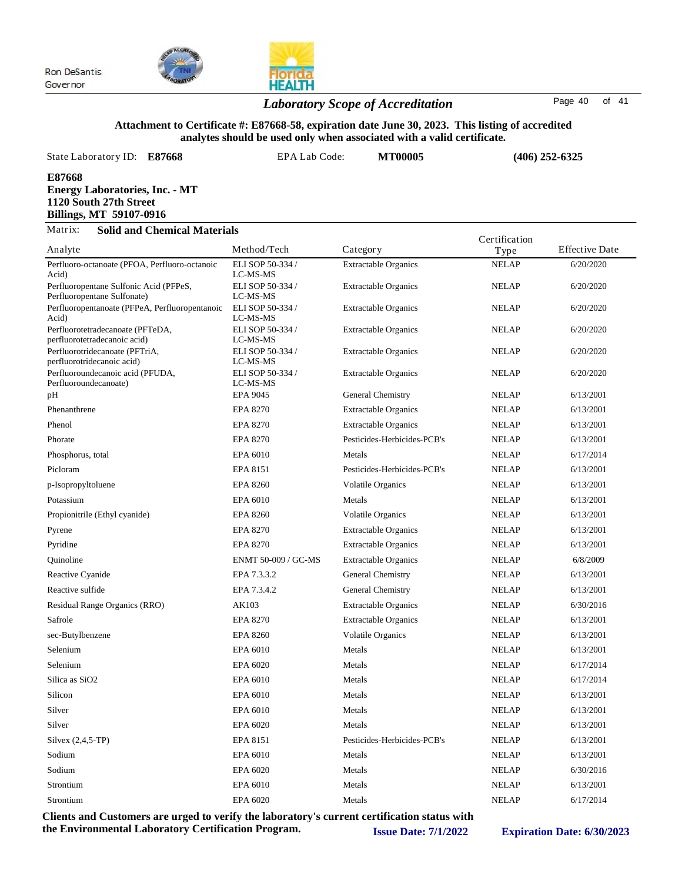

## *Laboratory Scope of Accreditation* Page <sup>40</sup> of <sup>41</sup>

#### **Attachment to Certificate #: E87668-58, expiration date June 30, 2023. This listing of accredited analytes should be used only when associated with a valid certificate.**

| State Laboratory ID:<br>E87668                                                                       | EPA Lab Code:                | <b>MT00005</b>              |               | $(406)$ 252-6325      |
|------------------------------------------------------------------------------------------------------|------------------------------|-----------------------------|---------------|-----------------------|
| E87668<br><b>Energy Laboratories, Inc. - MT</b><br>1120 South 27th Street<br>Billings, MT 59107-0916 |                              |                             |               |                       |
| Matrix:<br><b>Solid and Chemical Materials</b>                                                       |                              |                             | Certification |                       |
| Analyte                                                                                              | Method/Tech                  | Category                    | Type          | <b>Effective Date</b> |
| Perfluoro-octanoate (PFOA, Perfluoro-octanoic<br>Acid)                                               | ELI SOP 50-334 /<br>LC-MS-MS | <b>Extractable Organics</b> | <b>NELAP</b>  | 6/20/2020             |

| Perfluoro-octanoate (PFOA, Perfluoro-octanoic<br>Acid)                        | ELI SOP 50-334 /<br>LC-MS-MS | <b>Extractable Organics</b> | <b>NELAP</b> | 6/20/2020 |
|-------------------------------------------------------------------------------|------------------------------|-----------------------------|--------------|-----------|
| Perfluoropentane Sulfonic Acid (PFPeS,                                        | ELI SOP 50-334 /             | <b>Extractable Organics</b> | <b>NELAP</b> | 6/20/2020 |
| Perfluoropentane Sulfonate)<br>Perfluoropentanoate (PFPeA, Perfluoropentanoic | LC-MS-MS<br>ELI SOP 50-334 / | <b>Extractable Organics</b> | <b>NELAP</b> | 6/20/2020 |
| Acid)                                                                         | LC-MS-MS                     |                             |              |           |
| Perfluorotetradecanoate (PFTeDA,<br>perfluorotetradecanoic acid)              | ELI SOP 50-334 /<br>LC-MS-MS | <b>Extractable Organics</b> | <b>NELAP</b> | 6/20/2020 |
| Perfluorotridecanoate (PFTriA,<br>perfluorotridecanoic acid)                  | ELI SOP 50-334 /<br>LC-MS-MS | <b>Extractable Organics</b> | <b>NELAP</b> | 6/20/2020 |
| Perfluoroundecanoic acid (PFUDA,<br>Perfluoroundecanoate)                     | ELI SOP 50-334 /<br>LC-MS-MS | <b>Extractable Organics</b> | <b>NELAP</b> | 6/20/2020 |
| pН                                                                            | EPA 9045                     | General Chemistry           | <b>NELAP</b> | 6/13/2001 |
| Phenanthrene                                                                  | <b>EPA 8270</b>              | <b>Extractable Organics</b> | <b>NELAP</b> | 6/13/2001 |
| Phenol                                                                        | <b>EPA 8270</b>              | <b>Extractable Organics</b> | <b>NELAP</b> | 6/13/2001 |
| Phorate                                                                       | <b>EPA 8270</b>              | Pesticides-Herbicides-PCB's | <b>NELAP</b> | 6/13/2001 |
| Phosphorus, total                                                             | EPA 6010                     | Metals                      | <b>NELAP</b> | 6/17/2014 |
| Picloram                                                                      | EPA 8151                     | Pesticides-Herbicides-PCB's | <b>NELAP</b> | 6/13/2001 |
| p-Isopropyltoluene                                                            | <b>EPA 8260</b>              | <b>Volatile Organics</b>    | <b>NELAP</b> | 6/13/2001 |
| Potassium                                                                     | EPA 6010                     | Metals                      | <b>NELAP</b> | 6/13/2001 |
| Propionitrile (Ethyl cyanide)                                                 | EPA 8260                     | <b>Volatile Organics</b>    | <b>NELAP</b> | 6/13/2001 |
| Pyrene                                                                        | <b>EPA 8270</b>              | <b>Extractable Organics</b> | <b>NELAP</b> | 6/13/2001 |
| Pyridine                                                                      | <b>EPA 8270</b>              | <b>Extractable Organics</b> | <b>NELAP</b> | 6/13/2001 |
| Quinoline                                                                     | ENMT 50-009 / GC-MS          | <b>Extractable Organics</b> | <b>NELAP</b> | 6/8/2009  |
| Reactive Cyanide                                                              | EPA 7.3.3.2                  | General Chemistry           | <b>NELAP</b> | 6/13/2001 |
| Reactive sulfide                                                              | EPA 7.3.4.2                  | General Chemistry           | <b>NELAP</b> | 6/13/2001 |
| Residual Range Organics (RRO)                                                 | AK103                        | <b>Extractable Organics</b> | <b>NELAP</b> | 6/30/2016 |
| Safrole                                                                       | <b>EPA 8270</b>              | <b>Extractable Organics</b> | <b>NELAP</b> | 6/13/2001 |
| sec-Butylbenzene                                                              | <b>EPA 8260</b>              | <b>Volatile Organics</b>    | <b>NELAP</b> | 6/13/2001 |
| Selenium                                                                      | EPA 6010                     | Metals                      | <b>NELAP</b> | 6/13/2001 |
| Selenium                                                                      | EPA 6020                     | Metals                      | <b>NELAP</b> | 6/17/2014 |
| Silica as SiO <sub>2</sub>                                                    | EPA 6010                     | Metals                      | <b>NELAP</b> | 6/17/2014 |
| Silicon                                                                       | EPA 6010                     | Metals                      | <b>NELAP</b> | 6/13/2001 |
| Silver                                                                        | EPA 6010                     | Metals                      | <b>NELAP</b> | 6/13/2001 |
| Silver                                                                        | EPA 6020                     | Metals                      | <b>NELAP</b> | 6/13/2001 |
| Silvex $(2,4,5-TP)$                                                           | EPA 8151                     | Pesticides-Herbicides-PCB's | <b>NELAP</b> | 6/13/2001 |
| Sodium                                                                        | EPA 6010                     | Metals                      | <b>NELAP</b> | 6/13/2001 |
| Sodium                                                                        | EPA 6020                     | Metals                      | <b>NELAP</b> | 6/30/2016 |
| Strontium                                                                     | EPA 6010                     | Metals                      | <b>NELAP</b> | 6/13/2001 |
| Strontium                                                                     | EPA 6020                     | Metals                      | <b>NELAP</b> | 6/17/2014 |